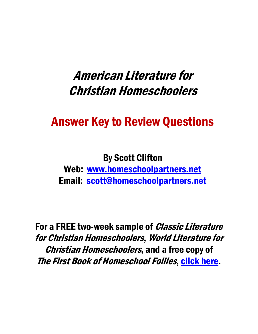## American Literature for Christian Homeschoolers

# Answer Key to Review Questions

## By Scott Clifton

Web: [www.homeschoolpartners.net](http://www.homeschoolpartners.net/) Email: [scott@homeschoolpartners.net](mailto:scott@homeschoolpartners.net)

For a FREE two-week sample of *Classic Literature* for Christian Homeschoolers, World Literature for Christian Homeschoolers, and a free copy of The First Book of Homeschool Follies, [click here.](http://www.homeschoolpartners.net/)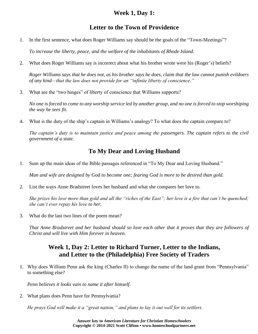#### **Week 1, Day 1:**

#### **Letter to the Town of Providence**

1. In the first sentence, what does Roger Williams say should be the goals of the "Town-Meetings"?

*To increase the liberty, peace, and the welfare of the inhabitants of Rhode Island.*

2. What does Roger Williams say is incorrect about what his brother wrote were his (Roger's) beliefs?

*Roger Williams says that he does not, as his brother says he does, claim that the law cannot punish evildoers of any kind—that the law does not provide for an "infinite liberty of conscience."*

3. What are the "two hinges" of liberty of conscience that Williams supports?

*No one is forced to come to any worship service led by another group, and no one is forced to stop worshiping the way he sees fit.*

4. What is the duty of the ship's captain in Williams's analogy? To what does the captain compare to?

*The captain's duty is to maintain justice and peace among the passengers. The captain refers to the civil government of a state.*

#### **To My Dear and Loving Husband**

1. Sum up the main ideas of the Bible passages referenced in "To My Dear and Loving Husband."

*Man and wife are designed by God to become one; fearing God is more to be desired than gold.*

2. List the ways Anne Bradstreet loves her husband and what she compares her love to.

*She prizes his love more than gold and all the "riches of the East"; her love is a fire that can't be quenched; she can't ever repay his love to her.*

3. What do the last two lines of the poem mean?

*That Anne Bradstreet and her husband should so love each other that it proves that they are followers of Christ and will live with Him forever in heaven.*

#### **Week 1, Day 2: Letter to Richard Turner, Letter to the Indians, and Letter to the (Philadelphia) Free Society of Traders**

1. Why does William Penn ask the king (Charles II) to change the name of the land grant from "Pennsylvania" to something else?

*Penn believes it looks vain to name it after himself.*

2. What plans does Penn have for Pennsylvania?

*He prays God will make it a "great nation," and plans to lay it out well for its settlers.*

**Answer key to** *American Literature for Christian Homeschoolers* **Copyright © 2014-2021 Scott Clifton • www.homeschoolpartners.net**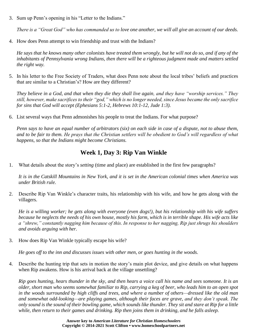3. Sum up Penn's opening in his "Letter to the Indians."

*There is a "Great God" who has commanded us to love one another, we will all give an account of our deeds.*

4. How does Penn attempt to win friendship and trust with the Indians?

*He says that he knows many other colonists have treated them wrongly, but he will not do so, and if any of the inhabitants of Pennsylvania wrong Indians, then there will be a righteous judgment made and matters settled the right way.*

5. In his letter to the Free Society of Traders, what does Penn note about the local tribes' beliefs and practices that are similar to a Christian's? How are they different?

*They believe in a God, and that when they die they shall live again, and they have "worship services." They still, however, make sacrifices to their "god," which is no longer needed, since Jesus became the only sacrifice for sins that God will accept (Ephesians 5:1-2, Hebrews 10:1-12, Jude 1:3).*

6. List several ways that Penn admonishes his people to treat the Indians. For what purpose?

*Penn says to have an equal number of arbitrators (six) on each side in case of a dispute, not to abuse them, and to be fair to them. He prays that the Christian settlers will be obedient to God's will regardless of what happens, so that the Indians might become Christians.*

## **Week 1, Day 3: Rip Van Winkle**

1. What details about the story's *setting* (time and place) are established in the first few paragraphs?

*It is in the Catskill Mountains in New York, and it is set in the American colonial times when America was under British rule.*

2. Describe Rip Van Winkle's character traits, his relationship with his wife, and how he gets along with the villagers.

*He is a willing worker; he gets along with everyone (even dogs!), but his relationship with his wife suffers because he neglects the needs of his own house, mostly his farm, which is in terrible shape. His wife acts like a "shrew," constantly nagging him because of this. In response to her nagging, Rip just shrugs his shoulders and avoids arguing with her.*

3. How does Rip Van Winkle typically escape his wife?

*He goes off to the inn and discusses issues with other men, or goes hunting in the woods.*

4. Describe the hunting trip that sets in motion the story's main plot device, and give details on what happens when Rip awakens. How is his arrival back at the village unsettling?

*Rip goes hunting, hears thunder in the sky, and then hears a voice call his name and sees someone. It is an older, short man who seems somewhat familiar to Rip, carrying a keg of beer, who leads him to an open spot in the woods surrounded by high cliffs and trees, and where a number of others—dressed like the old man and somewhat odd-looking—are playing games, although their faces are grave, and they don't speak. The only sound is the sound of their bowling game, which sounds like thunder. They sit and stare at Rip for a little while, then return to their games and drinking. Rip then joins them in drinking, and he falls asleep.*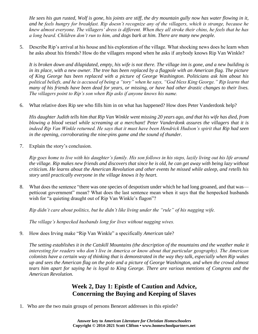*He sees his gun rusted, Wolf is gone, his joints are stiff, the dry mountain gully now has water flowing in it, and he feels hungry for breakfast. Rip doesn't recognize any of the villagers, which is strange, because he knew almost everyone. The villagers' dress is different. When they all stroke their chins, he feels that he has a long beard. Children don't run to him, and dogs bark at him. There are many new people.*

5. Describe Rip's arrival at his house and his exploration of the village. What shocking news does he learn when he asks about his friends? How do the villagers respond when he asks if anybody knows Rip Van Winkle?

*It is broken down and dilapidated, empty, his wife is not there. The village inn is gone, and a new building is*  in its place, with a new owner. The tree has been replaced by a flagpole with an American flag. The picture *of King George has been replaced with a picture of George Washington. Politicians ask him about his political beliefs, and he is accused of being a "tory" when he says, "God bless King George." Rip learns that many of his friends have been dead for years, or missing, or have had other drastic changes to their lives. The villagers point to Rip's son when Rip asks if anyone knows his name.*

6. What relative does Rip see who fills him in on what has happened? How does Peter Vanderdonk help?

*His daughter Judith tells him that Rip Van Winkle went missing 20 years ago, and that his wife has died, from blowing a blood vessel while screaming at a merchant! Peter Vanderdonk assures the villagers that it is indeed Rip Van Winkle returned. He says that it must have been Hendrick Hudson's spirit that Rip had seen in the opening, corroborating the nine-pins game and the sound of thunder.*

7. Explain the story's conclusion.

*Rip goes home to live with his daughter's family. His son follows in his steps, lazily living out his life around the village. Rip makes new friends and discovers that since he is old, he can get away with being lazy without criticism. He learns about the American Revolution and other events he missed while asleep, and retells his story until practically everyone in the village knows it by heart.*

8. What does the sentence "there was one species of despotism under which he had long groaned, and that was petticoat government" mean? What does the last sentence mean when it says that the henpecked husbands wish for "a quieting draught out of Rip Van Winkle's flagon"?

*Rip didn't care about politics, but he didn't like living under the "rule" of his nagging wife.*

*The village's henpecked husbands long for lives without nagging wives.*

9. How does Irving make "Rip Van Winkle" a specifically *American* tale?

*The setting establishes it in the Catskill Mountains (the description of the mountains and the weather make it interesting for readers who don't live in America or know about that particular geography). The American colonists have a certain way of thinking that is demonstrated in the way they talk, especially when Rip wakes up and sees the American flag on the pole and a picture of George Washington, and when the crowd almost tears him apart for saying he is loyal to King George. There are various mentions of Congress and the American Revolution.*

#### **Week 2, Day 1: Epistle of Caution and Advice, Concerning the Buying and Keeping of Slaves**

1. Who are the two main groups of persons Benezet addresses in this epistle?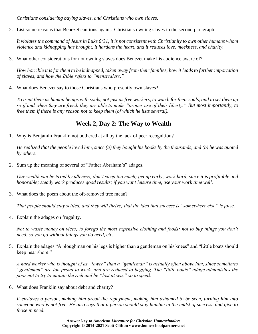*Christians considering buying slaves, and Christians who own slaves.*

2. List some reasons that Benezet cautions against Christians owning slaves in the second paragraph.

*It violates the command of Jesus in Luke 6:31, it is not consistent with Christianity to own other humans whom violence and kidnapping has brought, it hardens the heart, and it reduces love, meekness, and charity.*

3. What other considerations for not owning slaves does Benezet make his audience aware of?

*How horrible it is for them to be kidnapped, taken away from their families, how it leads to further importation of slaves, and how the Bible refers to "menstealers."*

4. What does Benezet say to those Christians who presently own slaves?

*To treat them as human beings with souls, not just as free workers, to watch for their souls, and to set them up so if and when they are freed, they are able to make "proper use of their liberty." But most importantly, to free them if there is any reason not to keep them (of which he lists several).*

#### **Week 2, Day 2: The Way to Wealth**

1. Why is Benjamin Franklin not bothered at all by the lack of peer recognition?

*He realized that the people loved him, since (a) they bought his books by the thousands, and (b) he was quoted by others.*

2. Sum up the meaning of several of "Father Abraham's" adages.

*Our wealth can be taxed by idleness; don't sleep too much; get up early; work hard, since it is profitable and honorable; steady work produces good results; if you want leisure time, use your work time well.*

3. What does the poem about the oft-removed tree mean?

*That people should stay settled, and they will thrive; that the idea that success is "somewhere else" is false.*

4. Explain the adages on frugality.

*Not to waste money on vices; to forego the most expensive clothing and foods; not to buy things you don't need, so you go without things you do need, etc.*

5. Explain the adages "A ploughman on his legs is higher than a gentleman on his knees" and "Little boats should keep near shore."

*A hard worker who is thought of as "lower" than a "gentleman" is actually often above him, since sometimes "gentlemen" are too proud to work, and are reduced to begging. The "little boats" adage admonishes the poor not to try to imitate the rich and be "lost at sea," so to speak.*

6. What does Franklin say about debt and charity?

*It enslaves a person, making him dread the repayment, making him ashamed to be seen, turning him into someone who is not free. He also says that a person should stay humble in the midst of success, and give to those in need.*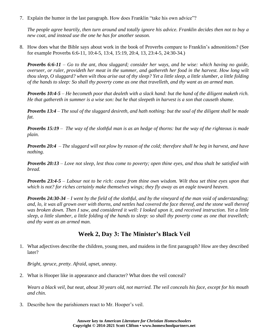7. Explain the humor in the last paragraph. How does Franklin "take his own advice"?

*The people agree heartily, then turn around and totally ignore his advice. Franklin decides then not to buy a new coat, and instead use the one he has for another season.*

8. How does what the Bible says about work in the book of Proverbs compare to Franklin's admonitions? (See for example Proverbs 6:6-11, 10:4-5, 13:4, 15:19, 20:4, 13, 23:4-5, 24:30-34.)

*Proverbs 6:6-11 – Go to the ant, thou sluggard; consider her ways, and be wise: which having no guide, overseer, or ruler, provideth her meat in the summer, and gathereth her food in the harvest. How long wilt thou sleep, O sluggard? when wilt thou arise out of thy sleep? Yet a little sleep, a little slumber, a little folding of the hands to sleep: So shall thy poverty come as one that travelleth, and thy want as an armed man.*

*Proverbs 10:4-5 – He becometh poor that dealeth with a slack hand: but the hand of the diligent maketh rich. He that gathereth in summer is a wise son: but he that sleepeth in harvest is a son that causeth shame.*

*Proverbs 13:4 – The soul of the sluggard desireth, and hath nothing: but the soul of the diligent shall be made fat.*

*Proverbs 15:19 – The way of the slothful man is as an hedge of thorns: but the way of the righteous is made plain.*

*Proverbs 20:4 – The sluggard will not plow by reason of the cold; therefore shall he beg in harvest, and have nothing.*

*Proverbs 20:13 – Love not sleep, lest thou come to poverty; open thine eyes, and thou shalt be satisfied with bread.*

*Proverbs 23:4-5 – Labour not to be rich: cease from thine own wisdom. Wilt thou set thine eyes upon that which is not? for riches certainly make themselves wings; they fly away as an eagle toward heaven.*

*Proverbs 24:30-34 – I went by the field of the slothful, and by the vineyard of the man void of understanding; and, lo, it was all grown over with thorns, and nettles had covered the face thereof, and the stone wall thereof was broken down. Then I saw, and considered it well: I looked upon it, and received instruction. Yet a little sleep, a little slumber, a little folding of the hands to sleep: so shall thy poverty come as one that travelleth; and thy want as an armed man.*

#### **Week 2, Day 3: The Minister's Black Veil**

1. What adjectives describe the children, young men, and maidens in the first paragraph? How are they described later?

*Bright, spruce, pretty. Afraid, upset, uneasy.*

2. What is Hooper like in appearance and character? What does the veil conceal?

*Wears a black veil, but neat, about 30 years old, not married. The veil conceals his face, except for his mouth and chin.*

3. Describe how the parishioners react to Mr. Hooper's veil.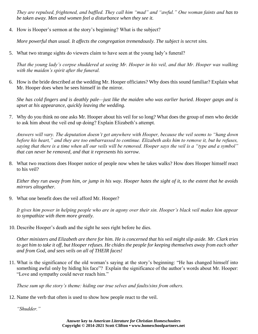*They are repulsed, frightened, and baffled. They call him "mad" and "awful." One woman faints and has to be taken away. Men and women feel a disturbance when they see it.*

4. How is Hooper's sermon at the story's beginning? What is the subject?

*More powerful than usual. It affects the congregation tremendously. The subject is secret sins.*

5. What two strange sights do viewers claim to have seen at the young lady's funeral?

*That the young lady's corpse shuddered at seeing Mr. Hooper in his veil, and that Mr. Hooper was walking with the maiden's spirit after the funeral.*

6. How is the bride described at the wedding Mr. Hooper officiates? Why does this sound familiar? Explain what Mr. Hooper does when he sees himself in the mirror.

*She has cold fingers and is deathly pale—just like the maiden who was earlier buried. Hooper gasps and is upset at his appearance, quickly leaving the wedding.*

7. Why do you think no one asks Mr. Hooper about his veil for so long? What does the group of men who decide to ask him about the veil end up doing? Explain Elizabeth's attempt.

*Answers will vary. The deputation doesn't get anywhere with Hooper, because the veil seems to "hang down before his heart," and they are too embarrassed to continue. Elizabeth asks him to remove it, but he refuses, saying that there is a time when all our veils will be removed. Hooper says the veil is a "type and a symbol" that can never be removed, and that it represents his sorrow.*

8. What two reactions does Hooper notice of people now when he takes walks? How does Hooper himself react to his veil?

*Either they run away from him, or jump in his way. Hooper hates the sight of it, to the extent that he avoids mirrors altogether.*

9. What one benefit does the veil afford Mr. Hooper?

*It gives him power in helping people who are in agony over their sin. Hooper's black veil makes him appear to sympathize with them more greatly.*

10. Describe Hooper's death and the sight he sees right before he dies.

*Other ministers and Elizabeth are there for him. He is concerned that his veil might slip aside. Mr. Clark tries*  to get him to take it off, but Hooper refuses. He chides the people for keeping themselves away from each other *and from God, and sees veils on all of THEIR faces!*

11. What is the significance of the old woman's saying at the story's beginning: "He has changed himself into something awful only by hiding his face"? Explain the significance of the author's words about Mr. Hooper: "Love and sympathy could never reach him."

*These sum up the story's theme: hiding our true selves and faults/sins from others.*

12. Name the verb that often is used to show how people react to the veil.

*"Shudder."*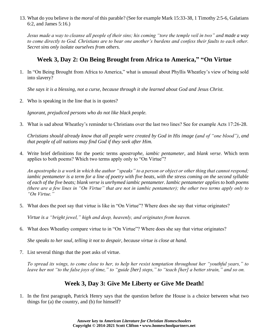13. What do you believe is the *moral* of this parable? (See for example Mark 15:33-38, 1 Timothy 2:5-6, Galatians 6:2, and James 5:16.)

*Jesus made a way to cleanse all people of their sins; his coming "tore the temple veil in two" and made a way*  to come directly to God. Christians are to bear one another's burdens and confess their faults to each other. *Secret sins only isolate ourselves from others.*

#### **Week 3, Day 2: On Being Brought from Africa to America, " "On Virtue**

1. In "On Being Brought from Africa to America," what is unusual about Phyllis Wheatley's view of being sold into slavery?

*She says it is a blessing, not a curse, because through it she learned about God and Jesus Christ.*

2. Who is speaking in the line that is in quotes?

*Ignorant, prejudiced persons who do not like black people.*

3. What is sad about Wheatley's reminder to Christians over the last two lines? See for example Acts 17:26-28.

*Christians should already know that all people were created by God in His image (and of "one blood"), and that people of all nations may find God if they seek after Him.*

4. Write brief definitions for the poetic terms *apostrophe*, *iambic pentameter*, and *blank verse*. Which term applies to both poems? Which two terms apply only to "On Virtue"?

*An apostrophe is a work in which the author "speaks" to a person or object or other thing that cannot respond; iambic pentameter is a term for a line of poetry with five beats, with the stress coming on the second syllable of each of the five beats; blank verse is unrhymed iambic pentameter. Iambic pentameter applies to both poems (there are a few lines in "On Virtue" that are not in iambic pentameter); the other two terms apply only to "On Virtue."*

5. What does the poet say that virtue is like in "On Virtue"? Where does she say that virtue originates?

*Virtue is a "bright jewel," high and deep, heavenly, and originates from heaven.*

6. What does Wheatley compare virtue to in "On Virtue"? Where does she say that virtue originates?

*She speaks to her soul, telling it not to despair, because virtue is close at hand.*

7. List several things that the poet asks of virtue.

*To spread its wings, to come close to her, to help her resist temptation throughout her "youthful years," to leave her not "to the false joys of time," to "guide [her] steps," to "teach [her] a better strain," and so on.*

#### **Week 3, Day 3: Give Me Liberty or Give Me Death!**

1. In the first paragraph, Patrick Henry says that the question before the House is a choice between what two things for (a) the country, and (b) for himself?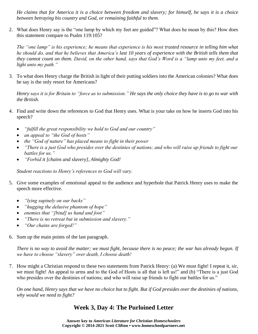*He claims that for America it is a choice between freedom and slavery; for himself, he says it is a choice between betraying his country and God, or remaining faithful to them.*

2. What does Henry say is the "one lamp by which my feet are guided"? What does he mean by this? How does this statement compare to Psalm 119:105?

*The "one lamp" is his experience; he means that experience is his most trusted resource in telling him what he should do, and that he believes that America's last 10 years of experience with the British tells them that they cannot count on them. David, on the other hand, says that God's Word is a "lamp unto my feet, and a light unto my path."*

3. To what does Henry charge the British in light of their putting soldiers into the American colonies? What does he say is the only resort for Americans?

*Henry says it is for Britain to "force us to submission." He says the only choice they have is to go to war with the British.* 

- 4. Find and write down the references to God that Henry uses. What is your take on how he inserts God into his speech?
	- *"fulfill the great responsibility we hold to God and our country"*
	- *an appeal to "the God of hosts"*
	- *the "God of nature" has placed means to fight in their power*
	- *"There is a just God who presides over the destinies of nations; and who will raise up friends to fight our battles for us."*
	- *"Forbid it [chains and slavery], Almighty God!*

*Student reactions to Henry's references to God will vary.*

- 5. Give some examples of emotional appeal to the audience and hyperbole that Patrick Henry uses to make the speech more effective.
	- *"lying supinely on our backs"*
	- *"hugging the delusive phantom of hope"*
	- *enemies that "[bind] us hand and foot"*
	- *"There is no retreat but in submission and slavery."*
	- *"Our chains are forged!"*
- 6. Sum up the main points of the last paragraph.

*There is no way to avoid the matter; we must fight, because there is no peace; the war has already begun. If we have to choose "slavery" over death, I choose death!*

7. How might a Christian respond to these two statements from Patrick Henry: (a) We must fight! I repeat it, sir, we must fight! An appeal to arms and to the God of Hosts is all that is left us!" and (b) "There is a just God who presides over the destinies of nations; and who will raise up friends to fight our battles for us."

*On one hand, Henry says that we have no choice but to fight. But if God presides over the destinies of nations, why would we need to fight?*

## **Week 3, Day 4: The Purloined Letter**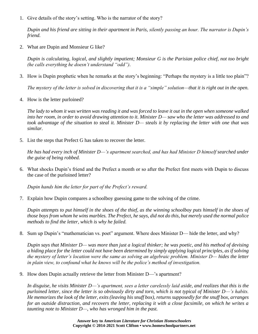1. Give details of the story's setting. Who is the narrator of the story?

*Dupin and his friend are sitting in their apartment in Paris, silently passing an hour. The narrator is Dupin's friend.*

2. What are Dupin and Monsieur G like?

*Dupin is calculating, logical, and slightly impatient; Monsieur G is the Parisian police chief, not too bright (he calls everything he doesn't understand "odd").*

3. How is Dupin prophetic when he remarks at the story's beginning: "Perhaps the mystery is a little too plain"?

*The mystery of the letter is solved in discovering that it is a "simple" solution—that it is right out in the open.*

4. How is the letter purloined?

*The lady to whom it was written was reading it and was forced to leave it out in the open when someone walked into her room, in order to avoid drawing attention to it. Minister D— saw who the letter was addressed to and took advantage of the situation to steal it. Minister D— steals it by replacing the letter with one that was similar.*

5. List the steps that Prefect G has taken to recover the letter.

*He has had every inch of Minister D—'s apartment searched, and has had Minister D himself searched under the guise of being robbed.*

6. What shocks Dupin's friend and the Prefect a month or so after the Prefect first meets with Dupin to discuss the case of the purloined letter?

*Dupin hands him the letter for part of the Prefect's reward.*

7. Explain how Dupin compares a schoolboy guessing game to the solving of the crime.

*Dupin attempts to put himself in the shoes of the thief, as the winning schoolboy puts himself in the shoes of those boys from whom he wins marbles. The Prefect, he says, did not do this, but merely used the normal police methods to find the letter, which is why he failed.*

8. Sum up Dupin's "mathematician vs. poet" argument. Where does Minister D— hide the letter, and why?

*Dupin says that Minister D— was more than just a logical thinker; he was poetic, and his method of devising a hiding place for the letter could not have been determined by simply applying logical principles, as if solving the mystery of letter's location were the same as solving an algebraic problem. Minister D— hides the letter in plain view, to confound what he knows will be the police's method of investigation.*

9. How does Dupin actually retrieve the letter from Minister D—'s apartment?

*In disguise, he visits Minister D—'s apartment, sees a letter carelessly laid aside, and realizes that this is the purloined letter, since the letter is so obviously dirty and torn, which is not typical of Minister D—'s habits. He memorizes the look of the letter, exits (leaving his snuff box), returns supposedly for the snuff box, arranges for an outside distraction, and recovers the letter, replacing it with a close facsimile, on which he writes a taunting note to Minister D—, who has wronged him in the past.*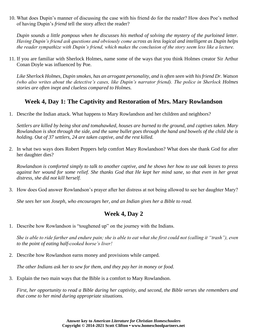10. What does Dupin's manner of discussing the case with his friend do for the reader? How does Poe's method of having Dupin's *friend* tell the story affect the reader?

*Dupin sounds a little pompous when he discusses his method of solving the mystery of the purloined letter. Having Dupin's friend ask questions and obviously come across as less logical and intelligent as Dupin helps the reader sympathize with Dupin's friend, which makes the conclusion of the story seem less like a lecture.*

11. If you are familiar with Sherlock Holmes, name some of the ways that you think Holmes creator Sir Arthur Conan Doyle was influenced by Poe.

*Like Sherlock Holmes, Dupin smokes, has an arrogant personality, and is often seen with his friend Dr. Watson (who also writes about the detective's cases, like Dupin's narrator friend). The police in Sherlock Holmes stories are often inept and clueless compared to Holmes.*

#### **Week 4, Day 1: The Captivity and Restoration of Mrs. Mary Rowlandson**

1. Describe the Indian attack. What happens to Mary Rowlandson and her children and neighbors?

*Settlers are killed by being shot and tomahawked, houses are burned to the ground, and captives taken. Mary Rowlandson is shot through the side, and the same bullet goes through the hand and bowels of the child she is holding. Out of 37 settlers, 24 are taken captive, and the rest killed.*

2. In what two ways does Robert Peppers help comfort Mary Rowlandson? What does she thank God for after her daughter dies?

*Rowlandson is comforted simply to talk to another captive, and he shows her how to use oak leaves to press against her wound for some relief. She thanks God that He kept her mind sane, so that even in her great distress, she did not kill herself.*

3. How does God answer Rowlandson's prayer after her distress at not being allowed to see her daughter Mary?

*She sees her son Joseph, who encourages her, and an Indian gives her a Bible to read.*

#### **Week 4, Day 2**

1. Describe how Rowlandson is "toughened up" on the journey with the Indians.

*She is able to ride farther and endure pain; she is able to eat what she first could not (calling it "trash"), even to the point of eating half-cooked horse's liver!*

2. Describe how Rowlandson earns money and provisions while camped.

*The other Indians ask her to sew for them, and they pay her in money or food.*

3. Explain the two main ways that the Bible is a comfort to Mary Rowlandson.

*First, her opportunity to read a Bible during her captivity, and second, the Bible verses she remembers and that come to her mind during appropriate situations.*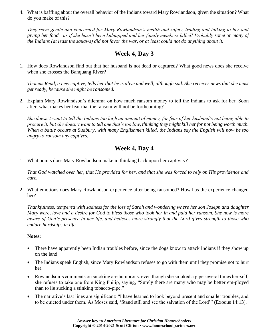4. What is baffling about the overall behavior of the Indians toward Mary Rowlandson, given the situation? What do you make of this?

*They seem gentle and concerned for Mary Rowlandson's health and safety, trading and talking to her and giving her food—as if she hasn't been kidnapped and her family members killed! Probably some or many of the Indians (at least the squaws) did not favor the war, or at least could not do anything about it.*

#### **Week 4, Day 3**

1. How does Rowlandson find out that her husband is not dead or captured? What good news does she receive when she crosses the Banquang River?

*Thomas Read, a new captive, tells her that he is alive and well, although sad. She receives news that she must get ready, because she might be ransomed.*

2. Explain Mary Rowlandson's dilemma on how much ransom money to tell the Indians to ask for her. Soon after, what makes her fear that the ransom will not be forthcoming?

*She doesn't want to tell the Indians too high an amount of money, for fear of her husband's not being able to procure it, but she doesn't want to tell one that's too low, thinking they might kill her for not being worth much. When a battle occurs at Sudbury, with many Englishmen killed, the Indians say the English will now be too angry to ransom any captives.*

#### **Week 4, Day 4**

1. What points does Mary Rowlandson make in thinking back upon her captivity?

*That God watched over her, that He provided for her, and that she was forced to rely on His providence and care.*

2. What emotions does Mary Rowlandson experience after being ransomed? How has the experience changed her?

*Thankfulness, tempered with sadness for the loss of Sarah and wondering where her son Joseph and daughter Mary were, love and a desire for God to bless those who took her in and paid her ransom. She now is more aware of God's presence in her life, and believes more strongly that the Lord gives strength to those who endure hardships in life.*

#### **Notes:**

- There have apparently been Indian troubles before, since the dogs know to attack Indians if they show up on the land.
- The Indians speak English, since Mary Rowlandson refuses to go with them until they promise not to hurt her.
- Rowlandson's comments on smoking are humorous: even though she smoked a pipe several times her-self, she refuses to take one from King Philip, saying, "Surely there are many who may be better em-ployed than to lie sucking a stinking tobacco-pipe."
- The narrative's last lines are significant: "I have learned to look beyond present and smaller troubles, and to be quieted under them. As Moses said, 'Stand still and see the salvation of the Lord'" (Exodus 14:13).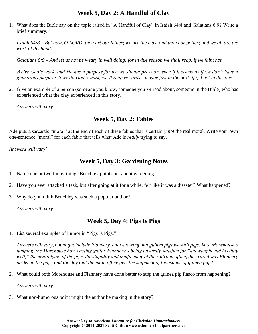#### **Week 5, Day 2: A Handful of Clay**

1. What does the Bible say on the topic raised in "A Handful of Clay" in Isaiah 64:8 and Galatians 6:9? Write a brief summary.

*Isaiah 64:8 – But now, O LORD, thou art our father; we are the clay, and thou our potter; and we all are the work of thy hand.*

*Galatians 6:9 – And let us not be weary in well doing: for in due season we shall reap, if we faint not.*

*We're God's work, and He has a purpose for us; we should press on, even if it seems as if we don't have a glamorous purpose, if we do God's work, we'll reap rewards—maybe just in the next life, if not in this one.*

2. Give an example of a person (someone you know, someone you've read about, someone in the Bible) who has experienced what the clay experienced in this story.

*Answers will vary!*

#### **Week 5, Day 2: Fables**

Ade puts a sarcastic "moral" at the end of each of these fables that is certainly *not* the real moral. Write your own one-sentence "moral" for each fable that tells what Ade is *really* trying to say.

*Answers will vary!*

#### **Week 5, Day 3: Gardening Notes**

- 1. Name one or two funny things Benchley points out about gardening.
- 2. Have you ever attacked a task, but after going at it for a while, felt like it was a disaster? What happened?
- 3. Why do you think Benchley was such a popular author?

*Answers will vary!*

#### **Week 5, Day 4: Pigs Is Pigs**

1. List several examples of humor in "Pigs Is Pigs."

*Answers will vary, but might include Flannery's not knowing that guinea pigs weren't pigs, Mrs. Morehouse's jumping, the Morehouse boy's acting guilty, Flannery's being inwardly satisfied for "knowing he did his duty well," the multiplying of the pigs, the stupidity and inefficiency of the railroad office, the crazed way Flannery packs up the pigs, and the day that the main office gets the shipment of thousands of guinea pigs!*

2. What could both Morehouse and Flannery have done better to stop the guinea pig fiasco from happening?

*Answers will vary!*

3. What non-humorous point might the author be making in the story?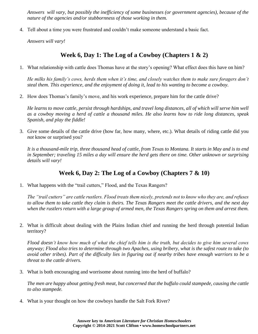*Answers will vary, but possibly the inefficiency of some businesses (or government agencies), because of the nature of the agencies and/or stubbornness of those working in them.*

4. Tell about a time you were frustrated and couldn't make someone understand a basic fact.

*Answers will vary!*

#### **Week 6, Day 1: The Log of a Cowboy (Chapters 1 & 2)**

1. What relationship with cattle does Thomas have at the story's opening? What effect does this have on him?

*He milks his family's cows, herds them when it's time, and closely watches them to make sure foragers don't steal them. This experience, and the enjoyment of doing it, lead to his wanting to become a cowboy.*

2. How does Thomas's family's move, and his work experience, prepare him for the cattle drive?

*He learns to move cattle, persist through hardships, and travel long distances, all of which will serve him well as a cowboy moving a herd of cattle a thousand miles. He also learns how to ride long distances, speak Spanish, and play the fiddle!*

3. Give some details of the cattle drive (how far, how many, where, etc.). What details of riding cattle did you *not* know or surprised you?

*It is a thousand-mile trip, three thousand head of cattle, from Texas to Montana. It starts in May and is to end in September; traveling 15 miles a day will ensure the herd gets there on time. Other unknown or surprising details will vary!*

#### **Week 6, Day 2: The Log of a Cowboy (Chapters 7 & 10)**

1. What happens with the "trail cutters," Flood, and the Texas Rangers?

*The "trail cutters" are cattle rustlers. Flood treats them nicely, pretends not to know who they are, and refuses to allow them to take cattle they claim is theirs. The Texas Rangers meet the cattle drivers, and the next day when the rustlers return with a large group of armed men, the Texas Rangers spring on them and arrest them.*

2. What is difficult about dealing with the Plains Indian chief and running the herd through potential Indian territory?

*Flood doesn't know how much of what the chief tells him is the truth, but decides to give him several cows anyway; Flood also tries to determine through two Apaches, using bribery, what is the safest route to take (to avoid other tribes). Part of the difficulty lies in figuring out if nearby tribes have enough warriors to be a threat to the cattle drivers.*

3. What is both encouraging and worrisome about running into the herd of buffalo?

*The men are happy about getting fresh meat, but concerned that the buffalo could stampede, causing the cattle to also stampede.*

4. What is your thought on how the cowboys handle the Salt Fork River?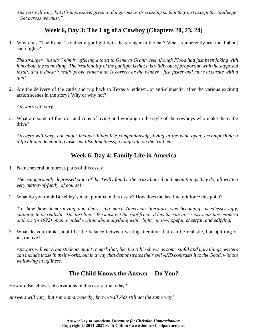*Answers will vary, but it's impressive, given as dangerous as its crossing is, that they just accept the challenge: "Get across we must."*

## **Week 6, Day 3: The Log of a Cowboy (Chapters 20, 23, 24)**

1. Why does "The Rebel" conduct a gunfight with the stranger in the bar? What is inherently irrational about such fights?

*The stranger "insults" him by offering a toast to General Grant; even though Flood had just been joking with him about the same thing. The irrationality of the gunfight is that it is wildly out of proportion with the supposed insult, and it doesn't really prove either man is correct or the winner—just faster and more accurate with a gun!*

2. Are the delivery of the cattle and trip back to Texas a letdown, or anti-climactic, after the various exciting action scenes in the story? Why or why not?

*Answers will vary.*

3. What are some of the pros and cons of living and working in the style of the cowboys who make the cattle drive?

*Answers will vary, but might include things like companionship, living in the wide open, accomplishing a difficult and demanding task; but also loneliness, a tough life on the trail, etc.*

## **Week 6, Day 4: Family Life in America**

1. Name several humorous parts of this essay.

*The exaggeratedly depressed state of the Twilly family, the crazy hatred and mean things they do, all written very matter-of-factly, of course!*

2. What do you think Benchley's main point is in this essay? How does the last line reinforce this point?

*To show how demoralizing and depressing much American literature was becoming—needlessly ugly, claiming to be realistic. The last line, "We must get the roof fixed...it lets the sun in," represents how modern authors (in 1922) often avoided writing about anything with "light" in it—hopeful, cheerful, and edifying.*

3. What do you think should be the balance between writing literature that can be realistic, but uplifting or instructive?

*Answers will vary, but students might remark that, like the Bible shows us some sinful and ugly things, writers can include those in their works, but in a way that demonstrates their evil AND contrasts it to the Good, without wallowing in ugliness.*

## **The Child Knows the Answer—Do You?**

How are Benchley's observations in this essay true today?

*Answers will vary, but some smart-alecky, know-it-all kids still act the same way!*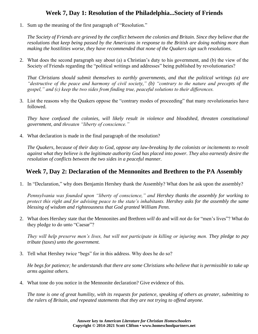#### **Week 7, Day 1: Resolution of the Philadelphia...Society of Friends**

1. Sum up the meaning of the first paragraph of "Resolution."

*The Society of Friends are grieved by the conflict between the colonies and Britain. Since they believe that the resolutions that keep being passed by the Americans in response to the British are doing nothing more than making the hostilities worse, they have recommended that none of the Quakers sign such resolutions.*

2. What does the second paragraph say about (a) a Christian's duty to his government, and (b) the view of the Society of Friends regarding the "political writings and addresses" being published by revolutionaries?

*That Christians should submit themselves to earthly governments, and that the political writings (a) are "destructive of the peace and harmony of civil society," (b) "contrary to the nature and precepts of the gospel," and (c) keep the two sides from finding true, peaceful solutions to their differences.*

3. List the reasons why the Quakers oppose the "contrary modes of proceeding" that many revolutionaries have followed.

*They have confused the colonies, will likely result in violence and bloodshed, threaten constitutional government, and threaten "liberty of conscience."*

4. What declaration is made in the final paragraph of the resolution?

*The Quakers, because of their duty to God, oppose any law-breaking by the colonists or incitements to revolt against what they believe is the legitimate authority God has placed into power. They also earnestly desire the resolution of conflicts between the two sides in a peaceful manner.*

#### **Week 7, Day 2: Declaration of the Mennonites and Brethren to the PA Assembly**

1. In "Declaration," why does Benjamin Hershey thank the Assembly? What does he ask upon the assembly?

*Pennsylvania was founded upon "liberty of conscience," and Hershey thanks the assembly for working to protect this right and for advising peace to the state's inhabitants. Hershey asks for the assembly the same blessing of wisdom and righteousness that God granted William Penn.*

2. What does Hershey state that the Mennonites and Brethren *will* do and will *not* do for "men's lives"? What do they pledge to do unto "Caesar"?

*They will help preserve men's lives, but will not participate in killing or injuring men. They pledge to pay tribute (taxes) unto the government.*

3. Tell what Hershey twice "begs" for in this address. Why does he do so?

*He begs for patience; he understands that there are some Christians who believe that is permissible to take up arms against others.*

4. What tone do you notice in the Mennonite declaration? Give evidence of this.

*The tone is one of great humility, with its requests for patience, speaking of others as greater, submitting to the rulers of Britain, and repeated statements that they are not trying to offend anyone.*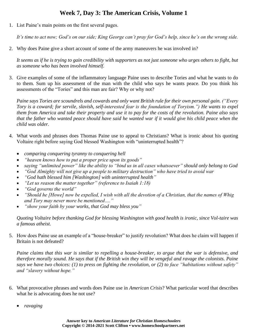## **Week 7, Day 3: The American Crisis, Volume 1**

1. List Paine's main points on the first several pages.

*It's time to act now; God's on our side; King George can't pray for God's help, since he's on the wrong side.*

2. Why does Paine give a short account of some of the army maneuvers he was involved in?

*It seems as if he is trying to gain credibility with supporters as not just someone who urges others to fight, but as someone who has been involved himself.*

3. Give examples of some of the inflammatory language Paine uses to describe Tories and what he wants to do to them. Sum up his assessment of the man with the child who says he wants peace. Do you think his assessments of the "Tories" and this man are fair? Why or why not?

*Paine says Tories are scoundrels and cowards and only want British rule for their own personal gain. ("Every Tory is a coward; for servile, slavish, self-interested fear is the foundation of Toryism.") He wants to expel them from America and take their property and use it to pay for the costs of the revolution. Paine also says that the father who wanted peace should have said he wanted war if it would give his child peace when the child was older.*

- 4. What words and phrases does Thomas Paine use to appeal to Christians? What is ironic about his quoting Voltaire right before saying God blessed Washington with "uninterrupted health"?
	- *comparing conquering tyranny to conquering hell*
	- *"heaven knows how to put a proper price upon its goods"*
	- *saying "unlimited power" like the ability to "bind us in all cases whatsoever" should only belong to God*
	- *"God Almighty will not give up a people to military destruction" who have tried to avoid war*
	- *"God hath blessed him [Washington] with uninterrupted health"*
	- *"Let us reason the matter together" (reference to Isaiah 1:18)*
	- *"God governs the world"*
	- *"Should he [Howe] now be expelled, I wish with all the devotion of a Christian, that the names of Whig and Tory may never more be mentioned…."*
	- *"show your faith by your works, that God may bless you"*

*Quoting Voltaire before thanking God for blessing Washington with good health is ironic, since Vol-taire was a famous atheist.*

5. How does Paine use an example of a "house-breaker" to justify revolution? What does he claim will happen if Britain is not defeated?

*Paine claims that this war is similar to repelling a house-breaker, to argue that the war is defensive, and therefore morally sound. He says that if the British win they will be vengeful and ravage the colonists. Paine says we have two choices: (1) to press on fighting the revolution, or (2) to face "habitations without safety" and "slavery without hope."*

- 6. What provocative phrases and words does Paine use in *American Crisis*? What particular word that describes what he is advocating does he not use?
	- *ravaging*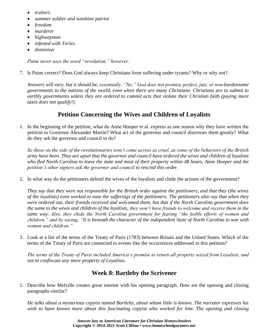- *traitors*
- *summer soldier and sunshine patriot*
- *freedom*
- *murderer*
- *highwayman*
- *infested with Tories*
- *dominion*

*Paine never uses the word "revolution," however.*

7. Is Paine correct? Does God always keep Christians from suffering under tyrants? Why or why not?

*Answers will vary, but it should be, essentially, "No." God does not promise perfect, just, or non-burdensome governments to the nations of the world, even when there are many Christians. Christians are to submit to earthly governments unless they are ordered to commit acts that violate their Christian faith (paying more taxes does not qualify!).*

## **Petition Concerning the Wives and Children of Loyalists**

1. In the beginning of the petition, what do Anne Hooper et al. express as one reason why they have written the petition to Governor Alexander Martin? What act of the governor and council distresses them greatly? What do they ask the governor and council to do?

*So those on the side of the revolutionaries won't come across as cruel, as some of the behaviors of the British army have been. They are upset that the governor and council have ordered the wives and children of loyalists who fled North Carolina to leave the state and most of their property within 48 hours. Anne Hooper and the petition's other signers ask the governor and council to rescind this order.*

2. In what way do the petitioners defend the wives of the loyalists and chide the actions of the government?

*They say that they were not responsible for the British order against the petitioners, and that they (the wives of the loyalists) even worked to ease the sufferings of the petitioners. The petitioners also say that when they were ordered out, their friends received and welcomed them, but that if the North Carolina government does the same to the wives and children of the loyalists, they won't have friends to welcome and receive them in the same way. Also, they chide the North Carolina government for fearing "the feeble efforts of women and children," and by saying, "It is beneath the character of the independent State of North Carolina to war with women and children."*

3. Look at a list of the terms of the Treaty of Paris (1783) between Britain and the United States. Which of the terms of the Treaty of Paris are connected to events like the occurrences addressed in this petition?

*The terms of the Treaty of Paris included America's promise to return all property seized from Loyalists, and not to confiscate any more property of Loyalists.*

#### **Week 8: Bartleby the Scrivener**

1. Describe how Melville creates great interest with his opening paragraph. How are the opening and closing paragraphs similar?

*He talks about a mysterious copyist named Bartleby, about whom little is known. The narrator expresses his*  wish to have known more about this fascinating copyist who worked for him. The opening and closing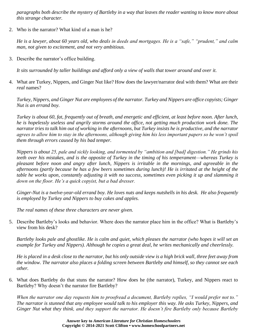*paragraphs both describe the mystery of Bartleby in a way that leaves the reader wanting to know more about this strange character.*

2. Who is the narrator? What kind of a man is he?

*He is a lawyer, about 60 years old, who deals in deeds and mortgages. He is a "safe," "prudent," and calm man, not given to excitement, and not very ambitious.*

3. Describe the narrator's office building.

*It sits surrounded by taller buildings and afford only a view of walls that tower around and over it.*

4. What are Turkey, Nippers, and Ginger Nut like? How does the lawyer/narrator deal with them? What are their *real* names?

*Turkey, Nippers, and Ginger Nut are employees of the narrator. Turkey and Nippers are office copyists; Ginger Nut is an errand boy.*

*Turkey is about 60, fat, frequently out of breath, and energetic and efficient, at least before noon. After lunch, he is hopelessly useless and angrily storms around the office, not getting much production work done. The narrator tries to talk him out of working in the afternoons, but Turkey insists he is productive, and the narrator agrees to allow him to stay in the afternoons, although giving him his less important papers so he won't spoil them through errors caused by his bad temper.*

*Nippers is about 25, pale and sickly looking, and tormented by "ambition and [bad] digestion." He grinds his teeth over his mistakes, and is the opposite of Turkey in the timing of his temperament—whereas Turkey is pleasant before noon and angry after lunch, Nippers is irritable in the mornings, and agreeable in the afternoons (partly because he has a few beers sometimes during lunch)! He is irritated at the height of the table he works upon, constantly adjusting it with no success, sometimes even picking it up and slamming it down on the floor. He's a quick copyist, but a bad dresser.*

*Ginger-Nut is a twelve-year-old errand boy. He loves nuts and keeps nutshells in his desk. He also frequently is employed by Turkey and Nippers to buy cakes and apples.*

*The real names of these three characters are never given.*

5. Describe Bartleby's looks and behavior. Where does the narrator place him in the office? What is Bartleby's view from his desk?

*Bartleby looks pale and ghostlike. He is calm and quiet, which pleases the narrator (who hopes it will set an example for Turkey and Nippers). Although he copies a great deal, he writes mechanically and cheerlessly.*

*He is placed in a desk close to the narrator, but his only outside view is a high brick wall, three feet away from the window. The narrator also places a folding screen between Bartleby and himself, so they cannot see each other.*

6. What does Bartleby do that stuns the narrator? How does he (the narrator), Turkey, and Nippers react to Bartleby? Why doesn't the narrator fire Bartleby?

*When the narrator one day requests him to proofread a document, Bartleby replies, "I would prefer not to." The narrator is stunned that any employee would talk to his employer this way. He asks Turkey, Nippers, and Ginger Nut what they think, and they support the narrator. He doesn't fire Bartleby only because Bartleby*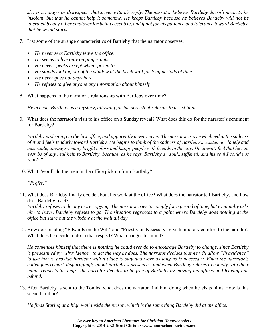*shows no anger or disrespect whatsoever with his reply. The narrator believes Bartleby doesn't mean to be insolent, but that he cannot help it somehow. He keeps Bartleby because he believes Bartleby will not be tolerated by any other employer for being eccentric, and if not for his patience and tolerance toward Bartleby, that he would starve.*

- 7. List some of the strange characteristics of Bartleby that the narrator observes.
	- *He never sees Bartleby leave the office.*
	- *He seems to live only on ginger nuts.*
	- *He never speaks except when spoken to.*
	- *He stands looking out of the window at the brick wall for long periods of time.*
	- *He never goes out anywhere.*
	- *He refuses to give anyone any information about himself.*
- 8. What happens to the narrator's relationship with Bartleby over time?

*He accepts Bartleby as a mystery, allowing for his persistent refusals to assist him.*

9. What does the narrator's visit to his office on a Sunday reveal? What does this do for the narrator's sentiment for Bartleby?

*Bartleby is sleeping in the law office, and apparently never leaves. The narrator is overwhelmed at the sadness of it and feels tenderly toward Bartleby. He begins to think of the sadness of Bartleby's existence—lonely and miserable, among so many bright colors and happy people with friends in the city. He doesn't feel that he can ever be of any real help to Bartleby, because, as he says, Bartleby's "soul...suffered, and his soul I could not reach."*

10. What "word" do the men in the office pick up from Bartleby?

*"Prefer."*

11. What does Bartleby finally decide about his work at the office? What does the narrator tell Bartleby, and how does Bartleby react?

*Bartleby refuses to do any more copying. The narrator tries to comply for a period of time, but eventually asks him to leave. Bartleby refuses to go. The situation regresses to a point where Bartleby does nothing at the office but stare out the window at the wall all day.*

12. How does reading "Edwards on the Will" and "Priestly on Necessity" give temporary comfort to the narrator? What does he decide to do in that respect? What changes his mind?

*He convinces himself that there is nothing he could ever do to encourage Bartleby to change, since Bartleby is predestined by "Providence" to act the way he does. The narrator decides that he will allow "Providence" to use him to provide Bartleby with a place to stay and work as long as is necessary. When the narrator's colleagues remark disparagingly about Bartleby's presence—and when Bartleby refuses to comply with their minor requests for help—the narrator decides to be free of Bartleby by moving his offices and leaving him behind.*

13. After Bartleby is sent to the Tombs, what does the narrator find him doing when he visits him? How is this scene familiar?

*He finds Staring at a high wall inside the prison, which is the same thing Bartleby did at the office.*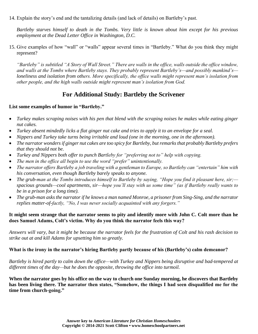14. Explain the story's end and the tantalizing details (and lack of details) on Bartleby's past.

*Bartleby starves himself to death in the Tombs. Very little is known about him except for his previous employment at the Dead Letter Office in Washington, D.C.*

15. Give examples of how "wall" or "walls" appear several times in "Bartleby." What do you think they might represent?

*"Bartleby" is subtitled "A Story of Wall Street." There are walls in the office, walls outside the office window, and walls at the Tombs where Bartleby stays. They probably represent Bartleby's—and possibly mankind's loneliness and isolation from others. More specifically, the office walls might represent man's isolation from other people, and the high walls outside might represent man's isolation from God.*

#### **For Additional Study: Bartleby the Scrivener**

#### **List some examples of humor in "Bartleby."**

- *Turkey makes scraping noises with his pen that blend with the scraping noises he makes while eating ginger nut cakes.*
- *Turkey absent mindedly licks a flat ginger nut cake and tries to apply it to an envelope for a seal.*
- *Nippers and Turkey take turns being irritable and loud (one in the morning, one in the afternoon).*
- *The narrator wonders if ginger nut cakes are too spicy for Bartleby, but remarks that probably Bartleby prefers that they should not be.*
- *Turkey and Nippers both offer to punch Bartleby for "preferring not to" help with copying.*
- *The men in the office all begin to use the word "prefer" unintentionally.*
- *The narrator offers Bartleby a job traveling with a gentleman to Europe, so Bartleby can "entertain" him with his conversation, even though Bartleby barely speaks to anyone.*
- *The grub-man at the Tombs introduces himself to Bartleby by saying, "Hope you find it pleasant here, sir; spacious grounds—cool apartments, sir—hope you'll stay with us some time" (as if Bartleby really wants to be in a prison for a long time).*
- *The grub-man asks the narrator if he knows a man named Monroe, a prisoner from Sing-Sing, and the narrator replies matter-of-factly, "No, I was never socially acquainted with any forgers."*

#### **It might seem strange that the narrator seems to pity and identify more with John C. Colt more than he does Samuel Adams, Colt's victim. Why do you think the narrator feels this way?**

*Answers will vary, but it might be because the narrator feels for the frustration of Colt and his rash decision to strike out at and kill Adams for upsetting him so greatly.*

#### **What is the irony in the narrator's hiring Bartleby partly because of his (Bartleby's) calm demeanor?**

*Bartleby is hired partly to calm down the office—with Turkey and Nippers being disruptive and bad-tempered at different times of the day—but he does the opposite, throwing the office into turmoil.*

**When the narrator goes by his office on the way to church one Sunday morning, he discovers that Bartleby has been living there. The narrator then states, "Somehow, the things I had seen disqualified me for the time from church-going."**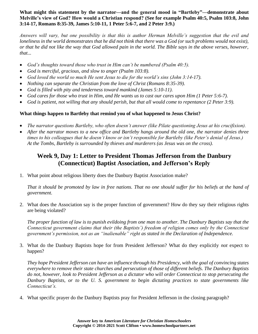#### **What might this statement by the narrator—and the general mood in "Bartleby"—demonstrate about Melville's view of God? How would a Christian respond? (See for example Psalm 40:5, Psalm 103:8, John 3:14-17, Romans 8:35-39, James 5:10-11, 1 Peter 5:6-7, and 2 Peter 3:9.)**

*Answers will vary, but one possibility is that this is author Herman Melville's suggestion that the evil and*  loneliness in the world demonstrates that he did not think that there was a God (or such problems would not exist), *or that he did not like the way that God allowed pain in the world. The Bible says in the above verses, however, that...*

- *God's thoughts toward those who trust in Him can't be numbered (Psalm 40:5).*
- *God is merciful, gracious, and slow to anger (Psalm 103:8).*
- *God loved the world so much He sent Jesus to die for the world's sins (John 3:14-17).*
- *Nothing can separate the Christian from the love of Christ (Romans 8:35-39).*
- *God is filled with pity and tenderness toward mankind (James 5:10-11).*
- *God cares for those who trust in Him, and He wants us to cast our cares upon Him (1 Peter 5:6-7).*
- *God is patient, not willing that any should perish, but that all would come to repentance (2 Peter 3:9).*

#### **What things happen to Bartleby that remind you of what happened to Jesus Christ?**

- *The narrator questions Bartleby, who often doesn't answer (like Pilate questioning Jesus at his crucifixion).*
- *After the narrator moves to a new office and Bartleby hangs around the old one, the narrator denies three times to his colleagues that he doesn't know or isn't responsible for Bartleby (like Peter's denial of Jesus.) At the Tombs, Bartleby is surrounded by thieves and murderers (as Jesus was on the cross).*

#### **Week 9, Day 1: Letter to President Thomas Jefferson from the Danbury (Connecticut) Baptist Association, and Jefferson's Reply**

1. What point about religious liberty does the Danbury Baptist Association make?

*That it should be promoted by law in free nations. That no one should suffer for his beliefs at the hand of government.*

2. What does the Association say is the proper function of government? How do they say their religious rights are being violated?

*The proper function of law is to punish evildoing from one man to another. The Danbury Baptists say that the Connecticut government claims that their (the Baptists') freedom of religion comes only by the Connecticut government's permission, not as an "inalienable" right as stated in the Declaration of Independence.*

3. What do the Danbury Baptists hope for from President Jefferson? What do they explicitly *not* expect to happen?

*They hope President Jefferson can have an influence through his Presidency, with the goal of convincing states everywhere to remove their state churches and persecution of those of different beliefs. The Danbury Baptists do not, however, look to President Jefferson as a dictator who will order Connecticut to stop persecuting the Danbury Baptists, or to the U. S. government to begin dictating practices to state governments like Connecticut's.*

4. What specific prayer do the Danbury Baptists pray for President Jefferson in the closing paragraph?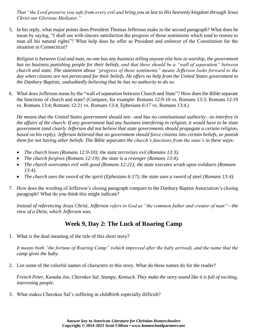*That "the Lord preserve you safe from every evil and bring you at last to His heavenly kingdom through Jesus Christ our Glorious Mediator."*

5. In his reply, what major points does President Thomas Jefferson make in the second paragraph? What does he mean by saying, "I shall see with sincere satisfaction the progress of those sentiments which tend to restore to man all his natural rights"? What help does he offer as President and enforcer of the Constitution for the situation in Connecticut?

*Religion is between God and man, no one has any business telling anyone else how to worship, the government has no business punishing people for their beliefs, and that there should be a "wall of separation" between church and state. The statement about "progress of those sentiments" means Jefferson looks forward to the day when citizens are not persecuted for their beliefs. He offers no help from the United States government to the Danbury Baptists, undoubtedly believing that he has no authority to do so.*

6. What does Jefferson mean by the "wall of separation between Church and State"? How does the Bible separate the functions of church and state? (Compare, for example: Romans 12:9-10 vs. Romans 13:3; Romans 12:19 vs. Romans 13:4; Romans 12:21 vs. Romans 13:4; Ephesians 6:17 vs. Romans 13:4.)

*He means that the United States government should not—and has no constitutional authority—to interfere in the affairs of the church. If any government had any business interfering in religion, it would have to be state government (and clearly Jefferson did not believe that state governments should propagate a certain religion, based on his reply). Jefferson believed that no government should force citizens into certain beliefs, or punish them for not having other beliefs. The Bible separates the church's functions from the state's in these ways:*

- *The church loves (Romans 12:9-10); the state terrorizes evil (Romans 13:3).*
- *The church forgives (Romans 12:19); the state is a revenger (Romans 13:4).*
- *The church overcomes evil with good (Romans 12:21); the state executes wrath upon evildoers (Romans 13:4).*
- *The church uses the sword of the spirit (Ephesians 6:17); the state uses a sword of steel (Romans 13:4).*
- 7. How does the wording of Jefferson's closing paragraph compare to the Danbury Baptist Association's closing paragraph? What do you think this might indicate?

*Instead of referencing Jesus Christ, Jefferson refers to God as "the common father and creator of man"—the view of a Deist, which Jefferson was.*

#### **Week 9, Day 2: The Luck of Roaring Camp**

1. What is the dual meaning of the title of this short story?

*It means both "the fortune of Roaring Camp" (which improved after the baby arrived), and the name that the camp gives the baby.*

2. List some of the colorful names of characters in this story. What do these names do for the reader?

*French Peter, Kanaka Joe, Cherokee Sal, Stumpy, Kentuck. They make the story sound like it is full of exciting, interesting people.*

3. What makes Cherokee Sal's suffering in childbirth especially difficult?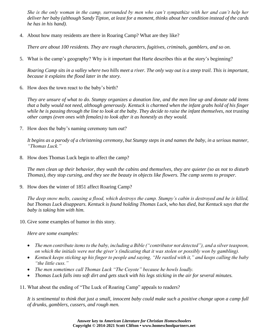*She is the only woman in the camp, surrounded by men who can't sympathize with her and can't help her deliver her baby (although Sandy Tipton, at least for a moment, thinks about her condition instead of the cards he has in his hand).*

4. About how many residents are there in Roaring Camp? What are they like?

*There are about 100 residents. They are rough characters, fugitives, criminals, gamblers, and so on.* 

5. What is the camp's geography? Why is it important that Harte describes this at the story's beginning?

*Roaring Camp sits in a valley where two hills meet a river. The only way out is a steep trail. This is important, because it explains the flood later in the story.*

6. How does the town react to the baby's birth?

*They are unsure of what to do. Stumpy organizes a donation line, and the men line up and donate odd items that a baby would not need, although generously. Kentuck is charmed when the infant grabs hold of his finger while he is passing through the line to look at the baby. They decide to raise the infant themselves, not trusting other camps (even ones with females) to look after it as honestly as they would.*

7. How does the baby's naming ceremony turn out?

*It begins as a parody of a christening ceremony, but Stumpy steps in and names the baby, in a serious manner, "Thomas Luck."*

8. How does Thomas Luck begin to affect the camp?

*The men clean up their behavior, they wash the cabins and themselves, they are quieter (so as not to disturb Thomas), they stop cursing, and they see the beauty in objects like flowers. The camp seems to prosper.*

9. How does the winter of 1851 affect Roaring Camp?

*The deep snow melts, causing a flood, which destroys the camp. Stumpy's cabin is destroyed and he is killed, but Thomas Luck disappears. Kentuck is found holding Thomas Luck, who has died, but Kentuck says that the baby is taking him with him.*

10. Give some examples of humor in this story.

*Here are some examples:*

- *The men contribute items to the baby, including a Bible ("contributor not detected"), and a silver teaspoon, on which the initials were not the giver's (indicating that it was stolen or possibly won by gambling).*
- *Kentuck keeps sticking up his finger to people and saying, "He rastled with it," and keeps calling the baby "the little cuss."*
- *The men sometimes call Thomas Luck "The Coyote" because he howls loudly.*
- *Thomas Luck falls into soft dirt and gets stuck with his legs sticking in the air for several minutes.*
- 11. What about the ending of "The Luck of Roaring Camp" appeals to readers?

*It is sentimental to think that just a small, innocent baby could make such a positive change upon a camp full of drunks, gamblers, cussers, and rough men.*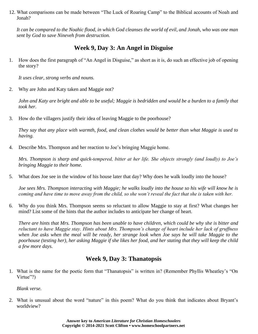12. What comparisons can be made between "The Luck of Roaring Camp" to the Biblical accounts of Noah and Jonah?

*It can be compared to the Noahic flood, in which God cleanses the world of evil, and Jonah, who was one man sent by God to save Nineveh from destruction.*

#### **Week 9, Day 3: An Angel in Disguise**

1. How does the first paragraph of "An Angel in Disguise," as short as it is, do such an effective job of opening the story?

*It uses clear, strong verbs and nouns.*

2. Why are John and Katy taken and Maggie not?

*John and Katy are bright and able to be useful; Maggie is bedridden and would be a burden to a family that took her.*

3. How do the villagers justify their idea of leaving Maggie to the poorhouse?

*They say that any place with warmth, food, and clean clothes would be better than what Maggie is used to having.*

4. Describe Mrs. Thompson and her reaction to Joe's bringing Maggie home.

*Mrs. Thompson is sharp and quick-tempered, bitter at her life. She objects strongly (and loudly) to Joe's bringing Maggie to their home.*

5. What does Joe see in the window of his house later that day? Why does he walk loudly into the house?

*Joe sees Mrs. Thompson interacting with Maggie; he walks loudly into the house so his wife will know he is coming and have time to move away from the child, so she won't reveal the fact that she is taken with her.*

6. Why do you think Mrs. Thompson seems so reluctant to allow Maggie to stay at first? What changes her mind? List some of the hints that the author includes to anticipate her change of heart.

*There are hints that Mrs. Thompson has been unable to have children, which could be why she is bitter and reluctant to have Maggie stay. Hints about Mrs. Thompson's change of heart include her lack of gruffness when Joe asks when the meal will be ready, her strange look when Joe says he will take Maggie to the poorhouse (testing her), her asking Maggie if she likes her food, and her stating that they will keep the child a few more days.*

#### **Week 9, Day 3: Thanatopsis**

1. What is the name for the poetic form that "Thanatopsis" is written in? (Remember Phyllis Wheatley's "On Virtue"?)

*Blank verse.*

2. What is unusual about the word "nature" in this poem? What do you think that indicates about Bryant's worldview?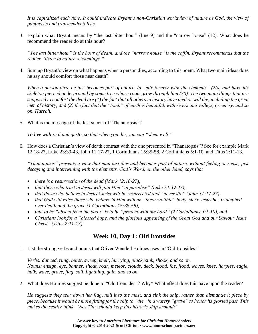It is capitalized each time. It could indicate Bryant's non-Christian worldview of nature as God, the view of *pantheists and transcendentalists.*

3. Explain what Bryant means by "the last bitter hour" (line 9) and the "narrow house" (12). What does he recommend the reader do at this hour?

*"The last bitter hour" is the hour of death, and the "narrow house" is the coffin. Bryant recommends that the reader "listen to nature's teachings."*

4. Sum up Bryant's view on what happens when a person dies, according to this poem. What two main ideas does he say should comfort those near death?

*When a person dies, he just becomes part of nature, to "mix forever with the elements" (26), and have his skeleton pierced underground by some tree whose roots grow through him (30). The two main things that are supposed to comfort the dead are (1) the fact that all others in history have died or will die, including the great men of history, and (2) the fact that the "tomb" of earth is beautiful, with rivers and valleys, greenery, and so on. Hurrah.*

5. What is the message of the last stanza of "Thanatopsis"?

*To live with zeal and gusto, so that when you die, you can "sleep well."*

6. How does a Christian's view of death contrast with the one presented in "Thanatopsis"? See for example Mark 12:18-27, Luke 23:39-43, John 11:17-27, 1 Corinthians 15:35-58, 2 Corinthians 5:1-10, and Titus 2:11-13.

*"Thanatopsis" presents a view that man just dies and becomes part of nature, without feeling or sense, just decaying and intertwining with the elements. God's Word, on the other hand, says that*

- *there is a resurrection of the dead (Mark 12:18-27),*
- *that those who trust in Jesus will join Him "in paradise" (Luke 23:39-43),*
- *that those who believe in Jesus Christ will be resurrected and "never die" (John 11:17-27),*
- *that God will raise those who believe in Him with an "incorruptible" body, since Jesus has triumphed over death and the grave (1 Corinthians 15:35-58),*
- *that to be "absent from the body" is to be "present with the Lord" (2 Corinthians 5:1-10), and*
- *Christians look for a "blessed hope, and the glorious appearing of the Great God and our Saviour Jesus Christ" (Titus 2:11-13).*

#### **Week 10, Day 1: Old Ironsides**

1. List the strong verbs and nouns that Oliver Wendell Holmes uses in "Old Ironsides."

*Verbs: danced, rung, burst, sweep, knelt, hurrying, pluck, sink, shook, and so on. Nouns: ensign, eye, banner, shout, roar, meteor, clouds, deck, blood, foe, flood, waves, knee, harpies, eagle, hulk, wave, grave, flag, sail, lightning, gale, and so on.*

2. What does Holmes suggest be done to "Old Ironsides"? Why? What effect does this have upon the reader?

*He suggests they tear down her flag, nail it to the mast, and sink the ship, rather than dismantle it piece by piece, because it would be more fitting for the ship to "die" in a watery "grave" to honor its gloried past. This makes the reader think, "No! They should keep this historic ship around!"*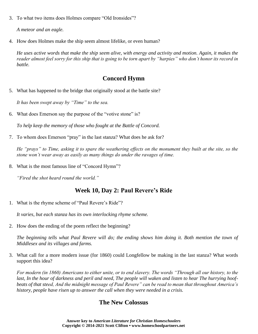3. To what two items does Holmes compare "Old Ironsides"?

*A meteor and an eagle.*

4. How does Holmes make the ship seem almost lifelike, or even human?

*He uses active words that make the ship seem alive, with energy and activity and motion. Again, it makes the reader almost feel sorry for this ship that is going to be torn apart by "harpies" who don't honor its record in battle.*

#### **Concord Hymn**

5. What has happened to the bridge that originally stood at the battle site?

*It has been swept away by "Time" to the sea.*

6. What does Emerson say the purpose of the "votive stone" is?

*To help keep the memory of those who fought at the Battle of Concord.*

7. To whom does Emerson "pray" in the last stanza? What does he ask for?

*He "prays" to Time, asking it to spare the weathering effects on the monument they built at the site, so the stone won't wear away as easily as many things do under the ravages of time.*

8. What is the most famous line of "Concord Hymn"?

*"Fired the shot heard round the world."*

#### **Week 10, Day 2: Paul Revere's Ride**

1. What is the rhyme scheme of "Paul Revere's Ride"?

*It varies, but each stanza has its own interlocking rhyme scheme.*

2. How does the ending of the poem reflect the beginning?

*The beginning tells what Paul Revere will do; the ending shows him doing it. Both mention the town of Middlesex and its villages and farms.*

3. What call for a more modern issue (for 1860) could Longfellow be making in the last stanza? What words support this idea?

*For modern (in 1860) Americans to either unite, or to end slavery. The words "Through all our history, to the last, In the hour of darkness and peril and need, The people will waken and listen to hear The hurrying hoofbeats of that steed, And the midnight message of Paul Revere" can be read to mean that throughout America's history, people have risen up to answer the call when they were needed in a crisis.*

#### **The New Colossus**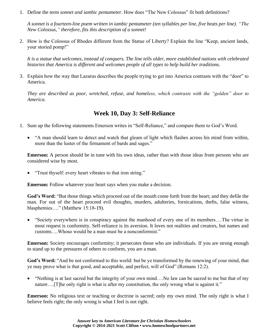1. Define the term *sonnet and iambic pentameter*. How does "The New Colossus" fit both definitions?

*A sonnet is a fourteen-line poem written in iambic pentameter (ten syllables per line, five beats per line). "The New Colossus," therefore, fits this description of a sonnet!*

2. How is the Colossus of Rhodes different from the Statue of Liberty? Explain the line "Keep, ancient lands, your storied pomp!"

It is a statue that welcomes, instead of conquers. The line tells older, more established nations with celebrated *histories that America is different and welcomes people of all types to help build her traditions.*

3. Explain how the way that Lazarus describes the people trying to get into America contrasts with the "door" to America.

*They are described as poor, wretched, refuse, and homeless, which contrasts with the "golden" door to America.*

#### **Week 10, Day 3: Self-Reliance**

- 1. Sum up the following statements Emerson writes in "Self-Reliance," and compare them to God's Word.
	- "A man should learn to detect and watch that gleam of light which flashes across his mind from within, more than the luster of the firmament of bards and sages."

**Emerson:** A person should be in tune with his own ideas, rather than with those ideas from persons who are considered wise by most.

• "Trust thyself: every heart vibrates to that iron string."

**Emerson:** Follow whatever your heart says when you make a decision.

**God's Word:** "But those things which proceed out of the mouth come forth from the heart; and they defile the man. For out of the heart proceed evil thoughts, murders, adulteries, fornications, thefts, false witness, blasphemies…." (Matthew 15:18-19).

• "Society everywhere is in conspiracy against the manhood of every one of its members....The virtue in most request is conformity. Self-reliance is its aversion. It loves not realities and creators, but names and customs….Whoso would be a man must be a nonconformist."

**Emerson:** Society encourages conformity; it persecutes those who are individuals. If you are strong enough to stand up to the pressures of others to conform, you are a man.

**God's Word:** "And be not conformed to this world: but be ye transformed by the renewing of your mind, that ye may prove what is that good, and acceptable, and perfect, will of God" (Romans 12:2).

• "Nothing is at last sacred but the integrity of your own mind….No law can be sacred to me but that of my nature....[T]he only right is what is after my constitution, the only wrong what is against it."

**Emerson:** No religious text or teaching or doctrine is sacred; only my own mind. The only right is what I believe feels right; the only wrong is what I feel is not right.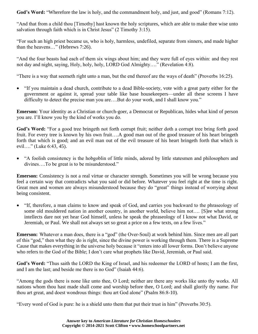**God's Word:** "Wherefore the law is holy, and the commandment holy, and just, and good" (Romans 7:12).

"And that from a child thou [Timothy] hast known the holy scriptures, which are able to make thee wise unto salvation through faith which is in Christ Jesus" (2 Timothy 3:15).

"For such an high priest became us, who is holy, harmless, undefiled, separate from sinners, and made higher than the heavens…" (Hebrews 7:26).

"And the four beasts had each of them six wings about him; and they were full of eyes within: and they rest not day and night, saying, Holy, holy, holy, LORD God Almighty…." (Revelation 4:8).

"There is a way that seemeth right unto a man, but the end thereof are the ways of death" (Proverbs 16:25).

• "If you maintain a dead church, contribute to a dead Bible-society, vote with a great party either for the government or against it, spread your table like base housekeepers—under all these screens I have difficulty to detect the precise man you are....But do your work, and I shall know you."

**Emerson:** Your identity as a Christian or church-goer, a Democrat or Republican, hides what kind of person you are. I'll know you by the kind of works you do.

**God's Word:** "For a good tree bringeth not forth corrupt fruit; neither doth a corrupt tree bring forth good fruit. For every tree is known by his own fruit….A good man out of the good treasure of his heart bringeth forth that which is good; and an evil man out of the evil treasure of his heart bringeth forth that which is evil…." (Luke 6:43, 45).

• "A foolish consistency is the hobgoblin of little minds, adored by little statesmen and philosophers and divines….To be great is to be misunderstood."

**Emerson:** Consistency is not a real virtue or character strength. Sometimes you will be wrong because you feel a certain way that contradicts what you said or did before. Whatever you feel right at the time is right. Great men and women are always misunderstood because they do "great" things instead of worrying about being consistent.

• "If, therefore, a man claims to know and speak of God, and carries you backward to the phraseology of some old mouldered nation in another country, in another world, believe him not.... [S]ee what strong intellects dare not yet hear God himself, unless he speak the phraseology of I know not what David, or Jeremiah, or Paul. We shall not always set so great a price on a few texts, on a few lives."

**Emerson:** Whatever a man does, there is a "god" (the Over-Soul) at work behind him. Since men are all part of this "god," then what they do is right, since the divine power is working through them. There is a Supreme Cause that makes everything in the universe holy because it "enters into all lower forms. Don't believe anyone who refers to the God of the Bible; I don't care what prophets like David, Jeremiah, or Paul said.

**God's Word:** "Thus saith the LORD the King of Israel, and his redeemer the LORD of hosts; I am the first, and I am the last; and beside me there is no God" (Isaiah 44:6).

"Among the gods there is none like unto thee, O Lord; neither are there any works like unto thy works. All nations whom thou hast made shall come and worship before thee, O Lord; and shall glorify thy name. For thou art great, and doest wondrous things: thou art God alone" (Psalm 86:8-10).

"Every word of God is pure: he is a shield unto them that put their trust in him" (Proverbs 30:5).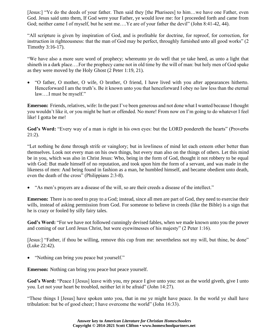[Jesus:] "Ye do the deeds of your father. Then said they [the Pharisees] to him...we have one Father, even God. Jesus said unto them, If God were your Father, ye would love me: for I proceeded forth and came from God; neither came I of myself, but he sent me….Ye are of your father the devil" (John 8:41-42, 44).

"All scripture is given by inspiration of God, and is profitable for doctrine, for reproof, for correction, for instruction in righteousness: that the man of God may be perfect, throughly furnished unto all good works" (2 Timothy 3:16-17).

"We have also a more sure word of prophecy; whereunto ye do well that ye take heed, as unto a light that shineth in a dark place….For the prophecy came not in old time by the will of man: but holy men of God spake as they were moved by the Holy Ghost (2 Peter 1:19, 21).

• "O father, O mother, O wife, O brother, O friend, I have lived with you after appearances hitherto. Henceforward I am the truth's. Be it known unto you that henceforward I obey no law less than the eternal law….I must be myself."

**Emerson:** Friends, relatives, wife: In the past I've been generous and not done what I wanted because I thought you wouldn't like it, or you might be hurt or offended. No more! From now on I'm going to do whatever I feel like! I gotta be me!

**God's Word:** "Every way of a man is right in his own eyes: but the LORD pondereth the hearts" (Proverbs 21:2).

"Let nothing be done through strife or vainglory; but in lowliness of mind let each esteem other better than themselves. Look not every man on his own things, but every man also on the things of others. Let this mind be in you, which was also in Christ Jesus: Who, being in the form of God, thought it not robbery to be equal with God: But made himself of no reputation, and took upon him the form of a servant, and was made in the likeness of men: And being found in fashion as a man, he humbled himself, and became obedient unto death, even the death of the cross" (Philippians 2:3-8).

• "As men's prayers are a disease of the will, so are their creeds a disease of the intellect."

**Emerson:** There is no need to pray to a God; instead, since all men are part of God, they need to exercise their wills, instead of asking permission from God. For someone to believe in creeds (like the Bible) is a sign that he is crazy or fooled by silly fairy tales.

**God's Word:** "For we have not followed cunningly devised fables, when we made known unto you the power and coming of our Lord Jesus Christ, but were eyewitnesses of his majesty" (2 Peter 1:16).

[Jesus:] "Father, if thou be willing, remove this cup from me: nevertheless not my will, but thine, be done" (Luke 22:42).

• "Nothing can bring you peace but yourself."

**Emerson:** Nothing can bring you peace but peace yourself.

God's Word: "Peace I [Jesus] leave with you, my peace I give unto you: not as the world giveth, give I unto you. Let not your heart be troubled, neither let it be afraid" (John 14:27).

"These things I [Jesus] have spoken unto you, that in me ye might have peace. In the world ye shall have tribulation: but be of good cheer; I have overcome the world" (John 16:33).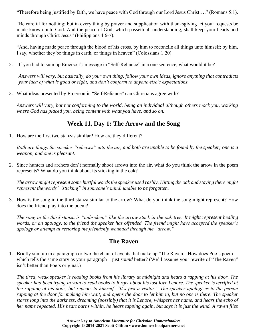"Therefore being justified by faith, we have peace with God through our Lord Jesus Christ…." (Romans 5:1).

"Be careful for nothing; but in every thing by prayer and supplication with thanksgiving let your requests be made known unto God. And the peace of God, which passeth all understanding, shall keep your hearts and minds through Christ Jesus" (Philippians 4:6-7).

"And, having made peace through the blood of his cross, by him to reconcile all things unto himself; by him, I say, whether they be things in earth, or things in heaven" (Colossians 1:20).

2. If you had to sum up Emerson's message in "Self-Reliance" in a one sentence, what would it be?

*Answers will vary, but basically, do your own thing, follow your own ideas, ignore anything that contradicts your idea of what is good or right, and don't conform to anyone else's expectations.*

3. What ideas presented by Emerson in "Self-Reliance" can Christians agree with?

*Answers will vary, but not conforming to the world, being an individual although others mock you, working where God has placed you, being content with what you have, and so on.*

## **Week 11, Day 1: The Arrow and the Song**

1. How are the first two stanzas similar? How are they different?

*Both are things the speaker "releases" into the air, and both are unable to be found by the speaker; one is a weapon, and one is pleasant.*

2. Since hunters and archers don't normally shoot arrows into the air, what do you think the arrow in the poem represents? What do you think about its sticking in the oak?

*The arrow might represent some hurtful words the speaker used rashly. Hitting the oak and staying there might represent the words' "sticking" in someone's mind, unable to be forgotten.*

3. How is the song in the third stanza similar to the arrow? What do you think the song might represent? How does the friend play into the poem?

*The song in the third stanza is "unbroken," like the arrow stuck in the oak tree. It might represent healing words, or an apology, to the friend the speaker has offended. The friend might have accepted the speaker's apology or attempt at restoring the friendship wounded through the "arrow."*

#### **The Raven**

1. Briefly sum up in a paragraph or two the chain of events that make up "The Raven." How does Poe's poem which tells the same story as your paragraph—just *sound* better? (We'll assume your rewrite of "The Raven" isn't better than Poe's original.)

*The tired, weak speaker is reading books from his library at midnight and hears a rapping at his door. The speaker had been trying in vain to read books to forget about his lost love Lenore. The speaker is terrified at the rapping at his door, but repeats to himself, "It's just a visitor." The speaker apologizes to the person rapping at the door for making him wait, and opens the door to let him in, but no one is there. The speaker stares long into the darkness, dreaming (possibly) that it is Lenore, whispers her name, and hears the echo of her name repeated. His heart burns within, he hears tapping again, but says it is just the wind. A raven flies*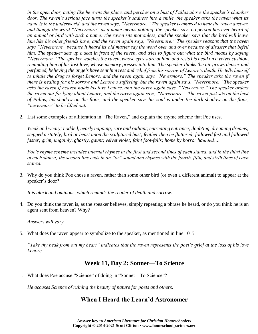*in the open door, acting like he owns the place, and perches on a bust of Pallas above the speaker's chamber door. The raven's serious face turns the speaker's sadness into a smile, the speaker asks the raven what its name is in the underworld, and the raven says, "Nevermore." The speaker is amazed to hear the raven answer, and though the word "Nevermore" as a name means nothing, the speaker says no person has ever heard of an animal or bird with such a name. The raven sits motionless, and the speaker says that the bird will leave him like his other friends have, and the raven again says, "Nevermore." The speaker reasons that the raven says "Nevermore" because it heard its old master say the word over and over because of disaster that befell him. The speaker sets up a seat in front of the raven, and tries to figure out what the bird means by saying "Nevermore." The speaker watches the raven, whose eyes stare at him, and rests his head on a velvet cushion, reminding him of his lost love, whose memory presses into him. The speaker thinks the air grows denser and perfumed, believing the angels have sent him rest and relief from his sorrow of Lenore's death. He tells himself to inhale the drug to forget Lenore, and the raven again says "Nevermore." The speaker asks the raven if there is healing for his sorrow and Lenore's suffering, but the raven again says, "Nevermore." The speaker asks the raven if heaven holds his love Lenore, and the raven again says, "Nevermore." The speaker orders the raven out for lying about Lenore, and the raven again says, "Nevermore." The raven just sits on the bust of Pallas, his shadow on the floor, and the speaker says his soul is under the dark shadow on the floor, "nevermore" to be lifted out.*

2. List some examples of alliteration in "The Raven," and explain the rhyme scheme that Poe uses.

*Weak and weary; nodded, nearly napping; rare and radiant; entreating entrance; doubting, dreaming dreams; stepped a stately; bird or beast upon the sculptured bust; feather then he fluttered; followed fast and followed faster; grim, ungainly, ghastly, gaunt; velvet violet; faint foot-falls; home by horror haunted….*

*Poe's rhyme scheme includes internal rhymes in the first and second lines of each stanza, and in the third line of each stanza; the second line ends in an "or" sound and rhymes with the fourth, fifth, and sixth lines of each stanza.*

3. Why do you think Poe chose a raven, rather than some other bird (or even a different animal) to appear at the speaker's door?

*It is black and ominous, which reminds the reader of death and sorrow.*

4. Do you think the raven is, as the speaker believes, simply repeating a phrase he heard, or do you think he is an agent sent from heaven? Why?

*Answers will vary.*

5. What does the raven appear to symbolize to the speaker, as mentioned in line 101?

*"Take thy beak from out my heart" indicates that the raven represents the poet's grief at the loss of his love Lenore.*

#### **Week 11, Day 2: Sonnet—To Science**

1. What does Poe accuse "Science" of doing in "Sonnet—To Science"?

*He accuses Science of ruining the beauty of nature for poets and others.*

#### **When I Heard the Learn'd Astronomer**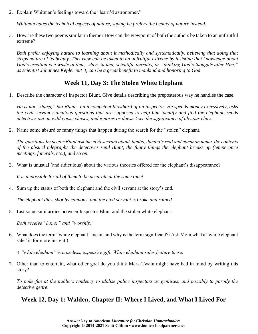2. Explain Whitman's feelings toward the "learn'd astronomer."

*Whitman hates the technical aspects of nature, saying he prefers the beauty of nature instead.*

3. How are these two poems similar in theme? How can the viewpoint of both the authors be taken to an unfruitful extreme?

*Both prefer enjoying nature to learning about it methodically and systematically, believing that doing that strips nature of its beauty. This view can be taken to an unfruitful extreme by insisting that knowledge about God's creation is a waste of time, when, in fact, scientific pursuits, or "thinking God's thoughts after Him," as scientist Johannes Kepler put it, can be a great benefit to mankind and honoring to God.*

#### **Week 11, Day 3: The Stolen White Elephant**

1. Describe the character of Inspector Blunt. Give details describing the preposterous way he handles the case.

*He is not "sharp," but Blunt—an incompetent blowhard of an inspector. He spends money excessively, asks the civil servant ridiculous questions that are supposed to help him identify and find the elephant, sends detectives out on wild goose chases, and ignores or doesn't see the significance of obvious clues.*

2. Name some absurd or funny things that happen during the search for the "stolen" elephant.

*The questions Inspector Blunt ask the civil servant about Jumbo, Jumbo's real and common name, the contents of the absurd telegraphs the detectives send Blunt, the funny things the elephant breaks up (temperance meetings, funerals, etc.), and so on.*

3. What is unusual (and ridiculous) about the various theories offered for the elephant's disappearance?

*It is impossible for all of them to be accurate at the same time!*

4. Sum up the status of both the elephant and the civil servant at the story's end.

*The elephant dies, shot by cannons, and the civil servant is broke and ruined.*

5. List some similarities between Inspector Blunt and the stolen white elephant.

*Both receive "honor" and "worship."*

6. What does the term "white elephant" mean, and why is the term significant? (Ask Mom what a "white elephant sale" is for more insight.)

*A "white elephant" is a useless, expensive gift. White elephant sales feature these.*

7. Other than to entertain, what other goal do you think Mark Twain might have had in mind by writing this story?

*To poke fun at the public's tendency to idolize police inspectors as geniuses, and possibly to parody the detective genre.*

#### **Week 12, Day 1: Walden, Chapter II: Where I Lived, and What I Lived For**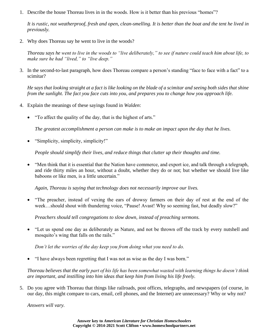1. Describe the house Thoreau lives in in the woods. How is it better than his previous "homes"?

*It is rustic, not weatherproof, fresh and open, clean-smelling. It is better than the boat and the tent he lived in previously.*

2. Why does Thoreau say he went to live in the woods?

*Thoreau says he went to live in the woods to "live deliberately," to see if nature could teach him about life, to make sure he had "lived," to "live deep."*

3. In the second-to-last paragraph, how does Thoreau compare a person's standing "face to face with a fact" to a scimitar?

*He says that looking straight at a fact is like looking on the blade of a scimitar and seeing both sides that shine from the sunlight. The fact you face cuts into you, and prepares you to change how you approach life.*

- 4. Explain the meanings of these sayings found in *Walden*:
	- "To affect the quality of the day, that is the highest of arts."

*The greatest accomplishment a person can make is to make an impact upon the day that he lives.*

• "Simplicity, simplicity, simplicity!"

*People should simplify their lives, and reduce things that clutter up their thoughts and time.*

• "Men think that it is essential that the Nation have commerce, and export ice, and talk through a telegraph, and ride thirty miles an hour, without a doubt, whether they do or not; but whether we should live like baboons or like men, is a little uncertain."

*Again, Thoreau is saying that technology does not necessarily improve our lives.*

• "The preacher, instead of vexing the ears of drowsy farmers on their day of rest at the end of the week…should shout with thundering voice, "Pause! Avast! Why so seeming fast, but deadly slow?"

*Preachers should tell congregations to slow down, instead of preaching sermons.*

• "Let us spend one day as deliberately as Nature, and not be thrown off the track by every nutshell and mosquito's wing that falls on the rails."

*Don't let the worries of the day keep you from doing what you need to do.*

• "I have always been regretting that I was not as wise as the day I was born."

*Thoreau believes that the early part of his life has been somewhat wasted with learning things he doesn't think are important, and instilling into him ideas that keep him from living his life freely.*

5. Do you agree with Thoreau that things like railroads, post offices, telegraphs, and newspapers (of course, in our day, this might compare to cars, email, cell phones, and the Internet) are unnecessary? Why or why not?

*Answers will vary.*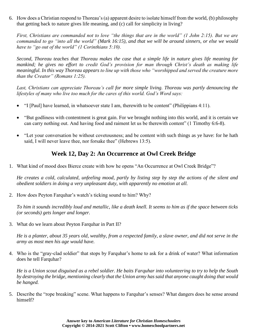6. How does a Christian respond to Thoreau's (a) apparent desire to isolate himself from the world, (b) philosophy that getting back to nature gives life meaning, and (c) call for simplicity in living?

*First, Christians are commanded not to love "the things that are in the world" (1 John 2:15). But we are commanded to go "into all the world" (Mark 16:15), and that we will be around sinners, or else we would have to "go out of the world" (1 Corinthians 5:10).*

*Second, Thoreau teaches that Thoreau makes the case that a simple life in nature gives life meaning for mankind; he gives no effort to credit God's provision for man through Christ's death as making life meaningful. In this way Thoreau appears to line up with those who "worshipped and served the creature more than the Creator" (Romans 1:25).* 

Last, Christians can appreciate Thoreau's call for more simple living. Thoreau was partly denouncing the *lifestyles of many who live too much for the cares of this world. God's Word says:*

- "I [Paul] have learned, in whatsoever state I am, therewith to be content" (Philippians 4:11).
- "But godliness with contentment is great gain. For we brought nothing into this world, and it is certain we can carry nothing out. And having food and raiment let us be therewith content" (1 Timothy 6:6-8).
- "Let your conversation be without covetousness; and be content with such things as ye have: for he hath said, I will never leave thee, nor forsake thee" (Hebrews 13:5).

#### **Week 12, Day 2: An Occurrence at Owl Creek Bridge**

1. What kind of mood does Bierce create with how he opens "An Occurrence at Owl Creek Bridge"?

*He creates a cold, calculated, unfeeling mood, partly by listing step by step the actions of the silent and obedient soldiers in doing a very unpleasant duty, with apparently no emotion at all.*

2. How does Peyton Farquhar's watch's ticking sound to him? Why?

*To him it sounds incredibly loud and metallic, like a death knell. It seems to him as if the space between ticks (or seconds) gets longer and longer.*

3. What do we learn about Peyton Farquhar in Part II?

*He is a planter, about 35 years old, wealthy, from a respected family, a slave owner, and did not serve in the army as most men his age would have.*

4. Who is the "gray-clad soldier" that stops by Farquhar's home to ask for a drink of water? What information does he tell Farquhar?

*He is a Union scout disguised as a rebel soldier. He baits Farquhar into volunteering to try to help the South by destroying the bridge, mentioning clearly that the Union army has said that anyone caught doing that would be hanged.*

5. Describe the "rope breaking" scene. What happens to Farquhar's senses? What dangers does he sense around himself?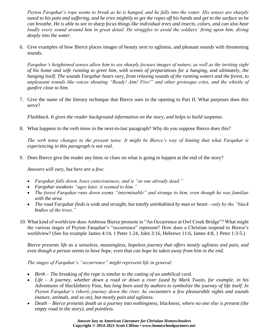*Peyton Farquhar's rope seems to break as he is hanged, and he falls into the water. His senses are sharply*  tuned to his pain and suffering, and he tries mightily to get the ropes off his hands and get to the surface so he *can breathe. He is able to see in sharp focus things like individual trees and insects, colors, and can also hear loudly every sound around him in great detail. He struggles to avoid the soldiers' firing upon him, diving deeply into the water.*

6. Give examples of how Bierce places images of beauty next to ugliness, and pleasant sounds with threatening sounds.

*Farquhar's heightened senses allow him to see sharply focuses images of nature, as well as the inviting sight of his home and wife running to greet him, with scenes of preparations for a hanging, and ultimately, the hanging itself. The sounds Farquhar hears vary, from relaxing sounds of the running waters and the forest, to unpleasant sounds like voices shouting "Ready! Aim! Fire!" and other grotesque cries, and the whistle of gunfire close to him.*

7. Give the name of the literary technique that Bierce uses in the opening to Part II. What purposes does this serve?

*Flashback. It gives the reader background information on the story, and helps to build suspense.*

8. What happens to the verb tense in the next-to-last paragraph? Why do you suppose Bierce does this?

*The verb tense changes to the present tense. It might be Bierce's way of hinting that what Farquhar is experiencing in this paragraph is not real.*

9. Does Bierce give the reader any hints or clues on what is going to happen at the end of the story?

*Answers will vary, but here are a few:*

- *Farquhar falls down, loses consciousness, and is "as one already dead."*
- *Farquhar awakens "ages later, it seemed to him."*
- *The forest Farquhar runs down seems "interminable" and strange to him, even though he was familiar with the area.*
- *The road Farquhar finds is wide and straight, but totally uninhabited by man or beast—only by the "black bodies of the trees."*
- 10. What kind of worldview does Ambrose Bierce promote in "An Occurrence at Owl Creek Bridge"? What might the various stages of Peyton Farquhar's "occurrence" represent? How does a Christian respond to Bierce's worldview? (See for example James 4:14, 1 Peter 1:24, John 3:16, Hebrews 11:6, James 4:8, 1 Peter 1:3-5.)

*Bierce presents life as a senseless, meaningless, hopeless journey that offers mostly ugliness and pain, and even though a person seems to have hope, even that can hope be taken away from him in the end.*

*The stages of Farquhar's "occurrence" might represent life in general:*

- *Birth – The breaking of the rope is similar to the cutting of an umbilical cord.*
- *Life – A journey, whether down a road or down a river (used by Mark Twain, for example, in his*  Adventures of Huckleberry Finn*, has long been used by authors to symbolize the journey of life itself. In Peyton Farquhar's (short) journey down the river, he encounters a few pleasurable sights and sounds (nature, animals, and so on), but mostly pain and ugliness.*
- *Death – Bierce presents death as a journey into nothingness, blackness, where no one else is present (the empty road in the story), and pointless.*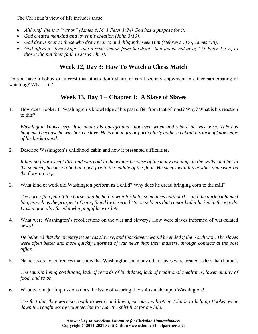The Christian's view of life includes these:

- *Although life is a "vapor" (James 4:14, 1 Peter 1:24) God has a purpose for it.*
- *God created mankind and loves his creation (John 3:16).*
- *God draws near to those who draw near to and diligently seek Him (Hebrews 11:6, James 4:8).*
- *God offers a "lively hope" and a resurrection from the dead "that fadeth not away" (1 Peter 1:3-5) to those who put their faith in Jesus Christ.*

# **Week 12, Day 3: How To Watch a Chess Match**

Do you have a hobby or interest that others don't share, or can't see any enjoyment in either participating or watching? What is it?

# **Week 13, Day 1 – Chapter I: A Slave of Slaves**

1. How does Booker T. Washington's knowledge of his past differ from that of most? Why? What is his reaction to this?

*Washington knows very little about his background—not even when and where he was born. This has happened because he was born a slave. He is not angry or particularly bothered about his lack of knowledge of his background.*

2. Describe Washington's childhood cabin and how it presented difficulties.

*It had no floor except dirt, and was cold in the winter because of the many openings in the walls, and hot in the summer, because it had an open fire in the middle of the floor. He sleeps with his brother and sister on the floor on rags.*

3. What kind of work did Washington perform as a child? Why does he dread bringing corn to the mill?

*The corn often fell off the horse, and he had to wait for help, sometimes until dark—and the dark frightened him, as well as the prospect of being found by deserted Union soldiers that rumor had it lurked in the woods. Washington also faced a whipping if he was late.*

4. What were Washington's recollections on the war and slavery? How were slaves informed of war-related news?

*He believed that the primary issue was slavery, and that slavery would be ended if the North won. The slaves were often better and more quickly informed of war news than their masters, through contacts at the post office.*

5. Name several occurrences that show that Washington and many other slaves were treated as less than human.

*The squalid living conditions, lack of records of birthdates, lack of traditional mealtimes, lower quality of food, and so on.*

6. What two major impressions does the issue of wearing flax shirts make upon Washington?

*The fact that they were so rough to wear, and how generous his brother John is in helping Booker wear down the roughness by volunteering to wear the shirt first for a while.*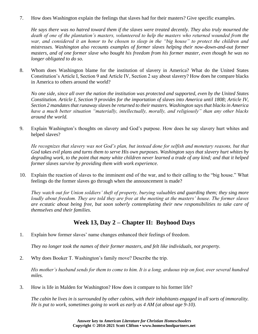7. How does Washington explain the feelings that slaves had for their masters? Give specific examples.

*He says there was no hatred toward them if the slaves were treated decently. They also truly mourned the death of one of the plantation's masters, volunteered to help the masters who returned wounded from the war, and considered it an honor to be chosen to sleep in the "big house" to protect the children and mistresses. Washington also recounts examples of former slaves helping their now-down-and-out former masters, and of one former slave who bought his freedom from his former master, even though he was no longer obligated to do so.*

8. Whom does Washington blame for the institution of slavery in America? What do the United States Constitution's Article I, Section 9 and Article IV, Section 2 say about slavery? How does he compare blacks in America to others around the world?

*No one side, since all over the nation the institution was protected and supported, even by the United States Constitution. Article I, Section 9 provides for the importation of slaves into America until 1808; Article IV, Section 2 mandates that runaway slaves be returned to their masters. Washington says that blacks in America have a much better situation "materially, intellectually, morally, and religiously" than any other blacks around the world.*

9. Explain Washington's thoughts on slavery and God's purpose. How does he say slavery hurt whites and helped slaves?

*He recognizes that slavery was not God's plan, but instead done for selfish and monetary reasons, but that God takes evil plans and turns them to serve His own purposes. Washington says that slavery hurt whites by degrading work, to the point that many white children never learned a trade of any kind; and that it helped former slaves survive by providing them with work experience.*

10. Explain the reaction of slaves to the imminent end of the war, and to their calling to the "big house." What feelings do the former slaves go through when the announcement is made?

*They watch out for Union soldiers' theft of property, burying valuables and guarding them; they sing more loudly about freedom. They are told they are free at the meeting at the masters' house. The former slaves are ecstatic about being free, but soon soberly contemplating their new responsibilities to take care of themselves and their families.*

#### **Week 13, Day 2 – Chapter II: Boyhood Days**

1. Explain how former slaves' name changes enhanced their feelings of freedom.

*They no longer took the names of their former masters, and felt like individuals, not property.*

2. Why does Booker T. Washington's family move? Describe the trip.

*His mother's husband sends for them to come to him. It is a long, arduous trip on foot, over several hundred miles.*

3. How is life in Malden for Washington? How does it compare to his former life?

*The cabin he lives in is surrounded by other cabins, with their inhabitants engaged in all sorts of immorality. He is put to work, sometimes going to work as early as 4 AM (at about age 9-10).*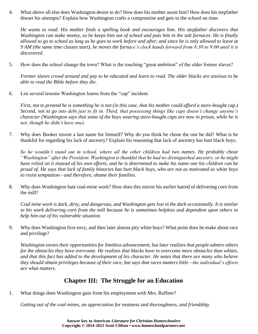4. What above all else does Washington desire to do? How does his mother assist him? How does his stepfather thwart his attempts? Explain how Washington crafts a compromise and gets to the school on time.

*He wants to read. His mother finds a spelling book and encourages him. His stepfather discovers that Washington can make money, so he keeps him out of school and puts him in the salt furnaces. He is finally allowed to go to school as long as he goes to work before and after, and since he is only allowed to leave at 9 AM (the same time classes start), he moves the furnace's clock hands forward from 8:30 to 9:00 until it is discovered.*

5. How does the school change the town? What is the touching "great ambition" of the older former slaves?

*Former slaves crowd around and pay to be educated and learn to read. The older blacks are anxious to be able to read the Bible before they die.*

6. List several lessons Washington learns from the "cap" incident.

*First, not to pretend he is something he is not (in this case, that his mother could afford a store-bought cap.) Second, not to go into debt just to fit in. Third, that possessing things like caps doesn't change anyone's character (Washington says that some of the boys wearing store-bought caps are now in prison, while he is not, though he didn't have one).*

7. Why does Booker invent a last name for himself? Why do you think he chose the one he did? What is he thankful for regarding his lack of ancestry? Explain his reasoning that lack of ancestry has hurt black boys.

*So he wouldn't stand out in school, where all the other children had two names. He probably chose "Washington" after the President. Washington is thankful that he had no distinguished ancestry, or he might have relied on it instead of his own efforts, and he is determined to make his name one his children can be proud of. He says that lack of family histories has hurt black boys, who are not as motivated as white boys to resist temptation—and therefore, shame their families.*

8. Why does Washington hate coal-mine work? How does this mirror his earlier hatred of delivering corn from the mill?

*Coal mine work is dark, dirty, and dangerous, and Washington gets lost in the dark occasionally. It is similar to his work delivering corn from the mill because he is sometimes helpless and dependent upon others to help him out of his vulnerable situation.*

9. Why does Washington first envy, and then later almost pity white boys? What point does he make about race and privilege?

*Washington envies their opportunities for limitless advancement, but later realizes that people admire others for the obstacles they have overcome. He realizes that blacks have to overcome more obstacles than whites, and that this fact has added to the development of his character. He notes that there are many who believe they should obtain privileges because of their race, but says that races matters little—the individual's efforts are what matters.*

## **Chapter III: The Struggle for an Education**

1. What things does Washington gain from his employment with Mrs. Ruffner?

*Getting out of the coal mines, an appreciation for neatness and thoroughness, and friendship.*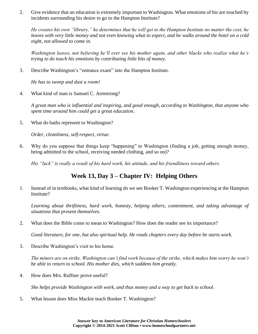2. Give evidence that an education is extremely important to Washington. What emotions of his are touched by incidents surrounding his desire to go to the Hampton Institute?

*He creates his own "library," he determines that he will get to the Hampton Institute no matter the cost, he leaves with very little money and not even knowing what to expect, and he walks around the hotel on a cold night, not allowed to come in.*

*Washington leaves, not believing he'll ever see his mother again, and other blacks who realize what he's trying to do touch his emotions by contributing little bits of money.*

3. Describe Washington's "entrance exam" into the Hampton Institute.

*He has to sweep and dust a room!*

4. What kind of man is Samuel C. Armstrong?

*A great man who is influential and inspiring, and good enough, according to Washington, that anyone who spent time around him could get a great education.*

5. What do baths represent to Washington?

*Order, cleanliness, self-respect, virtue.*

6. Why do you suppose that things keep "happening" to Washington (finding a job, getting enough money, being admitted to the school, receiving needed clothing, and so on)?

*His "luck" is really a result of his hard work, his attitude, and his friendliness toward others.*

# **Week 13, Day 3 – Chapter IV: Helping Others**

1. Instead of in textbooks, what kind of learning do we see Booker T. Washington experiencing at the Hampton Institute?

*Learning about thriftiness, hard work, honesty, helping others, contentment, and taking advantage of situations that present themselves.*

2. What does the Bible come to mean to Washington? How does the reader see its importance?

*Good literature, for one, but also spiritual help. He reads chapters every day before he starts work.*

3. Describe Washington's visit to his home.

*The miners are on strike. Washington can't find work because of the strike, which makes him worry he won't be able to return to school. His mother dies, which saddens him greatly.*

4. How does Mrs. Ruffner prove useful?

*She helps provide Washington with work, and thus money and a way to get back to school.*

5. What lesson does Miss Mackie teach Booker T. Washington?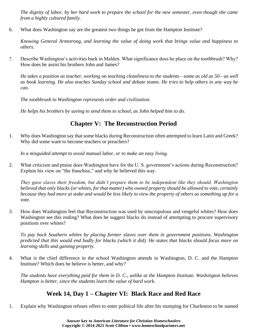*The dignity of labor, by her hard work to prepare the school for the new semester, even though she came from a highly cultured family.*

6. What does Washington say are the greatest two things he got from the Hampton Institute?

*Knowing General Armstrong, and learning the value of doing work that brings value and happiness to others.*

7. Describe Washington's activities back in Malden. What significance does he place on the toothbrush? Why? How does he assist his brothers John and James?

*He takes a position as teacher, working on teaching cleanliness to the students—some as old as 50—as well as book learning. He also teaches Sunday school and debate teams. He tries to help others in any way he can.*

*The toothbrush to Washington represents order and civilization.*

*He helps his brothers by saving to send them to school, as John helped him to do.* 

# **Chapter V: The Reconstruction Period**

1. Why does Washington say that some blacks during Reconstruction often attempted to learn Latin and Greek? Why did some want to become teachers or preachers?

*In a misguided attempt to avoid manual labor, or to make an easy living.*

2. What criticism and praise does Washington have for the U. S. government's actions during Reconstruction? Explain his view on "the franchise," and why he believed this way.

*They gave slaves their freedom, but didn't prepare them to be independent like they should. Washington believed that only blacks (or whites, for that matter) who owned property should be allowed to vote, certainly because they had more at stake and would be less likely to view the property of others as something up for a vote.*

3. How does Washington feel that Reconstruction was used by unscrupulous and vengeful whites? How does Washington see this ending? What does he suggest blacks do instead of attempting to procure supervisory positions over whites?

*To pay back Southern whites by placing former slaves over them in government positions. Washington predicted that this would end badly for blacks (which it did). He states that blacks should focus more on learning skills and gaining property.*

4. What is the chief difference in the school Washington attends in Washington, D. C. and the Hampton Institute? Which does he believe is better, and why?

*The students have everything paid for them in D. C., unlike at the Hampton Institute. Washington believes Hampton is better, since the students learn the value of hard work.*

## **Week 14, Day 1 – Chapter VI: Black Race and Red Race**

1. Explain why Washington refuses offers to enter political life after his stumping for Charleston to be named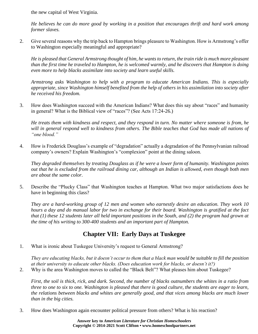the new capital of West Virginia.

*He believes he can do more good by working in a position that encourages thrift and hard work among former slaves.*

2. Give several reasons why the trip back to Hampton brings pleasure to Washington. How is Armstrong's offer to Washington especially meaningful and appropriate?

*He is pleased that General Armstrong thought of him, he wants to return, the train ride is much more pleasant than the first time he traveled to Hampton, he is welcomed warmly, and he discovers that Hampton is doing even more to help blacks assimilate into society and learn useful skills.*

*Armstrong asks Washington to help with a program to educate American Indians. This is especially appropriate, since Washington himself benefited from the help of others in his assimilation into society after he received his freedom.*

3. How does Washington succeed with the American Indians? What does this say about "races" and humanity in general? What is the Biblical view of "races"? (See Acts 17:24-26.)

*He treats them with kindness and respect, and they respond in turn. No matter where someone is from, he will in general respond well to kindness from others. The Bible teaches that God has made all nations of "one blood."*

4. How is Frederick Douglass's example of "degradation" actually a degradation of the Pennsylvanian railroad company's owners? Explain Washington's "complexion" point at the dining saloon.

*They degraded themselves by treating Douglass as if he were a lower form of humanity. Washington points out that he is excluded from the railroad dining car, although an Indian is allowed, even though both men are about the same color.*

5. Describe the "Plucky Class" that Washington teaches at Hampton. What two major satisfactions does he have in beginning this class?

*They are a hard-working group of 12 men and women who earnestly desire an education. They work 10 hours a day and do manual labor for two in exchange for their board. Washington is gratified at the fact that (1) these 12 students later all held important positions in the South, and (2) the program had grown at the time of his writing to 300-400 students and an important part of Hampton.*

## **Chapter VII: Early Days at Tuskegee**

1. What is ironic about Tuskegee University's request to General Armstrong?

*They are educating blacks, but it doesn't occur to them that a black man would be suitable to fill the position at their university to educate other blacks. (Does education work for blacks, or doesn't it?)*

2. Why is the area Washington moves to called the "Black Belt"? What pleases him about Tuskegee?

*First, the soil is thick, rick, and dark. Second, the number of blacks outnumbers the whites in a ratio from three to one to six to one. Washington is pleased that there is good culture, the students are eager to learn, the relations between blacks and whites are generally good, and that vices among blacks are much lower than in the big cities.*

3. How does Washington again encounter political pressure from others? What is his reaction?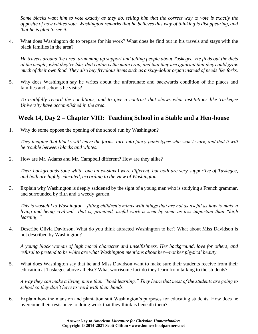*Some blacks want him to vote exactly as they do, telling him that the correct way to vote is exactly the opposite of how whites vote. Washington remarks that he believes this way of thinking is disappearing, and that he is glad to see it.*

4. What does Washington do to prepare for his work? What does he find out in his travels and stays with the black families in the area?

*He travels around the area, drumming up support and telling people about Tuskegee. He finds out the diets of the people, what they're like, that cotton is the main crop, and that they are ignorant that they could grow much of their own food. They also buy frivolous items such as a sixty-dollar organ instead of needs like forks.*

5. Why does Washington say he writes about the unfortunate and backwards condition of the places and families and schools he visits?

*To truthfully record the conditions, and to give a contrast that shows what institutions like Tuskegee University have accomplished in the area.*

# **Week 14, Day 2 – Chapter VIII: Teaching School in a Stable and a Hen-house**

1. Why do some oppose the opening of the school run by Washington?

*They imagine that blacks will leave the farms, turn into fancy-pants types who won't work, and that it will be trouble between blacks and whites.*

2. How are Mr. Adams and Mr. Campbell different? How are they alike?

*Their backgrounds (one white, one an ex-slave) were different, but both are very supportive of Tuskegee, and both are highly educated, according to the view of Washington.*

3. Explain why Washington is deeply saddened by the sight of a young man who is studying a French grammar, and surrounded by filth and a weedy garden.

*This is wasteful to Washington—filling children's minds with things that are not as useful as how to make a living and being civilized—that is, practical, useful work is seen by some as less important than "high learning."*

4. Describe Olivia Davidson. What do you think attracted Washington to her? What about Miss Davidson is not described by Washington?

*A young black woman of high moral character and unselfishness. Her background, love for others, and refusal to pretend to be white are what Washington mentions about her—not her physical beauty.*

5. What does Washington say that he and Miss Davidson want to make sure their students receive from their education at Tuskegee above all else? What worrisome fact do they learn from talking to the students?

*A way they can make a living, more than "book learning." They learn that most of the students are going to school so they don't have to work with their hands.*

6. Explain how the mansion and plantation suit Washington's purposes for educating students. How does he overcome their resistance to doing work that they think is beneath them?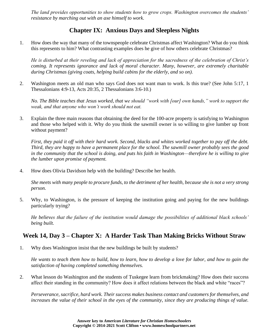*The land provides opportunities to show students how to grow crops. Washington overcomes the students' resistance by marching out with an axe himself to work.*

# **Chapter IX: Anxious Days and Sleepless Nights**

1. How does the way that many of the townspeople celebrate Christmas affect Washington? What do you think this represents to him? What contrasting examples does he give of how others celebrate Christmas?

*He is disturbed at their reveling and lack of appreciation for the sacredness of the celebration of Christ's coming. It represents ignorance and lack of moral character. Many, however, are extremely charitable during Christmas (giving coats, helping build cabins for the elderly, and so on).*

2. Washington meets an old man who says God does not want man to work. Is this true? (See John 5:17, 1 Thessalonians 4:9-13, Acts 20:35, 2 Thessalonians 3:6-10.)

*No. The Bible teaches that Jesus worked, that we should "work with [our] own hands," work to support the weak, and that anyone who won't work should not eat.*

3. Explain the three main reasons that obtaining the deed for the 100-acre property is satisfying to Washington and those who helped with it. Why do you think the sawmill owner is so willing to give lumber up front without payment?

*First, they paid it off with their hard work. Second, blacks and whites worked together to pay off the debt. Third, they are happy to have a permanent place for the school. The sawmill owner probably sees the good in the community that the school is doing, and puts his faith in Washington—therefore he is willing to give the lumber upon promise of payment.*

4. How does Olivia Davidson help with the building? Describe her health.

*She meets with many people to procure funds, to the detriment of her health, because she is not a very strong person.*

5. Why, to Washington, is the pressure of keeping the institution going and paying for the new buildings particularly trying?

*He believes that the failure of the institution would damage the possibilities of additional black schools' being built.*

## **Week 14, Day 3 – Chapter X: A Harder Task Than Making Bricks Without Straw**

1. Why does Washington insist that the new buildings be built by students?

*He wants to teach them how to build, how to learn, how to develop a love for labor, and how to gain the satisfaction of having completed something themselves.*

2. What lesson do Washington and the students of Tuskegee learn from brickmaking? How does their success affect their standing in the community? How does it affect relations between the black and white "races"?

*Perseverance, sacrifice, hard work. Their success makes business contact and customers for themselves, and increases the value of their school in the eyes of the community, since they are producing things of value.*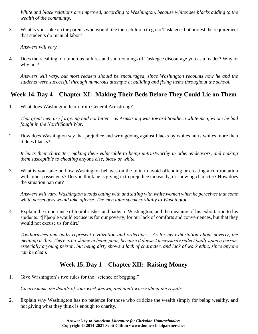*White and black relations are improved, according to Washington, because whites see blacks adding to the wealth of the community.*

3. What is your take on the parents who would like their children to go to Tuskegee, but protest the requirement that students do manual labor?

*Answers will vary.*

4. Does the recalling of numerous failures and shortcomings of Tuskegee discourage you as a reader? Why or why not?

*Answers will vary, but most readers should be encouraged, since Washington recounts how he and the students were successful through numerous attempts at building and fixing items throughout the school.*

# **Week 14, Day 4 – Chapter XI: Making Their Beds Before They Could Lie on Them**

1. What does Washington learn from General Armstrong?

*That great men are forgiving and not bitter—as Armstrong was toward Southern white men, whom he had fought in the North/South War.*

2. How does Washington say that prejudice and wrongdoing against blacks by whites hurts whites more than it does blacks?

*It hurts their character, making them vulnerable to being untrustworthy in other endeavors, and making them susceptible to cheating* anyone *else, black or white.*

3. What is your take on how Washington behaves on the train to avoid offending or creating a confrontation with other passengers? Do you think he is giving in to prejudice too easily, or showing character? How does the situation pan out?

*Answers will vary. Washington avoids eating with and sitting with white women when he perceives that some white passengers would take offense. The men later speak cordially to Washington.*

4. Explain the importance of toothbrushes and baths to Washington, and the meaning of his exhortation to his students: "[P]eople would excuse us for our poverty, for our lack of comforts and conveniences, but that they would not excuse us for dirt."

*Toothbrushes and baths represent civilization and orderliness. As for his exhortation about poverty, the meaning is this: There is no shame in being poor, because it doesn't necessarily reflect badly upon a person, especially a young person, but being dirty shows a lack of character, and lack of work ethic, since anyone can be clean.*

# **Week 15, Day 1 – Chapter XII: Raising Money**

1. Give Washington's two rules for the "science of begging."

*Clearly make the details of your work known, and don't worry about the results.*

2. Explain why Washington has no patience for those who criticize the wealth simply for being wealthy, and not giving what they think is enough to charity.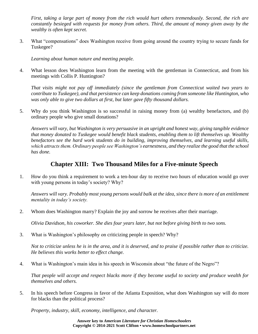*First, taking a large part of money from the rich would hurt others tremendously. Second, the rich are constantly besieged with requests for money from others. Third, the amount of money given away by the wealthy is often kept secret.*

3. What "compensations" does Washington receive from going around the country trying to secure funds for Tuskegee?

*Learning about human nature and meeting people.*

4. What lesson does Washington learn from the meeting with the gentleman in Connecticut, and from his meetings with Collis P. Huntington?

*That visits might not pay off immediately (since the gentleman from Connecticut waited two years to contribute to Tuskegee), and that persistence can keep donations coming from someone like Huntington, who was only able to give two dollars at first, but later gave fifty thousand dollars.*

5. Why do you think Washington is so successful in raising money from (a) wealthy benefactors, and (b) ordinary people who give small donations?

*Answers will vary, but Washington is very persuasive in an upright and honest way, giving tangible evidence that money donated to Tuskegee would benefit black students, enabling them to lift themselves up. Wealthy benefactors see the hard work students do in building, improving themselves, and learning useful skills, which attracts them. Ordinary people see Washington's earnestness, and they realize the good that the school has done.* 

#### **Chapter XIII: Two Thousand Miles for a Five-minute Speech**

1. How do you think a requirement to work a ten-hour day to receive two hours of education would go over with young persons in today's society? Why?

*Answers will vary. Probably most young persons would balk at the idea, since there is more of an entitlement mentality in today's society.*

2. Whom does Washington marry? Explain the joy and sorrow he receives after their marriage.

*Olivia Davidson, his coworker. She dies four years later, but not before giving birth to two sons.*

3. What is Washington's philosophy on criticizing people in speech? Why?

*Not to criticize unless he is in the area, and it is deserved, and to praise if possible rather than to criticize. He believes this works better to effect change.*

4. What is Washington's main idea in his speech in Wisconsin about "the future of the Negro"?

*That people will accept and respect blacks more if they become useful to society and produce wealth for themselves and others.*

5. In his speech before Congress in favor of the Atlanta Exposition, what does Washington say will do more for blacks than the political process?

*Property, industry, skill, economy, intelligence, and character.*

**Answer key to** *American Literature for Christian Homeschoolers* **Copyright © 2014-2021 Scott Clifton • www.homeschoolpartners.net**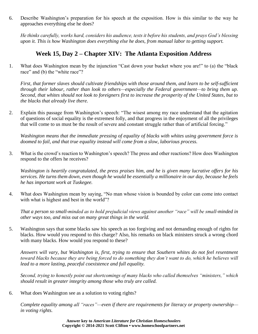6. Describe Washington's preparation for his speech at the exposition. How is this similar to the way he approaches everything else he does?

*He thinks carefully, works hard, considers his audience, tests it before his students, and prays God's blessing upon it. This is how Washington does everything else he does, from manual labor to getting support.*

#### **Week 15, Day 2 – Chapter XIV: The Atlanta Exposition Address**

1. What does Washington mean by the injunction "Cast down your bucket where you are!" to (a) the "black race" and (b) the "white race"?

*First, that former slaves should cultivate friendships with those around them, and learn to be self-sufficient through their labour, rather than look to others—especially the Federal government—to bring them up. Second, that whites should not look to foreigners first to increase the prosperity of the United States, but to the blacks that already live there.*

2. Explain this passage from Washington's speech: "The wisest among my race understand that the agitation of questions of social equality is the extremest folly, and that progress in the enjoyment of all the privileges that will come to us must be the result of severe and constant struggle rather than of artificial forcing."

*Washington means that the immediate pressing of equality of blacks with whites using government force is doomed to fail, and that true equality instead will come from a slow, laborious process.*

3. What is the crowd's reaction to Washington's speech? The press and other reactions? How does Washington respond to the offers he receives?

*Washington is heartily congratulated, the press praises him, and he is given many lucrative offers for his services. He turns them down, even though he would be essentially a millionaire in our day, because he feels he has important work at Tuskegee.*

4. What does Washington mean by saying, "No man whose vision is bounded by color can come into contact with what is highest and best in the world"?

*That a person so small-minded as to hold prejudicial views against another "race" will be small-minded in other ways too, and miss out on many great things in the world.*

5. Washington says that some blacks saw his speech as too forgiving and not demanding enough of rights for blacks. How would you respond to this charge? Also, his remarks on black ministers struck a wrong chord with many blacks. How would you respond to these?

*Answers will vary, but Washington is, first, trying to ensure that Southern whites do not feel resentment toward blacks because they are being forced to do something they don't want to do, which he believes will lead to a more lasting, peaceful coexistence and full equality.*

*Second, trying to honestly point out shortcomings of many blacks who called themselves "ministers," which should result in greater integrity among those who truly are called.*

6. What does Washington see as a solution to voting rights?

*Complete equality among all "races"—even if there are requirements for literacy or property ownership in voting rights.*

> **Answer key to** *American Literature for Christian Homeschoolers* **Copyright © 2014-2021 Scott Clifton • www.homeschoolpartners.net**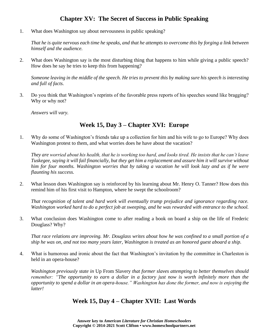## **Chapter XV: The Secret of Success in Public Speaking**

1. What does Washington say about nervousness in public speaking?

*That he is quite nervous each time he speaks, and that he attempts to overcome this by forging a link between himself and the audience.*

2. What does Washington say is the most disturbing thing that happens to him while giving a public speech? How does he say he tries to keep this from happening?

*Someone leaving in the middle of the speech. He tries to prevent this by making sure his speech is interesting and full of facts.*

3. Do you think that Washington's reprints of the favorable press reports of his speeches sound like bragging? Why or why not?

*Answers will vary.*

#### **Week 15, Day 3 – Chapter XVI: Europe**

1. Why do some of Washington's friends take up a collection for him and his wife to go to Europe? Why does Washington protest to them, and what worries does he have about the vacation?

*They are worried about his health, that he is working too hard, and looks tired. He insists that he can't leave Tuskegee, saying it will fail financially, but they get him a replacement and assure him it will survive without him for four months. Washington worries that by taking a vacation he will look lazy and as if he were flaunting his success.*

2. What lesson does Washington say is reinforced by his learning about Mr. Henry O. Tanner? How does this remind him of his first visit to Hampton, where he swept the schoolroom?

*That recognition of talent and hard work will eventually trump prejudice and ignorance regarding race. Washington worked hard to do a perfect job at sweeping, and he was rewarded with entrance to the school.*

3. What conclusion does Washington come to after reading a book on board a ship on the life of Frederic Douglass? Why?

*That race relations are improving. Mr. Douglass writes about how he was confined to a small portion of a ship he was on, and not too many years later, Washington is treated as an honored guest aboard a ship.*

4. What is humorous and ironic about the fact that Washington's invitation by the committee in Charleston is held in an opera-house?

*Washington previously state in* Up From Slavery *that former slaves attempting to better themselves should remember: "The opportunity to earn a dollar in a factory just now is worth infinitely more than the opportunity to spend a dollar in an opera-house." Washington has done the former, and now is enjoying the latter!*

#### **Week 15, Day 4 – Chapter XVII: Last Words**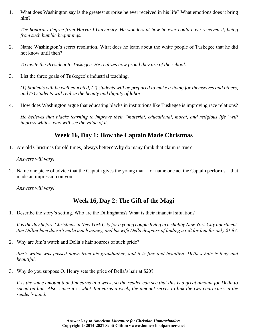1. What does Washington say is the greatest surprise he ever received in his life? What emotions does it bring him?

*The honorary degree from Harvard University. He wonders at how he ever could have received it, being from such humble beginnings.*

2. Name Washington's secret resolution. What does he learn about the white people of Tuskegee that he did not know until then?

*To invite the President to Tuskegee. He realizes how proud they are of the school.*

3. List the three goals of Tuskegee's industrial teaching.

*(1) Students will be well educated, (2) students will be prepared to make a living for themselves and others, and (3) students will realize the beauty and dignity of labor.*

4. How does Washington argue that educating blacks in institutions like Tuskegee is improving race relations?

*He believes that blacks learning to improve their "material, educational, moral, and religious life" will impress whites, who will see the value of it.*

#### **Week 16, Day 1: How the Captain Made Christmas**

1. Are old Christmas (or old times) always better? Why do many think that claim is true?

*Answers will vary!*

2. Name one piece of advice that the Captain gives the young man—or name one act the Captain performs—that made an impression on you.

*Answers will vary!*

#### **Week 16, Day 2: The Gift of the Magi**

1. Describe the story's setting. Who are the Dillinghams? What is their financial situation?

It is the day before Christmas in New York City for a young couple living in a shabby New York City apartment. *Jim Dillingham doesn't make much money, and his wife Della despairs of finding a gift for him for only \$1.87.*

2. Why are Jim's watch and Della's hair sources of such pride?

*Jim's watch was passed down from his grandfather, and it is fine and beautiful. Della's hair is long and beautiful.*

3. Why do you suppose O. Henry sets the price of Della's hair at \$20?

*It is the same amount that Jim earns in a week, so the reader can see that this is a great amount for Della to spend on him. Also, since it* is *what Jim earns a week, the amount serves to link the two characters in the reader's mind.*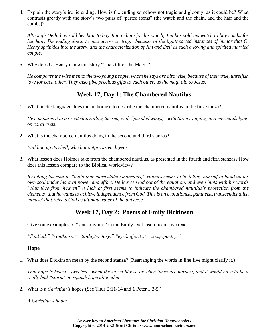4. Explain the story's ironic ending. How is the ending somehow not tragic and gloomy, as it could be? What contrasts greatly with the story's two pairs of "parted items" (the watch and the chain, and the hair and the combs)?

*Although Della has sold her hair to buy Jim a chain for his watch, Jim has sold his watch to buy combs for her hair. The ending doesn't come across as tragic because of the lighthearted instances of humor that O. Henry sprinkles into the story, and the characterization of Jim and Dell as such a loving and spirited married couple.*

5. Why does O. Henry name this story "The Gift of the Magi"?

*He compares the wise men to the two young people, whom he says are also wise, because of their true, unselfish love for each other. They also give precious gifts to each other, as the magi did to Jesus.*

#### **Week 17, Day 1: The Chambered Nautilus**

1. What poetic language does the author use to describe the chambered nautilus in the first stanza?

*He compares it to a great ship sailing the sea, with "purpled wings," with Sirens singing, and mermaids lying on coral reefs.*

2. What is the chambered nautilus doing in the second and third stanzas?

*Building up its shell, which it outgrows each year.*

3. What lesson does Holmes take from the chambered nautilus, as presented in the fourth and fifth stanzas? How does this lesson compare to the Biblical worldview?

*By telling his soul to "build thee more stately mansions," Holmes seems to be telling himself to build up his own soul under his own power and effort. He leaves God out of the equation, and even hints with his words "shut thee from heaven" (which at first seems to indicate the chambered nautilus's protection from the elements) that he wants to achieve independence from God. This is an evolutionist, pantheist, transcendentalist mindset that rejects God as ultimate ruler of the universe.*

#### **Week 17, Day 2: Poems of Emily Dickinson**

Give some examples of "slant-rhymes" in the Emily Dickinson poems we read.

*"Soul/all," "you/know," "to-day/victory," "eye/majority," "away/poetry."*

#### **Hope**

1. What does Dickinson mean by the second stanza? (Rearranging the words in line five might clarify it.)

*That hope is heard "sweetest" when the storm blows, or when times are hardest, and it would have to be a really bad "storm" to squash hope altogether.*

2. What is a *Christian's* hope? (See Titus 2:11-14 and 1 Peter 1:3-5.)

*A Christian's hope:*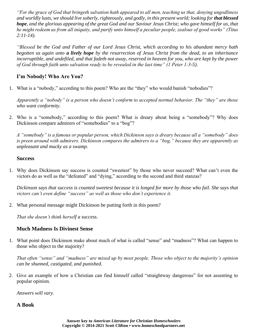*"For the grace of God that bringeth salvation hath appeared to all men, teaching us that, denying ungodliness*  and worldly lusts, we should live soberly, righteously, and godly, in this present world; looking for **that blessed** *hope, and the glorious appearing of the great God and our Saviour Jesus Christ; who gave himself for us, that he might redeem us from all iniquity, and purify unto himself a peculiar people, zealous of good works" (Titus 2:11-14).*

*"Blessed be the God and Father of our Lord Jesus Christ, which according to his abundant mercy hath begotten us again unto a lively hope by the resurrection of Jesus Christ from the dead, to an inheritance incorruptible, and undefiled, and that fadeth not away, reserved in heaven for you, who are kept by the power of God through faith unto salvation ready to be revealed in the last time" (1 Peter 1:3-5).*

#### **I'm Nobody! Who Are You?**

1. What is a "nobody," according to this poem? Who are the "they" who would banish "nobodies"?

*Apparently a "nobody" is a person who doesn't conform to accepted normal behavior. The "they" are those who want conformity.*

2. Who is a "somebody," according to this poem? What is dreary about being a "somebody"? Why does Dickinson compare admirers of "somebodies" to a "bog"?

*A "somebody" is a famous or popular person, which Dickinson says is dreary because all a "somebody" does is preen around with admirers. Dickinson compares the admirers to a "bog," because they are apparently as unpleasant and mucky as a swamp.*

#### **Success**

1. Why does Dickinson say success is counted "sweetest" by those who never succeed? What can't even the victors do as well as the "defeated" and "dying," according to the second and third stanzas?

*Dickinson says that success is counted sweetest because it is longed for more by those who fail. She says that victors can't even define "success" as well as those who don't experience it.*

2. What personal message might Dickinson be putting forth in this poem?

*That she doesn't think herself a success.*

#### **Much Madness Is Divinest Sense**

1. What point does Dickinson make about much of what is called "sense" and "madness"? What can happen to those who object to the majority?

*That often "sense" and "madness" are mixed up by most people. Those who object to the majority's opinion can be shunned, castigated, and punished.*

2. Give an example of how a Christian can find himself called "straightway dangerous" for not assenting to popular opinion.

*Answers will vary.*

#### **A Book**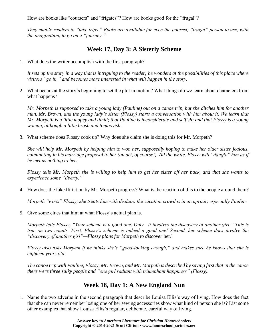How are books like "coursers" and "frigates"? How are books good for the "frugal"?

*They enable readers to "take trips." Books are available for even the poorest, "frugal" person to use, with the imagination, to go on a "journey."*

# **Week 17, Day 3: A Sisterly Scheme**

1. What does the writer accomplish with the first paragraph?

*It sets up the story in a way that is intriguing to the reader; he wonders at the possibilities of this place where visitors "go in," and becomes more interested in what will happen in the story.*

2. What occurs at the story's beginning to set the plot in motion? What things do we learn about characters from what happens?

*Mr. Morpeth is supposed to take a young lady (Pauline) out on a canoe trip, but she ditches him for another man, Mr. Brown, and the young lady's sister (Flossy) starts a conversation with him about it. We learn that Mr. Morpeth is a little mopey and timid; that Pauline is inconsiderate and selfish; and that Flossy is a young woman, although a little brash and tomboyish.*

3. What scheme does Flossy cook up? Why does she claim she is doing this for Mr. Morpeth?

*She will help Mr. Morpeth by helping him to woo her, supposedly hoping to make her older sister jealous, culminating in his marriage proposal to her (an act, of course!). All the while, Flossy will "dangle" him as if he means nothing to her.*

*Flossy tells Mr. Morpeth she is willing to help him to get her sister off her back, and that she wants to experience some "liberty."*

4. How does the fake flirtation by Mr. Morpeth progress? What is the reaction of this to the people around them?

*Morpeth "woos" Flossy; she treats him with disdain; the vacation crowd is in an uproar, especially Pauline.*

5. Give some clues that hint at what Flossy's actual plan is.

*Morpeth tells Flossy, "Your scheme is a good one. Only—it involves the discovery of another girl." This is true on two counts. First, Flossy's scheme is indeed a good one! Second, her scheme does involve the "discovery of another girl"—Flossy plans for Morpeth to discover* her*!*

*Flossy also asks Morpeth if he thinks she's "good-looking enough," and makes sure he knows that she is eighteen years old.*

*The canoe trip with Pauline, Flossy, Mr. Brown, and Mr. Morpeth is described by saying first that in the canoe there were three sulky people and "one girl radiant with triumphant happiness" (Flossy).*

#### **Week 18, Day 1: A New England Nun**

1. Name the two adverbs in the second paragraph that describe Louisa Ellis's way of living. How does the fact that she can never remember losing one of her sewing accessories show what kind of person she is? List some other examples that show Louisa Ellis's regular, deliberate, careful way of living.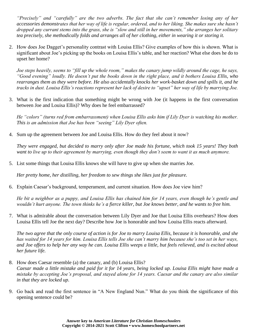*"Precisely" and "carefully" are the two adverbs. The fact that she can't remember losing any of her accessories demonstrates that her way of life is regular, ordered, and to her liking. She makes sure she hasn't dropped any currant stems into the grass, she is "slow and still in her movements," she arranges her solitary tea precisely, she methodically folds and arranges all of her clothing, either in wearing it or storing it.*

2. How does Joe Dagget's personality contrast with Louisa Ellis? Give examples of how this is shown. What is significant about Joe's picking up the books on Louisa Ellis's table, and her reaction? What else does he do to upset her home?

*Joe steps heavily, seems to "fill up the whole room," makes the canary jump wildly around the cage, he says, "Good evening" loudly. He doesn't put the books down in the right place, and it bothers Louisa Ellis, who rearranges them as they were before. He also accidentally knocks her work-basket down and spills it, and he tracks in dust. Louisa Ellis's reactions represent her lack of desire to "upset" her way of life by marrying Joe.*

3. What is the first indication that something might be wrong with Joe (it happens in the first conversation between Joe and Louisa Ellis)? Why does he feel embarrassed?

*He "colors" (turns red from embarrassment) when Louisa Ellis asks him if Lily Dyer is watching his mother. This is an admission that Joe has been "seeing" Lily Dyer often.*

4. Sum up the agreement between Joe and Louisa Ellis. How do they feel about it now?

*They were engaged, but decided to marry only after Joe made his fortune, which took 15 years! They both want to live up to their agreement by marrying, even though they don't seem to want it as much anymore.*

5. List some things that Louisa Ellis knows she will have to give up when she marries Joe.

*Her pretty home, her distilling, her freedom to sew things she likes just for pleasure.*

6. Explain Caesar's background, temperament, and current situation. How does Joe view him?

*He bit a neighbor as a puppy, and Louisa Ellis has chained him for 14 years, even though he's gentle and wouldn't hurt anyone. The town thinks he's a fierce killer, but Joe knows better, and he wants to free him.*

7. What is admirable about the conversation between Lily Dyer and Joe that Louisa Ellis overhears? How does Louisa Ellis tell Joe the next day? Describe how Joe is honorable and how Louisa Ellis reacts afterward.

*The two agree that the only course of action is for Joe to marry Louisa Ellis, because it is honorable, and she has waited for 14 years for him. Louisa Ellis tells Joe she can't marry him because she's too set in her ways, and Joe offers to help her any way he can. Louisa Ellis weeps a little, but feels relieved, and is excited about her future life.*

- 8. How does Caesar resemble (a) the canary, and (b) Louisa Ellis? *Caesar made a little mistake and paid for it for 14 years, being locked up. Louisa Ellis might have made a mistake by accepting Joe's proposal, and stayed alone for 14 years. Caesar and the canary are also similar in that they are locked up.*
- 9. Go back and read the first sentence in "A New England Nun." What do you think the significance of this opening sentence could be?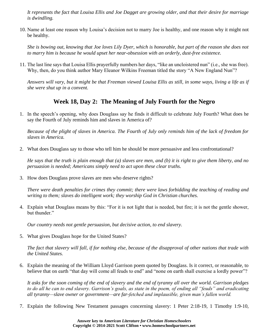*It represents the fact that Louisa Ellis and Joe Dagget are growing older, and that their desire for marriage is dwindling.*

10. Name at least one reason why Louisa's decision not to marry Joe is healthy, and one reason why it might not be healthy.

*She is bowing out, knowing that Joe loves Lily Dyer, which is honorable, but part of the reason she does not to marry him is because he would upset her near-obsession with an orderly, dust-free existence.*

11. The last line says that Louisa Ellis prayerfully numbers her days, "like an uncloistered nun" (i.e., she was free). Why, then, do you think author Mary Eleanor Wilkins Freeman titled the story "A New England Nun"?

*Answers will vary, but it might be that Freeman viewed Louisa Ellis as still, in some ways, living a life as if she were shut up in a convent.*

## **Week 18, Day 2: The Meaning of July Fourth for the Negro**

1. In the speech's opening, why does Douglass say he finds it difficult to celebrate July Fourth? What does he say the Fourth of July reminds him and slaves in America of?

*Because of the plight of slaves in America. The Fourth of July only reminds him of the lack of freedom for slaves in America.*

2. What does Douglass say to those who tell him he should be more persuasive and less confrontational?

*He says that the truth is plain enough that (a) slaves are men, and (b) it is right to give them liberty, and no persuasion is needed; Americans simply need to act upon these clear truths.*

3. How does Douglass prove slaves are men who deserve rights?

*There were death penalties for crimes they commit; there were laws forbidding the teaching of reading and writing to them; slaves do intelligent work; they worship God in Christian churches.*

4. Explain what Douglass means by this: "For it is not light that is needed, but fire; it is not the gentle shower, but thunder."

*Our country needs not gentle persuasion, but decisive action, to end slavery.*

5. What gives Douglass hope for the United States?

*The fact that slavery will fall, if for nothing else, because of the disapproval of other nations that trade with the United States.*

6. Explain the meaning of the William Lloyd Garrison poem quoted by Douglass. Is it correct, or reasonable, to believe that on earth "that day will come all feuds to end" and "none on earth shall exercise a lordly power"?

*It asks for the soon coming of the end of slavery and the end of tyranny all over the world. Garrison pledges to do all he can to end slavery. Garrison's goals, as state in the poem, of ending all "feuds" and eradicating all tyranny—slave owner or government—are far-fetched and implausible, given man's fallen world.*

7. Explain the following New Testament passages concerning slavery: 1 Peter 2:18-19, 1 Timothy 1:9-10,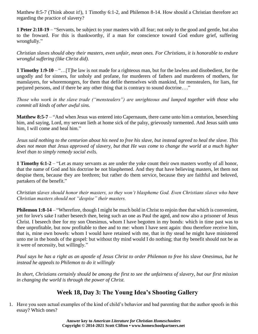Matthew 8:5-7 (Think about it!), 1 Timothy 6:1-2, and Philemon 8-14. How should a Christian therefore act regarding the practice of slavery?

**1 Peter 2:18-19** – "Servants, be subject to your masters with all fear; not only to the good and gentle, but also to the froward. For this is thankworthy, if a man for conscience toward God endure grief, suffering wrongfully."

*Christian slaves should obey their masters, even unfair, mean ones. For Christians, it is honorable to endure wrongful suffering (like Christ did).*

**1 Timothy 1:9-10** – "…[T]he law is not made for a righteous man, but for the lawless and disobedient, for the ungodly and for sinners, for unholy and profane, for murderers of fathers and murderers of mothers, for manslayers, for whoremongers, for them that defile themselves with mankind, for menstealers, for liars, for perjured persons, and if there be any other thing that is contrary to sound doctrine…."

*Those who work in the slave trade ("menstealers") are unrighteous and lumped together with those who commit all kinds of other awful sins.*

**Matthew 8:5-7** – "And when Jesus was entered into Capernaum, there came unto him a centurion, beseeching him, and saying, Lord, my servant lieth at home sick of the palsy, grievously tormented. And Jesus saith unto him, I will come and heal him."

*Jesus said nothing to the centurion about his need to free his slave, but instead agreed to heal the slave. This does not mean that Jesus approved of slavery, but that He was come to change the world at a much higher level than to simply remedy social evils.*

**1 Timothy 6:1-2** – "Let as many servants as are under the yoke count their own masters worthy of all honor, that the name of God and his doctrine be not blasphemed. And they that have believing masters, let them not despise them, because they are brethren; but rather do them service, because they are faithful and beloved, partakers of the benefit."

*Christian slaves should honor their masters, so they won't blaspheme God. Even Christians slaves who have Christian masters should not "despise" their masters.*

**Philemon 1:8-14** – "Wherefore, though I might be much bold in Christ to enjoin thee that which is convenient, yet for love's sake I rather beseech thee, being such an one as Paul the aged, and now also a prisoner of Jesus Christ. I beseech thee for my son Onesimus, whom I have begotten in my bonds: which in time past was to thee unprofitable, but now profitable to thee and to me: whom I have sent again: thou therefore receive him, that is, mine own bowels: whom I would have retained with me, that in thy stead he might have ministered unto me in the bonds of the gospel: but without thy mind would I do nothing; that thy benefit should not be as it were of necessity, but willingly."

*Paul says he has a right as an apostle of Jesus Christ to order Philemon to free his slave Onesimus, but he instead he appeals to Philemon to do it willingly*

*In short, Christians certainly should be among the first to see the unfairness of slavery, but our first mission in changing the world is through the power of Christ.*

## **Week 18, Day 3: The Young Idea's Shooting Gallery**

1. Have you seen actual examples of the kind of child's behavior and bad parenting that the author spoofs in this essay? Which ones?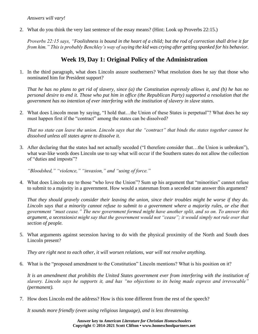*Answers will vary!*

2. What do you think the very last sentence of the essay means? (Hint: Look up Proverbs 22:15.)

*Proverbs 22:15 says, "Foolishness is bound in the heart of a child; but the rod of correction shall drive it far from him." This is probably Benchley's way of saying the kid was crying after getting spanked for his behavior.*

# **Week 19, Day 1: Original Policy of the Administration**

1. In the third paragraph, what does Lincoln assure southerners? What resolution does he say that those who nominated him for President support?

*That he has no plans to get rid of slavery, since (a) the Constitution expressly allows it, and (b) he has no personal desire to end it. Those who put him in office (the Republican Party) supported a resolution that the government has no intention of ever interfering with the institution of slavery in slave states.*

2. What does Lincoln mean by saying, "I hold that…the Union of these States is perpetual"? What does he say must happen first if the "contract" among the states can be dissolved?

*That no state can leave the union. Lincoln says that the "contract" that binds the states together cannot be dissolved unless all states agree to dissolve it.*

3. After declaring that the states had not actually seceded ("I therefore consider that…the Union is unbroken"), what war-like words does Lincoln use to say what will occur if the Southern states do not allow the collection of "duties and imposts"?

*"Bloodshed," "violence," "invasion," and "using of force."*

4. What does Lincoln say to those "who love the Union"? Sum up his argument that "minorities" cannot refuse to submit to a majority in a government. How would a statesman from a seceded state answer this argument?

*That they should gravely consider their leaving the union, since their troubles might be worse if they do. Lincoln says that a minority cannot refuse to submit to a government where a majority rules, or else that government "must cease." The new government formed might have another split, and so on. To answer this argument, a secessionist might say that the government would not "cease"; it would simply not rule over that section of people.*

5. What arguments against secession having to do with the physical proximity of the North and South does Lincoln present?

*They are right next to each other, it will worsen relations, war will not resolve anything.*

6. What is the "proposed amendment to the Constitution" Lincoln mentions? What is his position on it?

*It is an amendment that prohibits the United States government ever from interfering with the institution of slavery. Lincoln says he supports it, and has "no objections to its being made express and irrevocable" (permanent).*

7. How does Lincoln end the address? How is this tone different from the rest of the speech?

*It sounds more friendly (even using religious language), and is less threatening.*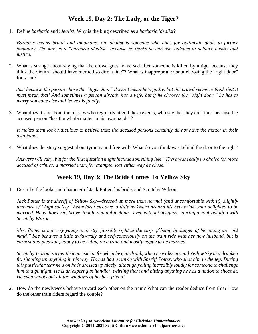## **Week 19, Day 2: The Lady, or the Tiger?**

1. Define *barbaric* and *idealist*. Why is the king described as a *barbaric idealist*?

*Barbaric means brutal and inhumane; an idealist is someone who aims for optimistic goals to further humanity. The king is a "barbaric idealist" because he thinks he can use violence to achieve beauty and justice.*

2. What is strange about saying that the crowd goes home sad after someone is killed by a tiger because they think the victim "should have merited so dire a fate"? What is inappropriate about choosing the "right door" for some?

*Just because the person chose the "tiger door" doesn't mean he's guilty, but the crowd seems to think that it must mean that! And sometimes a person already has a wife, but if he chooses the "right door," he has to marry someone else and leave his family!*

3. What does it say about the masses who regularly attend these events, who say that they are "fair" because the accused person "has the whole matter in his own hands"?

*It makes them look ridiculous to believe that; the accused persons certainly do not have the matter in their own hands.*

4. What does the story suggest about tyranny and free will? What do you think was behind the door to the right?

*Answers will vary, but for the first question might include something like "There was really no choice for those accused of crimes; a married man, for example, lost either way he chose."*

# **Week 19, Day 3: The Bride Comes To Yellow Sky**

1. Describe the looks and character of Jack Potter, his bride, and Scratchy Wilson.

*Jack Potter is the sheriff of Yellow Sky—dressed up more than normal (and uncomfortable with it), slightly unaware of "high society" behavioral customs, a little awkward around his new bride...and delighted to be married. He is, however, brave, tough, and unflinching—even without his guns—during a confrontation with Scratchy Wilson.*

*Mrs. Potter is not very young or pretty, possibly right at the cusp of being in danger of becoming an "old maid." She behaves a little awkwardly and self-consciously on the train ride with her new husband, but is earnest and pleasant, happy to be riding on a train and mostly happy to be married.*

*Scratchy Wilson is a gentle man, except for when he gets drunk, when he walks around Yellow Sky in a drunken fit, shooting up anything in his way. He has had a run-in with Sheriff Potter, who shot him in the leg. During this particular tear he's on he is dressed up nicely, although yelling incredibly loudly for someone to challenge him to a gunfight. He is an expert gun handler, twirling them and hitting anything he has a notion to shoot at. He even shoots out all the windows of his best friend!*

2. How do the newlyweds behave toward each other on the train? What can the reader deduce from this? How do the other train riders regard the couple?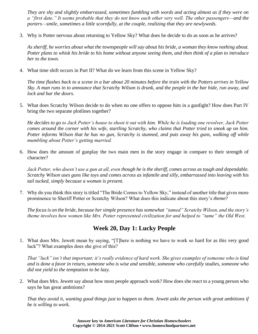*They are shy and slightly embarrassed, sometimes fumbling with words and acting almost as if they were on a "first date." It seems probable that they do not know each other very well. The other passengers—and the porters—smile, sometimes a little scornfully, at the couple, realizing that they are newlyweds.*

3. Why is Potter nervous about returning to Yellow Sky? What does he decide to do as soon as he arrives?

*As sheriff, he worries about what the townspeople will say about his bride, a woman they know nothing about. Potter plans to whisk his bride to his home without anyone seeing them, and then think of a plan to introduce her to the town.*

4. What time shift occurs in Part II? What do we learn from this scene in Yellow Sky?

*The time flashes back to a scene in a bar about 20 minutes before the train with the Potters arrives in Yellow Sky. A man runs in to announce that Scratchy Wilson is drunk, and the people in the bar hide, run away, and lock and bar the doors.*

5. What does Scratchy Wilson decide to do when no one offers to oppose him in a gunfight? How does Part IV bring the two separate plotlines together?

*He decides to go to Jack Potter's house to shoot it out with him. While he is loading one revolver, Jack Potter comes around the corner with his wife, startling Scratchy, who claims that Potter tried to sneak up on him. Potter informs Wilson that he has no gun, Scratchy is stunned, and puts away his guns, walking off while mumbling about Potter's getting married.*

6. How does the amount of gunplay the two main men in the story engage in compare to their strength of character?

*Jack Potter, who doesn't use a gun at all, even though he is the sheriff, comes across as tough and dependable. Scratchy Wilson uses guns like toys and comes across as infantile and silly, embarrassed into leaving with his tail tucked, simply because a woman is present.*

7. Why do you think this story is titled "The Bride Comes to Yellow Sky," instead of another title that gives more prominence to Sheriff Potter or Scratchy Wilson? What does this indicate about this story's *theme*?

*The focus is on the bride, because her simple presence has somewhat "tamed" Scratchy Wilson, and the story's theme involves how women like Mrs. Potter represented civilization for and helped to "tame" the Old West.*

#### **Week 20, Day 1: Lucky People**

1. What does Mrs. Jewett mean by saying, "[T]here is nothing we have to work so hard for as this very good luck"? What examples does she give of this?

*That "luck" isn't that important; it's really evidence of hard work. She gives examples of someone who is kind and is done a favor in return, someone who is wise and sensible, someone who carefully studies, someone who did not yield to the temptation to be lazy.*

2. What does Mrs. Jewett say about how most people approach work? How does she react to a young person who says he has great ambitions?

*That they avoid it, wanting good things just to happen to them. Jewett asks the person with great ambitions if he is willing to work.*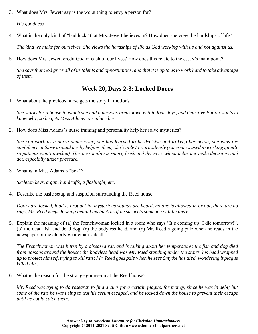3. What does Mrs. Jewett say is the worst thing to envy a person for?

*His goodness.*

4. What is the only kind of "bad luck" that Mrs. Jewett believes in? How does she view the hardships of life?

*The kind we make for ourselves. She views the hardships of life as God working with us and not against us.*

5. How does Mrs. Jewett credit God in each of our lives? How does this relate to the essay's main point?

*She says that God gives all of us talents and opportunities, and that it is up to us to work hard to take advantage of them.*

# **Week 20, Days 2-3: Locked Doors**

1. What about the previous nurse gets the story in motion?

*She works for a house in which she had a nervous breakdown within four days, and detective Patton wants to know why, so he gets Miss Adams to replace her.*

2. How does Miss Adams's nurse training and personality help her solve mysteries?

*She can work as a nurse undercover; she has learned to be decisive and to keep her nerve; she wins the confidence of those around her by helping them; she's able to work silently (since she's used to working quietly so patients won't awaken). Her personality is smart, brisk and decisive, which helps her make decisions and act, especially under pressure.*

3. What is in Miss Adams's "box"?

*Skeleton keys, a gun, handcuffs, a flashlight, etc.*

4. Describe the basic setup and suspicion surrounding the Reed house.

*Doors are locked, food is brought in, mysterious sounds are heard, no one is allowed in or out, there are no rugs, Mr. Reed keeps looking behind his back as if he suspects someone will be there,* 

5. Explain the meaning of (a) the Frenchwoman locked in a room who says "It's coming up! I die tomorrow!", (b) the dead fish and dead dog, (c) the bodyless head, and (d) Mr. Reed's going pale when he reads in the newspaper of the elderly gentleman's death.

*The Frenchwoman was bitten by a diseased rat, and is talking about her temperature; the fish and dog died from poisons around the house; the bodyless head was Mr. Reed standing under the stairs, his head wrapped up to protect himself, trying to kill rats; Mr. Reed goes pale when he sees Smythe has died, wondering if plague killed him.*

6. What is the reason for the strange goings-on at the Reed house?

*Mr. Reed was trying to do research to find a cure for a certain plague, for money, since he was in debt; but some of the rats he was using to test his serum escaped, and he locked down the house to prevent their escape until he could catch them.*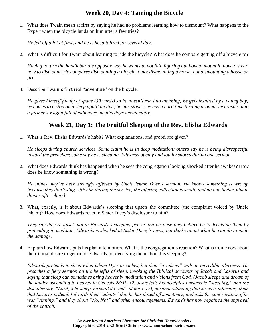# **Week 20, Day 4: Taming the Bicycle**

1. What does Twain mean at first by saying he had no problems learning how to dismount? What happens to the Expert when the bicycle lands on him after a few tries?

*He fell off a lot at first, and he is hospitalized for several days.*

2. What is difficult for Twain about learning to ride the bicycle? What does he compare getting off a bicycle to?

*Having to turn the handlebar the opposite way he wants to not fall, figuring out how to mount it, how to steer, how to dismount. He compares dismounting a bicycle to not dismounting a horse, but dismounting a house on fire.*

3. Describe Twain's first real "adventure" on the bicycle.

*He gives himself plenty of space (30 yards) so he doesn't run into anything; he gets insulted by a young boy; he comes to a stop on a steep uphill incline; he hits stones; he has a hard time turning around; he crashes into a farmer's wagon full of cabbages; he hits dogs accidentally.*

## **Week 21, Day 1: The Fruitful Sleeping of the Rev. Elisha Edwards**

1. What is Rev. Elisha Edwards's habit? What explanations, and proof, are given?

*He sleeps during church services. Some claim he is in deep meditation; others say he is being disrespectful toward the preacher; some say he is sleeping. Edwards openly and loudly snores during one sermon.*

2. What does Edwards think has happened when he sees the congregation looking shocked after he awakes? How does he know something is wrong?

*He thinks they've been strongly affected by Uncle Isham Dyer's sermon. He knows something is wrong, because they don't sing with him during the service, the offering collection is small, and no one invites him to dinner after church.*

3. What, exactly, is it about Edwards's sleeping that upsets the committee (the complaint voiced by Uncle Isham)? How does Edwards react to Sister Dicey's disclosure to him?

*They say they're upset, not at Edwards's sleeping per se, but because they believe he is deceiving them by pretending to meditate. Edwards is shocked at Sister Dicey's news, but thinks about what he can do to undo the damage.*

4. Explain how Edwards puts his plan into motion. What is the congregation's reaction? What is ironic now about their initial desire to get rid of Edwards for deceiving them about his sleeping?

*Edwards pretends to sleep when Isham Dyer preaches, but then "awakens" with an incredible alertness. He preaches a fiery sermon on the benefits of sleep, invoking the Biblical accounts of Jacob and Lazarus and saying that sleep can sometimes bring heavenly meditation and visions from God. (Jacob sleeps and dream of the ladder ascending to heaven in Genesis 28:10-12. Jesus tells his disciples Lazarus is "sleeping," and the disciples say, "Lord, if he sleep, he shall do well" (John 1:12), misunderstanding that Jesus is informing them that Lazarus is dead. Edwards then "admits" that he has dozed off sometimes, and asks the congregation if he was "sinning," and they shout "No! No!" and other encouragements. Edwards has now regained the approval of the church.*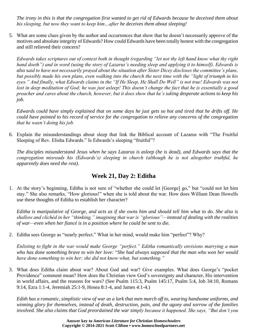*The irony in this is that the congregation first wanted to get rid of Edwards because he deceived them about his sleeping, but now they want to keep him…after he deceives them about sleeping!*

5. What are some clues given by the author and occurrences that show that he doesn't necessarily approve of the motives and absolute integrity of Edwards? How could Edwards have been totally honest with the congregation and still relieved their concern?

*Edwards takes scriptures out of context both in thought (regarding "let not thy left hand know what thy right hand doeth") and in word (using the story of Lazarus's needing sleep and applying it to himself). Edwards is also said to have not necessarily prayed about the situation after Sister Dicey discloses the committee's plans, but possibly made his own plans, even walking into the church the next time with the "light of triumph in his eyes." And finally, what Edwards claims in the "If He Sleep, He Shall Do Well" is not true! Edwards was not lost in deep meditation of God; he was just asleep! This doesn't change the fact that he is essentially a good preacher and cares about the church, however, but it does show that he's taking desperate actions to keep his job.*

*Edwards could have simply explained that on some days he just gets so hot and tired that he drifts off. He could have pointed to his record of service for the congregation to relieve any concerns of the congregation that he wasn't doing his job.*

6. Explain the misunderstandings about sleep that link the Biblical account of Lazarus with "The Fruitful Sleeping of Rev. Elisha Edwards." Is Edwards's sleeping "fruitful"?

*The disciples misunderstand Jesus when he says Lazarus is asleep (he is dead), and Edwards says that the congregation misreads his (Edwards's) sleeping in church (although he is not altogether truthful, he apparently does need the rest).*

## **Week 21, Day 2: Editha**

1. At the story's beginning, Editha is not sure of "whether she could let [George] go," but "could not let him stay." She also remarks, "How glorious!" when she is told about the war. How does William Dean Howells use these thoughts of Editha to establish her character?

*Editha is manipulative of George, and acts as if she owns him and should tell him what to do. She also is shallow and clichéd in her "thinking," imagining that war is "glorious"—instead of dealing with the realities of war—even when her fiancé is in a position where he could be sent to die.*

2. Editha sees George as "nearly perfect." What in her mind, would make him "perfect"? Why?

*Enlisting to fight in the war would make George "perfect." Editha romantically envisions marrying a man who has done something brave to win her love:* "*She had always supposed that the man who won her would have done something to win her; she did not know what, but something."*

3. What does Editha claim about war? About God and war? Give examples. What does George's "pocket Providence" comment mean? How does the Christian view God's sovereignty and character, His intervention in world affairs, and the reasons for wars? (See Psalm 115:3, Psalm 145:17, Psalm 5:4, Job 34:10, Romans 9:14, Ezra 1:1-4, Jeremiah 25:1-9, Hosea 8:1-4, and James 4:1-4.)

*Edith has a romantic, simplistic view of war as a lark that men march off to, wearing handsome uniforms, and winning glory for themselves, instead of death, destruction, pain, and the agony and sorrow of the families involved. She also claims that God preordained the war simply because it happened. She says, "But don't you*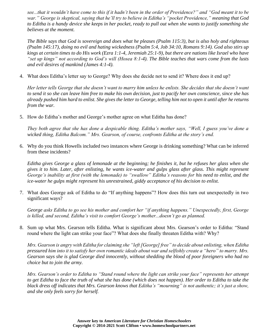*see...that it wouldn't have come to this if it hadn't been in the order of Providence?" and "God meant it to be war." George is skeptical, saying that he'll try to believe in Editha's "pocket Providence," meaning that God to Editha is a handy device she keeps in her pocket, ready to pull out when she wants to justify something she believes at the moment.*

*The Bible says that God is sovereign and does what he pleases (Psalm 115:3), but is also holy and righteous (Psalm 145:17), doing no evil and hating wickedness (Psalm 5:4, Job 34:10, Romans 9:14). God also stirs up kings at certain times to do His work (Ezra 1:1-4, Jeremiah 25:1-9), but there are nations like Israel who have "set up kings" not according to God's will (Hosea 8:1-4). The Bible teaches that wars come from the lusts and evil desires of mankind (James 4:1-4).*

4. What does Editha's letter say to George? Why does she decide not to send it? Where does it end up?

*Her letter tells George that she doesn't want to marry him unless he enlists. She decides that she doesn't want to send it so she can leave him free to make his own decision, just to pacify her own conscience, since she has already pushed him hard to enlist. She gives the letter to George, telling him not to open it until after he returns from the war.*

5. How do Editha's mother and George's mother agree on what Editha has done?

*They both agree that she has done a despicable thing. Editha's mother says, "Well, I guess you've done a wicked thing, Editha Balcom." Mrs. Gearson, of course, confronts Editha at the story's end.*

6. Why do you think Howells included two instances where George is drinking something? What can be inferred from these incidents?

*Editha gives George a glass of lemonade at the beginning; he finishes it, but he refuses her glass when she gives it to him. Later, after enlisting, he wants ice-water and gulps glass after glass. This might represent George's inability at first (with the lemonade) to "swallow" Editha's reasons for his need to enlist, and the ice-water he gulps might represent his unrestrained, giddy acceptance of his decision to enlist.*

7. What does George ask of Editha to do "If anything happens"? How does this turn out unexpectedly in two significant ways?

*George asks Editha to go see his mother and comfort her "if anything happens." Unexpectedly, first, George is killed, and second, Editha's visit to comfort George's mother...doesn't go as planned.*

8. Sum up what Mrs. Gearson tells Editha. What is significant about Mrs. Gearson's order to Editha: "Stand round where the light can strike your face"? What does she finally threaten Editha with? Why?

*Mrs. Gearson is angry with Editha for claiming she "left [George] free" to decide about enlisting, when Editha pressured him into it to satisfy her own romantic ideals about war and selfishly create a "hero" to marry. Mrs. Gearson says she is glad George died innocently, without shedding the blood of poor foreigners who had no choice but to join the army.*

*Mrs. Gearson's order to Editha to "Stand round where the light can strike your face" represents her attempt*  to get Editha to face the truth of what she has done (which does not happen). Her order to Editha to take the *black dress off indicates that Mrs. Gearson knows that Editha's "mourning" is not authentic; it's just a show, and she only feels sorry for herself.*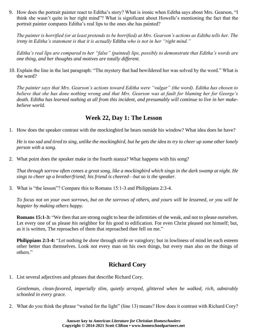9. How does the portrait painter react to Editha's story? What is ironic when Editha says about Mrs. Gearson, "I think she wasn't quite in her right mind"? What is significant about Howells's mentioning the fact that the portrait painter compares Editha's real lips to the ones she has painted?

*The painter is horrified (or at least pretends to be horrified) at Mrs. Gearson's actions as Editha tells her. The irony in Editha's statement is that it is actually* Editha *who is not in her "right mind."*

*Editha's real lips are compared to her "false" (painted) lips, possibly to demonstrate that Editha's words are one thing, and her thoughts and motives are totally different.*

10. Explain the line in the last paragraph: "The mystery that had bewildered her was solved by the word." What is the word?

*The painter says that Mrs. Gearson's actions toward Editha were "vulgar" (the word). Editha has chosen to believe that she has done nothing wrong and that Mrs. Gearson was at fault for blaming her for George's death. Editha has learned nothing at all from this incident, and presumably will continue to live in her makebelieve world.*

#### **Week 22, Day 1: The Lesson**

1. How does the speaker contrast with the mockingbird he hears outside his window? What idea does he have?

*He is too sad and tired to sing, unlike the mockingbird, but he gets the idea to try to cheer up some other lonely person with a song.*

2. What point does the speaker make in the fourth stanza? What happens with his song?

*That through sorrow often comes a great song, like a mockingbird which sings in the dark swamp at night. He sings to cheer up a brother/friend; his friend is cheered—but so is the speaker.*

3. What is "the lesson"? Compare this to Romans 15:1-3 and Philippians 2:3-4.

*To focus not on your own sorrows, but on the sorrows of others, and yours will be lessened, or you will be happier by making others happy.*

**Romans 15:1-3:** "We then that are strong ought to bear the infirmities of the weak, and not to please ourselves. Let every one of us please *his* neighbor for *his* good to edification. For even Christ pleased not himself; but, as it is written, The reproaches of them that reproached thee fell on me."

**Philippians 2:3-4:** "*Let* nothing *be done* through strife or vainglory; but in lowliness of mind let each esteem other better than themselves. Look not every man on his own things, but every man also on the things of others."

## **Richard Cory**

1. List several adjectives and phrases that describe Richard Cory.

*Gentleman, clean-favored, imperially slim, quietly arrayed, glittered when he walked, rich, admirably schooled in every grace.*

2. What do you think the phrase "waited for the light" (line 13) means? How does it contrast with Richard Cory?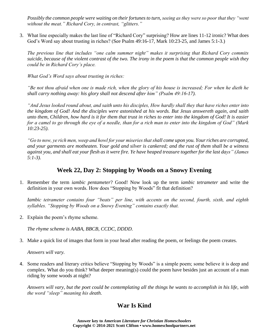*Possibly the common people were waiting on their fortunes to turn, seeing as they were so poor that they "went without the meat." Richard Cory, in contrast, "glitters."*

3. What line especially makes the last line of "Richard Cory" surprising? How are lines 11-12 ironic? What does God's Word say about trusting in riches? (See Psalm 49:16-17, Mark 10:23-25, and James 5:1-3.)

*The previous line that includes "one calm summer night" makes it surprising that Richard Cory commits suicide, because of the violent contrast of the two. The irony in the poem is that the common people wish they could be in Richard Cory's place.*

*What God's Word says about trusting in riches:*

*"Be not thou afraid when one is made rich, when the glory of his house is increased; For when he dieth he shall carry nothing away: his glory shall not descend after him" (Psalm 49:16-17).*

*"And Jesus looked round about, and saith unto his disciples, How hardly shall they that have riches enter into the kingdom of God! And the disciples were astonished at his words. But Jesus answereth again, and saith unto them, Children, how hard is it for them that trust in riches to enter into the kingdom of God! It is easier for a camel to go through the eye of a needle, than for a rich man to enter into the kingdom of God" (Mark 10:23-25).*

*"Go to now, ye rich men, weep and howl for your miseries that shall come upon you. Your riches are corrupted, and your garments are motheaten. Your gold and silver is cankered; and the rust of them shall be a witness against you, and shall eat your flesh as it were fire. Ye have heaped treasure together for the last days" (James 5:1-3).*

#### **Week 22, Day 2: Stopping by Woods on a Snowy Evening**

1. Remember the term *iambic pentameter*? Good! Now look up the term *iambic tetrameter* and write the definition in your own words. How does "Stopping by Woods" fit that definition?

*Iambic tetrameter contains four "beats" per line, with accents on the second, fourth, sixth, and eighth syllables. "Stopping by Woods on a Snowy Evening" contains exactly that.*

2. Explain the poem's rhyme scheme.

*The rhyme scheme is AABA, BBCB, CCDC, DDDD.*

3. Make a quick list of images that form in your head after reading the poem, or feelings the poem creates.

*Answers will vary.*

4. Some readers and literary critics believe "Stopping by Woods" is a simple poem; some believe it is deep and complex. What do you think? What deeper meaning(s) could the poem have besides just an account of a man riding by some woods at night?

*Answers will vary, but the poet could be contemplating all the things he wants to accomplish in his life, with the word "sleep" meaning his death.*

# **War Is Kind**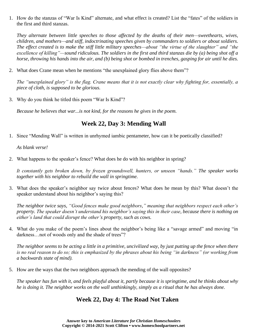1. How do the stanzas of "War Is Kind" alternate, and what effect is created? List the "fates" of the soldiers in the first and third stanzas.

*They alternate between little speeches to those affected by the deaths of their men—sweethearts, wives, children, and mothers—and stiff, indoctrinating speeches given by commanders to soldiers or about soldiers. The effect created is to make the stiff little military speeches—about "the virtue of the slaughter" and "the excellence of killing"—sound ridiculous. The soldiers in the first and third stanzas die by (a) being shot off a horse, throwing his hands into the air, and (b) being shot or bombed in trenches, gasping for air until he dies.*

2. What does Crane mean when he mentions "the unexplained glory flies above them"?

*The "unexplained glory" is the flag. Crane means that it is not exactly clear why fighting for, essentially, a piece of cloth, is supposed to be glorious.*

3. Why do you think he titled this poem "War Is Kind"?

*Because he believes that war...is not kind, for the reasons he gives in the poem.*

# **Week 22, Day 3: Mending Wall**

1. Since "Mending Wall" is written in unrhymed iambic pentameter, how can it be poetically classified?

*As blank verse!*

2. What happens to the speaker's fence? What does he do with his neighbor in spring?

*It constantly gets broken down, by frozen groundswell, hunters, or unseen "hands." The speaker works together with his neighbor to rebuild the wall in springtime.*

3. What does the speaker's neighbor say twice about fences? What does he mean by this? What doesn't the speaker understand about his neighbor's saying this?

*The neighbor twice says, "Good fences make good neighbors," meaning that neighbors respect each other's property. The speaker doesn't understand his neighbor's saying this in their case, because there is nothing on either's land that could disrupt the other's property, such as cows.*

4. What do you make of the poem's lines about the neighbor's being like a "savage armed" and moving "in darkness...not of woods only and the shade of trees"?

*The neighbor seems to be acting a little in a primitive, uncivilized way, by just putting up the fence when there is no real reason to do so; this is emphasized by the phrases about his being "in darkness" (or working from a backwards state of mind).*

5. How are the ways that the two neighbors approach the mending of the wall opposites?

*The speaker has fun with it, and feels playful about it, partly because it is springtime, and he thinks about why he is doing it. The neighbor works on the wall unthinkingly, simply as a ritual that he has always done.*

## **Week 22, Day 4: The Road Not Taken**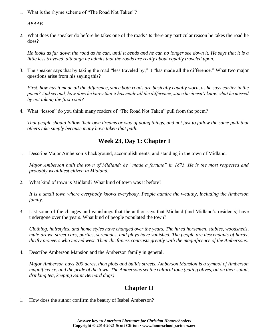1. What is the rhyme scheme of "The Road Not Taken"?

*ABAAB*

2. What does the speaker do before he takes one of the roads? Is there any particular reason he takes the road he does?

*He looks as far down the road as he can, until it bends and he can no longer see down it. He says that it is a little less traveled, although he admits that the roads are really about equally traveled upon.*

3. The speaker says that by taking the road "less traveled by," it "has made all the difference." What two major questions arise from his saying this?

*First, how has it made all the difference, since both roads are basically equally worn, as he says earlier in the poem? And second, how does he know that it has made all the difference, since he doesn't know what he missed by not taking the first road?*

4. What "lesson" do you think many readers of "The Road Not Taken" pull from the poem?

*That people should follow their own dreams or way of doing things, and not just to follow the same path that others take simply because many have taken that path.*

# **Week 23, Day 1: Chapter I**

1. Describe Major Amberson's background, accomplishments, and standing in the town of Midland.

*Major Amberson built the town of Midland; he "made a fortune" in 1873. He is the most respected and probably wealthiest citizen in Midland.*

2. What kind of town is Midland? What kind of town was it before?

*It is a small town where everybody knows everybody. People admire the wealthy, including the Amberson family.*

3. List some of the changes and vanishings that the author says that Midland (and Midland's residents) have undergone over the years. What kind of people populated the town?

*Clothing, hairstyles, and home styles have changed over the years. The hired horsemen, stables, woodsheds, mule-drawn street-cars, parties, serenades, and plays have vanished. The people are descendants of hardy, thrifty pioneers who moved west. Their thriftiness contrasts greatly with the magnificence of the Ambersons.*

4. Describe Amberson Mansion and the Amberson family in general.

*Major Amberson buys 200 acres, then plots and builds streets, Amberson Mansion is a symbol of Amberson magnificence, and the pride of the town. The Ambersons set the cultural tone (eating olives, oil on their salad, drinking tea, keeping Saint Bernard dogs)*

# **Chapter II**

1. How does the author confirm the beauty of Isabel Amberson?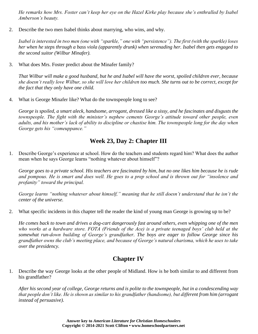*He remarks how Mrs. Foster can't keep her eye on the Hazel Kirke play because she's enthralled by Isabel Amberson's beauty.*

2. Describe the two men Isabel thinks about marrying, who wins, and why.

*Isabel is interested in two men (one with "sparkle," one with "persistence"). The first (with the sparkle) loses her when he steps through a bass viola (apparently drunk) when serenading her. Isabel then gets engaged to the second suitor (Wilbur Minafer).*

3. What does Mrs. Foster predict about the Minafer family?

*That Wilbur will make a good husband, but he and Isabel will have the worst, spoiled children ever, because she doesn't really love Wilbur, so she will love her children too much. She turns out to be correct, except for the fact that they only have one child.*

4. What is George Minafer like? What do the townspeople long to see?

*George is spoiled, a smart aleck, handsome, arrogant, dressed like a sissy, and he fascinates and disgusts the townspeople. The fight with the minister's nephew cements George's attitude toward other people, even adults, and his mother's lack of ability to discipline or chastise him. The townspeople long for the day when George gets his "comeuppance."*

#### **Week 23, Day 2: Chapter III**

1. Describe George's experience at school. How do the teachers and students regard him? What does the author mean when he says George learns "nothing whatever about himself"?

*George goes to a private school. His teachers are fascinated by him, but no one likes him because he is rude and pompous. He is smart and does well. He goes to a prep school and is thrown out for "insolence and profanity" toward the principal.*

*George learns "nothing whatever about himself," meaning that he still doesn't understand that he isn't the center of the universe.*

2. What specific incidents in this chapter tell the reader the kind of young man George is growing up to be?

*He comes back to town and drives a dog-cart dangerously fast around others, even whipping one of the men who works at a hardware store. FOTA (Friends of the Ace) is a private teenaged boys' club held at the somewhat run-down building of George's grandfather. The boys are eager to follow George since his grandfather owns the club's meeting place, and because of George's natural charisma, which he uses to take over the presidency.* 

## **Chapter IV**

1. Describe the way George looks at the other people of Midland. How is he both similar to and different from his grandfather?

*After his second year of college, George returns and is polite to the townspeople, but in a condescending way that people don't like. He is shown as similar to his grandfather (handsome), but different from him (arrogant instead of persuasive).*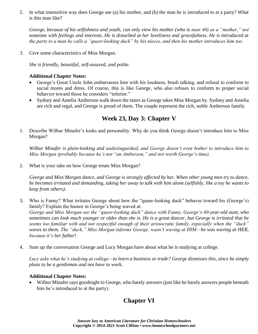2. In what insensitive way does George see (a) his mother, and (b) the man he is introduced to at a party? What is this man like?

*George, because of his selfishness and youth, can only view his mother (who is near 40) as a "mother," not someone with feelings and interests. He is disturbed at her loveliness and gracefulness. He is introduced at the party to a man he calls a "queer-looking duck" by his nieces, and then his mother introduces him too.*

3. Give some characteristics of Miss Morgan.

*She is friendly, beautiful, self-assured, and polite.*

#### **Additional Chapter Notes:**

- George's Great Uncle John embarrasses him with his loudness, brash talking, and refusal to conform to social mores and dress. Of course, this is like George, who also refuses to conform to proper social behavior toward those he considers "inferior."
- Sydney and Amelia Amberson walk down the stairs as George takes Miss Morgan by. Sydney and Amelia are rich and regal, and George is proud of them. The couple represent the rich, noble Amberson family.

#### **Week 23, Day 3: Chapter V**

1. Describe Wilbur Minafer's looks and personality. Why do you think George doesn't introduce him to Miss Morgan?

*Wilbur Minafer is plain-looking and undistinguished, and George doesn't even bother to introduce him to Miss Morgan (probably because he's not "an Amberson," and not worth George's time).*

2. What is your take on how George treats Miss Morgan?

*George and Miss Morgan dance, and George is strongly affected by her. When other young men try to dance, he becomes irritated and demanding, taking her away to talk with him alone (selfishly, like a toy he wants to keep from others).*

- 3. Who is Fanny? What irritates George about how the "queer-looking duck" behaves toward his (George's) family? Explain the humor in George's being waved at. *George and Miss Morgan see the "queer-looking duck" dance with Fanny, George's 40-year-old aunt, who sometimes can look much younger or older than she is. He is a great dancer, but George is irritated that he seems too familiar with and not respectful enough of their aristocratic family, especially when the "duck" waves to them. The "duck," Miss Morgan informs George, wasn't waving at HIM—he was waving at HER, because it's her father!*
- 4. Sum up the conversation George and Lucy Morgan have about what he is studying at college.

*Lucy asks what he's studying at college—to learn a business or trade? George dismisses this, since he simply plans to be a gentleman and not have to work.*

#### **Additional Chapter Notes:**

• Wilbur Minafer says goodnight to George, who barely answers (just like he barely answers people beneath him he's introduced to at the party).

# **Chapter VI**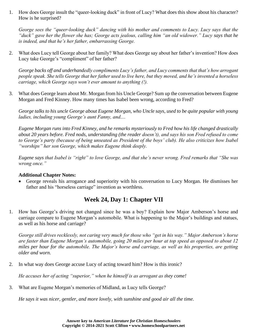1. How does George insult the "queer-looking duck" in front of Lucy? What does this show about his character? How is he surprised?

*George sees the "queer-looking duck" dancing with his mother and comments to Lucy. Lucy says that the "duck" gave her the flower she has; George acts jealous, calling him "an old widower." Lucy says that he is indeed, and that he's her father, embarrassing George.*

2. What does Lucy tell George about her family? What does George say about her father's invention? How does Lucy take George's "compliment" of her father?

*George backs off and underhandedly compliments Lucy's father, and Lucy comments that that's how arrogant people speak. She tells George that her father used to live here, but they moved, and he's invented a horseless carriage, which George says won't ever amount to anything (!).*

3. What does George learn about Mr. Morgan from his Uncle George? Sum up the conversation between Eugene Morgan and Fred Kinney. How many times has Isabel been wrong, according to Fred?

*George talks to his uncle George about Eugene Morgan, who Uncle says, used to be quite popular with young ladies, including young George's aunt Fanny, and....*

*Eugene Morgan runs into Fred Kinney, and he remarks mysteriously to Fred how his life changed drastically about 20 years before. Fred nods, understanding (the reader doesn't), and says his son Fred refused to come to George's party (because of being unseated as President of the boys' club). He also criticizes how Isabel "worships" her son George, which makes Eugene think deeply.*

*Eugene says that Isabel is "right" to love George, and that she's never wrong. Fred remarks that "She was wrong once."*

#### **Additional Chapter Notes:**

• George reveals his arrogance and superiority with his conversation to Lucy Morgan. He dismisses her father and his "horseless carriage" invention as worthless.

## **Week 24, Day 1: Chapter VII**

1. How has George's driving not changed since he was a boy? Explain how Major Amberson's horse and carriage compare to Eugene Morgan's automobile. What is happening to the Major's buildings and statues, as well as his horse and carriage?

*George still drives recklessly, not caring very much for those who "get in his way." Major Amberson's horse are faster than Eugene Morgan's automobile, going 20 miles per hour at top speed as opposed to about 12 miles per hour for the automobile. The Major's horse and carriage, as well as his properties, are getting older and worn.*

2. In what way does George accuse Lucy of acting toward him? How is this ironic?

*He accuses her of acting "superior," when he himself is as arrogant as they come!*

3. What are Eugene Morgan's memories of Midland, as Lucy tells George?

*He says it was nicer, gentler, and more lovely, with sunshine and good air all the time.*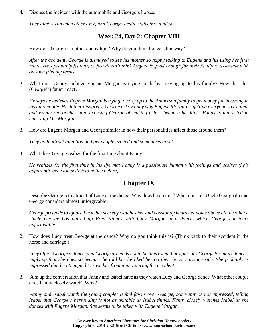**4.** Discuss the incident with the automobile and George's horses.

*They almost run each other over, and George's cutter falls into a ditch.*

#### **Week 24, Day 2: Chapter VIII**

1. How does George's mother annoy him? Why do you think he feels this way?

*After the accident, George is dismayed to see his mother so happy talking to Eugene and his using her first name. He's probably jealous, or just doesn't think Eugene is good enough for their family to associate with on such friendly terms.*

2. What does George believe Eugene Morgan is trying to do by cozying up to his family? How does his (George's) father react?

*He says he believes Eugene Morgan is trying to cozy up to the Amberson family to get money for investing in his automobile. His father disagrees. George asks Fanny why Eugene Morgan is getting everyone so excited, and Fanny reproaches him, accusing George of making a fuss because he thinks Fanny is interested in marrying Mr. Morgan.*

3. How are Eugene Morgan and George similar in how their personalities affect those around them?

*They both attract attention and get people excited and sometimes upset.*

4. What does George realize for the first time about Fanny?

*He realizes for the first time in his life that Fanny is a passionate human with feelings and desires (he's apparently been too selfish to notice before).*

## **Chapter IX**

1. Describe George's treatment of Lucy at the dance. Why does he do this? What does his Uncle George do that George considers almost unforgivable?

*George pretends to ignore Lucy, but secretly watches her and constantly hears her voice above all the others. Uncle George has paired up Fred Kinney with Lucy Morgan in a dance, which George considers unforgivable.*

2. How does Lucy treat George at the dance? Why do you think this is? (Think back to their accident in the horse and carriage.)

*Lucy offers George a dance, and George pretends not to be interested. Lucy pursues George for many dances, implying that she does so because he told her he liked her on their horse carriage ride. She probably is impressed that he attempted to save her from injury during the accident.*

3. Sum up the conversation that Fanny and Isabel have as they watch Lucy and George dance. What other couple does Fanny closely watch? Why?

*Fanny and Isabel watch the young couple; Isabel fawns over George, but Fanny is not impressed, telling Isabel that George's personality is not as amiable as Isabel thinks. Fanny closely watches Isabel as she dances with Eugene Morgan. She seems to be taken with Eugene Morgan.*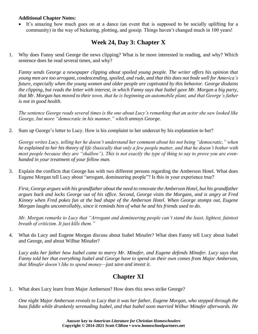#### **Additional Chapter Notes:**

• It's amazing how much goes on at a dance (an event that is supposed to be socially uplifting for a community) in the way of bickering, plotting, and gossip. Things haven't changed much in 100 years!

# **Week 24, Day 3: Chapter X**

1. Why does Fanny send George the news clipping? What is he more interested in reading, and why? Which sentence does he read several times, and why?

*Fanny sends George a newspaper clipping about spoiled young people. The writer offers his opinion that young men are too arrogant, condescending, spoiled, and rude, and that this does not bode well for America's future, especially when the young women and older people are captivated by this behavior. George disdains the clipping, but reads the letter with interest, in which Fanny says that Isabel gave Mr. Morgan a big party, that Mr. Morgan has moved to their town, that he is beginning an automobile plant, and that George's father is not in good health.*

*The sentence George reads several times is the one about Lucy's remarking that an actor she saw looked like George, but more "democratic in his manner," which annoys George.*

2. Sum up George's letter to Lucy. How is his complaint to her undercut by his explanation to her?

*George writes Lucy, telling her he doesn't understand her comment about his not being "democratic," when he explained to her his theory of life (basically that only a few people matter, and that he doesn't bother with most people because they are "shallow"). This is not exactly the type of thing to say to prove you are evenhanded in your treatment of your fellow man.*

3. Explain the conflicts that George has with two different persons regarding the Amberson Hotel. What does Eugene Morgan tell Lucy about "arrogant, domineering people"? Is this in your experience true?

*First, George argues with his grandfather about the need to renovate the Amberson Hotel, but his grandfather argues back and locks George out of his office. Second, George visits the Morgans, and is angry at Fred Kinney when Fred pokes fun at the bad shape of the Amberson Hotel. When George stomps out, Eugene Morgan laughs uncontrollably, since it reminds him of what he and his friends used to do.*

*Mr. Morgan remarks to Lucy that "Arrogant and domineering people can't stand the least, lightest, faintest breath of criticism. It just kills them."*

4. What do Lucy and Eugene Morgan discuss about Isabel Minafer? What does Fanny tell Lucy about Isabel and George, and about Wilbur Minafer?

*Lucy asks her father how Isabel came to marry Mr. Minafer, and Eugene defends Minafer. Lucy says that Fanny told her that everything Isabel and George have to spend on their own comes from Major Amberson, that Minafer doesn't like to spend money—just save and invest it.*

## **Chapter XI**

1. What does Lucy learn from Major Amberson? How does this news strike George?

*One night Major Amberson reveals to Lucy that it was her father, Eugene Morgan, who stepped through the bass fiddle while drunkenly serenading Isabel, and that Isabel soon married Wilbur Minafer afterwards. He*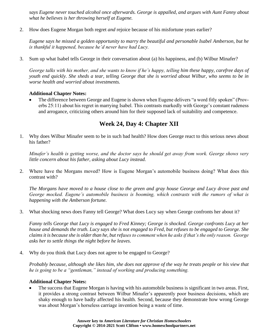*says Eugene never touched alcohol once afterwards. George is appalled, and argues with Aunt Fanny about what he believes is her throwing herself at Eugene.*

2. How does Eugene Morgan both regret *and* rejoice because of his misfortune years earlier?

*Eugene says he missed a golden opportunity to marry the beautiful and personable Isabel Amberson, but he is thankful it happened, because he'd never have had Lucy.*

3. Sum up what Isabel tells George in their conversation about (a) his happiness, and (b) Wilbur Minafer?

*George talks with his mother, and she wants to know if he's happy, telling him these happy, carefree days of youth end quickly. She sheds a tear, telling George that she is worried about Wilbur, who seems to be in worse health and worried about investments.*

#### **Additional Chapter Notes:**

• The difference between George and Eugene is shown when Eugene delivers "a word fitly spoken" (Proverbs 25:11) about his regret in marrying Isabel. This contrasts markedly with George's constant rudeness and arrogance, criticizing others around him for their supposed lack of suitability and competence.

## **Week 24, Day 4: Chapter XII**

1. Why does Wilbur Minafer seem to be in such bad health? How does George react to this serious news about his father?

*Minafer's health is getting worse, and the doctor says he should get away from work. George shows very little concern about his father, asking about Lucy instead.*

2. Where have the Morgans moved? How is Eugene Morgan's automobile business doing? What does this contrast with?

*The Morgans have moved to a house close to the green and gray house George and Lucy drove past and George mocked. Eugene's automobile business is booming, which contrasts with the rumors of what is happening with the Amberson fortune.*

3. What shocking news does Fanny tell George? What does Lucy say when George confronts her about it?

*Fanny tells George that Lucy is engaged to Fred Kinney; George is shocked. George confronts Lucy at her house and demands the truth. Lucy says she is not engaged to Fred, but refuses to be engaged to George. She claims it is because she is older than he, but refuses to comment when he asks if that's the only reason. George asks her to settle things the night before he leaves.*

4. Why do you think that Lucy does not agree to be engaged to George?

*Probably because, although she likes him, she does not approve of the way he treats people or his view that he is going to be a "gentleman," instead of working and producing something.*

#### **Additional Chapter Notes:**

The success that Eugene Morgan is having with his automobile business is significant in two areas. First, it provides a strong contrast between Wilbur Minafer's apparently poor business decisions, which are shaky enough to have badly affected his health. Second, because they demonstrate how wrong George was about Morgan's horseless carriage invention being a waste of time.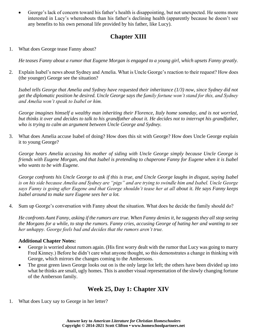• George's lack of concern toward his father's health is disappointing, but not unexpected. He seems more interested in Lucy's whereabouts than his father's declining health (apparently because he doesn't see any benefits to his own personal life provided by his father, like Lucy).

# **Chapter XIII**

1. What does George tease Fanny about?

*He teases Fanny about a rumor that Eugene Morgan is engaged to a young girl, which upsets Fanny greatly.*

2. Explain Isabel's news about Sydney and Amelia. What is Uncle George's reaction to their request? How does (the younger) George see the situation?

*Isabel tells George that Amelia and Sydney have requested their inheritance (1/3) now, since Sydney did not get the diplomatic position he desired. Uncle George says the family fortune won't stand for this, and Sydney and Amelia won't speak to Isabel or him.*

*George imagines himself a wealthy man inheriting their Florence, Italy home someday, and is not worried, but thinks it over and decides to talk to his grandfather about it. He decides not to interrupt his grandfather, who is trying to calm an argument between Uncle George and Sydney.*

3. What does Amelia accuse Isabel of doing? How does this sit with George? How does Uncle George explain it to young George?

*George hears Amelia accusing his mother of siding with Uncle George simply because Uncle George is friends with Eugene Morgan, and that Isabel is pretending to chaperone Fanny for Eugene when it is Isabel who wants to be with Eugene.*

*George confronts his Uncle George to ask if this is true, and Uncle George laughs in disgust, saying Isabel is on his side because Amelia and Sydney are "pigs" and are trying to swindle him and Isabel. Uncle George says Fanny is going after Eugene and that George shouldn't tease her at all about it. He says Fanny keeps Isabel around to make sure Eugene sees her a lot.*

4. Sum up George's conversation with Fanny about the situation. What does he decide the family should do?

*He confronts Aunt Fanny, asking if the rumors are true. When Fanny denies it, he suggests they all stop seeing the Morgans for a while, to stop the rumors. Fanny cries, accusing George of hating her and wanting to see her unhappy. George feels bad and decides that the rumors aren't true.*

#### **Additional Chapter Notes:**

- George is worried about rumors again. (His first worry dealt with the rumor that Lucy was going to marry Fred Kinney.) Before he didn't care what anyone thought, so this demonstrates a change in thinking with George, which mirrors the changes coming to the Ambersons.
- The great green lawn George looks out on is the only large lot left; the others have been divided up into what he thinks are small, ugly homes. This is another visual representation of the slowly changing fortune of the Amberson family.

### **Week 25, Day 1: Chapter XIV**

1. What does Lucy say to George in her letter?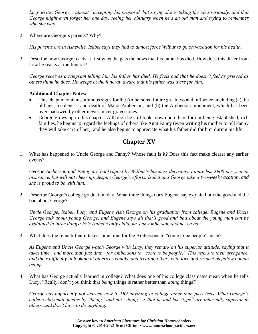*Lucy writes George, "almost" accepting his proposal, but saying she is taking the idea seriously, and that George might even forget her one day, seeing her obituary when he's an old man and trying to remember who she was.*

2. Where are George's parents? Why?

*His parents are in Asheville. Isabel says they had to almost force Wilbur to go on vacation for his health.*

3. Describe how George reacts at first when he gets the news that his father has died. How does this differ from how he reacts at the funeral?

*George receives a telegram telling him his father has died. He feels bad that he doesn't feel as grieved as others think he does. He weeps at the funeral, aware that his father was there for him.*

#### **Additional Chapter Notes:**

- This chapter contains ominous signs for the Ambersons' future greatness and influence, including (a) the old age, feebleness, and death of Major Amberson; and (b) the Amberson monument, which has been overshadowed by other newer, nicer gravestones.
- George grows up in this chapter. Although he still looks down on others for not being established, rich families, he begins to regard the feelings of others like Aunt Fanny (even writing his mother to tell Fanny they will take care of her), and he also begins to appreciate what his father did for him during his life.

# **Chapter XV**

1. What has happened to Uncle George and Fanny? Whose fault is it? Does this fact make clearer any earlier events?

*George Amberson and Fanny are bankrupted by Wilbur's business decisions. Fanny has \$900 per year in insurance, but will not cheer up, despite George's efforts. Isabel and George take a two-week vacation, and she is proud to be with him.*

2. Describe George's college graduation day. What three things does Eugene say explain both the good and the bad about George?

*Uncle George, Isabel, Lucy, and Eugene visit George on his graduation from college. Eugene and Uncle George talk about young George, and Eugene says all that's good and bad about the young man can be explained in three things: he's Isabel's only child, he's an Amberson, and he's a boy.*

3. What does the remark that it takes some time for the Ambersons to "come to be people" mean?

*As Eugene and Uncle George watch George with Lucy, they remark on his superior attitude, saying that it takes time—and more than just time—for Ambersons to "come to be people." This refers to their arrogance, and their difficulty in looking at others as equals, and treating others with love and respect as fellow human beings.*

4. What has George actually learned in college? What does one of his college classmates mean when he tells Lucy, "Really, don't you think that *being* things is rather better than *doing* things?"

*George has apparently not learned how to DO anything in college other than pass tests. What George's college classmate means by "being" and not "doing" is that he and his "type" are inherently superior to others, and don't have to do anything.*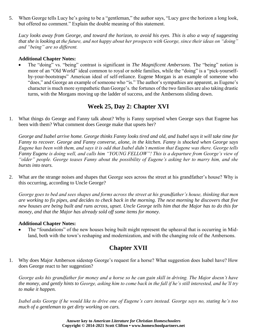5. When George tells Lucy he's going to be a "gentleman," the author says, "Lucy gave the horizon a long look, but offered no comment." Explain the double meaning of this statement.

*Lucy looks away from George, and toward the horizon, to avoid his eyes. This is also a way of suggesting that she is looking at the future, and not happy about her prospects with George, since their ideas on "doing" and "being" are so different.*

#### **Additional Chapter Notes:**

• The "doing" vs. "being" contrast is significant in *The Magnificent Ambersons*. The "being" notion is more of an "Old World" ideal common to royal or noble families, while the "doing" is a "pick-yourselfby-your-bootstraps" American ideal of self-reliance. Eugene Morgan is an example of someone who "does," and George an example of someone who "is." The author's sympathies are apparent, as Eugene's character is much more sympathetic than George's. the fortunes of the two families are also taking drastic turns, with the Morgans moving up the ladder of success, and the Ambersons sliding down.

### **Week 25, Day 2: Chapter XVI**

1. What things do George and Fanny talk about? Why is Fanny surprised when George says that Eugene has been with them? What comment does George make that upsets her?

*George and Isabel arrive home. George thinks Fanny looks tired and old, and Isabel says it will take time for Fanny to recover. George and Fanny converse, alone, in the kitchen. Fanny is shocked when George says Eugene has been with them, and says it is odd that Isabel didn't mention that Eugene was there. George tells Fanny Eugene is doing well, and calls him "YOUNG FELLOW"! This is a departure from George's view of "older" people. George teases Fanny about the possibility of Eugene's asking her to marry him, and she bursts into tears.*

2. What are the strange noises and shapes that George sees across the street at his grandfather's house? Why is this occurring, according to Uncle George?

*George goes to bed and sees shapes and forms across the street at his grandfather's house, thinking that men are working to fix pipes, and decides to check back in the morning. The next morning he discovers that five new houses are being built and runs across, upset. Uncle George tells him that the Major has to do this for money, and that the Major has already sold off some items for money.*

#### **Additional Chapter Notes:**

The "foundations" of the new houses being built might represent the upheaval that is occurring in Midland, both with the town's reshaping and modernization, and with the changing role of the Ambersons.

## **Chapter XVII**

1. Why does Major Amberson sidestep George's request for a horse? What suggestion does Isabel have? How does George react to her suggestion?

*George asks his grandfather for money and a horse so he can gain skill in driving. The Major doesn't have the money, and gently hints to George, asking him to come back in the fall if he's still interested, and he'll try to make it happen.*

*Isabel asks George if he would like to drive one of Eugene's cars instead. George says no, stating he's too much of a gentleman to get dirty working on cars.*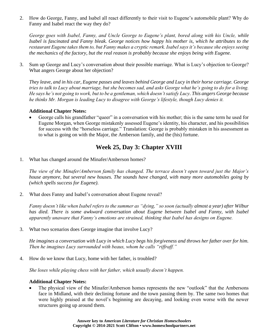2. How do George, Fanny, and Isabel all react differently to their visit to Eugene's automobile plant? Why do Fanny and Isabel react the way they do?

*George goes with Isabel, Fanny, and Uncle George to Eugene's plant, bored along with his Uncle, while Isabel is fascinated and Fanny bleak. George notices how happy his mother is, which he attributes to the restaurant Eugene takes them to, but Fanny makes a cryptic remark. Isabel says it's because she enjoys seeing the mechanics of the factory, but the real reason is probably because she enjoys being with Eugene.*

3. Sum up George and Lucy's conversation about their possible marriage. What is Lucy's objection to George? What angers George about her objection?

*They leave, and in his car, Eugene passes and leaves behind George and Lucy in their horse carriage. George tries to talk to Lucy about marriage, but she becomes sad, and asks George what he's going to do for a living. He says he's not going to work, but to be a gentleman, which doesn't satisfy Lucy. This angers George because he thinks Mr. Morgan is leading Lucy to disagree with George's lifestyle, though Lucy denies it.*

#### **Additional Chapter Notes:**

George calls his grandfather "queer" in a conversation with his mother; this is the same term he used for Eugene Morgan, when George mistakenly assessed Eugene's identity, his character, and his possibilities for success with the "horseless carriage." Translation: George is probably mistaken in his assessment as to what is going on with the Major, the Amberson family, and the (his) fortune.

### **Week 25, Day 3: Chapter XVIII**

1. What has changed around the Minafer/Amberson homes?

*The view of the Minafer/Amberson family has changed. The terrace doesn't open toward just the Major's house anymore, but several new houses. The sounds have changed, with many more automobiles going by (which spells success for Eugene).*

2. What does Fanny and Isabel's conversation about Eugene reveal?

*Fanny doesn't like when Isabel refers to the summer as "dying," so soon (actually almost a year) after Wilbur*  has died. There is some awkward conversation about Eugene between Isabel and Fanny, with Isabel *apparently unaware that Fanny's emotions are strained, thinking that Isabel has designs on Eugene.*

3. What two scenarios does George imagine that involve Lucy?

*He imagines a conversation with Lucy in which Lucy begs his forgiveness and throws her father over for him. Then he imagines Lucy surrounded with beaus, whom he calls "riffraff."*

4. How do we know that Lucy, home with her father, is troubled?

*She loses while playing chess with her father, which usually doesn't happen.*

#### **Additional Chapter Notes:**

The physical view of the Minafer/Amberson homes represents the new "outlook" that the Ambersons face in Midland, with their declining fortune and the town passing them by. The same two homes that were highly praised at the novel's beginning are decaying, and looking even worse with the newer structures going up around them.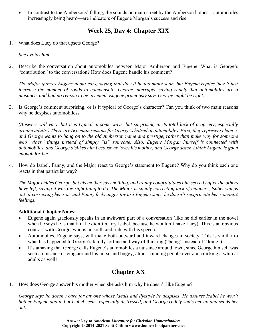• In contrast to the Ambersons' falling, the sounds on main street by the Amberson homes—automobiles increasingly being heard—are indicators of Eugene Morgan's success and rise.

# **Week 25, Day 4: Chapter XIX**

1. What does Lucy do that upsets George?

*She avoids him.*

2. Describe the conversation about automobiles between Major Amberson and Eugene. What is George's "contribution" to the conversation? How does Eugene handle his comment?

*The Major quizzes Eugene about cars, saying that they'll be too many soon, but Eugene replies they'll just increase the number of roads to compensate. George interrupts, saying rudely that automobiles are a nuisance, and had no reason to be invented. Eugene graciously says George might be right.*

3. Is George's comment surprising, or is it typical of George's character? Can you think of two main reasons why he despises automobiles?

*(Answers will vary, but it is typical in some ways, but surprising in its total lack of propriety, especially around adults.) There are two main reasons for George's hatred of automobiles. First, they represent change, and George wants to hang on to the old Amberson name and prestige, rather than make way for someone who "does" things instead of simply "is" someone. Also, Eugene Morgan himself is connected with automobiles, and George dislikes him because he loves his mother, and George doesn't think Eugene is good enough for her.*

4. How do Isabel, Fanny, and the Major react to George's statement to Eugene? Why do you think each one reacts in that particular way?

*The Major chides George, but his mother says nothing, and Fanny congratulates him secretly after the others have left, saying it was the right thing to do. The Major is simply correcting lack of manners, Isabel wimps out of correcting her son, and Fanny feels anger toward Eugene since he doesn't reciprocate her romantic feelings.*

#### **Additional Chapter Notes:**

- Eugene again graciously speaks in an awkward part of a conversation (like he did earlier in the novel when he says he is thankful he didn't marry Isabel, because he wouldn't have Lucy). This is an obvious contrast with George, who is uncouth and rude with his speech.
- Automobiles, Eugene says, will make both outward and inward changes in society. This is similar to what has happened to George's family fortune and way of thinking ("being" instead of "doing").
- It's amazing that George calls Eugene's automobiles a nuisance around town, since George himself was such a nuisance driving around his horse and buggy, almost running people over and cracking a whip at adults as well!

# **Chapter XX**

1. How does George answer his mother when she asks him why he doesn't like Eugene?

*George says he doesn't care for anyone whose ideals and lifestyle he despises. He assures Isabel he won't bother Eugene again, but Isabel seems especially distressed, and George rudely shuts her up and sends her out.*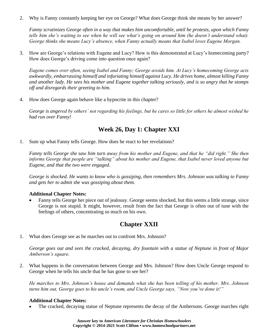2. Why is Fanny constantly keeping her eye on George? What does George think she means by her answer?

*Fanny scrutinizes George often in a way that makes him uncomfortable, until he protests, upon which Fanny tells him she's waiting to see when he will see what's going on around him (he doesn't understand what). George thinks she means Lucy's absence, when Fanny actually means that Isabel loves Eugene Morgan.*

3. How are George's relations with Eugene and Lucy? How is this demonstrated at Lucy's homecoming party? How does George's driving come into question once again?

*Eugene comes over often, seeing Isabel and Fanny; George avoids him. At Lucy's homecoming George acts awkwardly, embarrassing himself and infuriating himself against Lucy. He drives home, almost killing Fanny and another lady. He sees his mother and Eugene together talking seriously, and is so angry that he stomps off and disregards their greeting to him.*

4. How does George again behave like a hypocrite in this chapter?

*George is angered by others' not regarding his feelings, but he cares so little for others he almost wished he had run over Fanny!*

### **Week 26, Day 1: Chapter XXI**

1. Sum up what Fanny tells George. How does he react to her revelations?

*Fanny tells George she saw him turn away from his mother and Eugene, and that he "did right." She then informs George that people are "talking" about his mother and Eugene, that Isabel never loved anyone but Eugene, and that the two were engaged.*

*George is shocked. He wants to know who is gossiping, then remembers Mrs. Johnson was talking to Fanny and gets her to admit she was gossiping about them.*

#### **Additional Chapter Notes:**

• Fanny tells George her piece out of jealousy. George seems shocked, but this seems a little strange, since George is not stupid. It might, however, result from the fact that George is often out of tune with the feelings of others, concentrating so much on his own.

## **Chapter XXII**

1. What does George see as he marches out to confront Mrs. Johnson?

*George goes out and sees the cracked, decaying, dry fountain with a statue of Neptune in front of Major Amberson's square.*

2. What happens in the conversation between George and Mrs. Johnson? How does Uncle George respond to George when he tells his uncle that he has gone to see her?

*He marches to Mrs. Johnson's house and demands what she has been telling of his mother. Mrs. Johnson turns him out, George goes to his uncle's room, and Uncle George says, "Now you've done it!"*

#### **Additional Chapter Notes:**

The cracked, decaying statue of Neptune represents the decay of the Ambersons. George marches right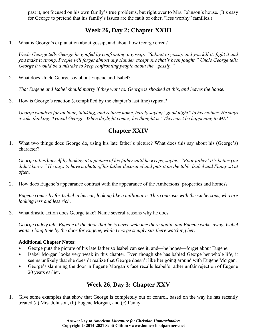past it, not focused on his own family's true problems, but right over to Mrs. Johnson's house. (It's easy for George to pretend that his family's issues are the fault of other, "less worthy" families.)

# **Week 26, Day 2: Chapter XXIII**

1. What is George's explanation about gossip, and about how George erred?

*Uncle George tells George he goofed by confronting a gossip: "Submit to gossip and you kill it; fight it and you make it strong. People will forget almost any slander except one that's been fought." Uncle George tells George it would be a mistake to keep confronting people about the "gossip."*

2. What does Uncle George say about Eugene and Isabel?

*That Eugene and Isabel should marry if they want to. George is shocked at this, and leaves the house.*

3. How is George's reaction (exemplified by the chapter's last line) typical?

*George wanders for an hour, thinking, and returns home, barely saying "good night" to his mother. He stays awake thinking. Typical George: When daylight comes, his thought is "This can't be happening to ME!"*

# **Chapter XXIV**

1. What two things does George do, using his late father's picture? What does this say about his (George's) character?

*George pities himself by looking at a picture of his father until he weeps, saying, "Poor father! It's better you*  didn't know." He pays to have a photo of his father decorated and puts it on the table Isabel and Fanny sit at *often.*

2. How does Eugene's appearance contrast with the appearance of the Ambersons' properties and homes?

*Eugene comes by for Isabel in his car, looking like a millionaire. This contrasts with the Ambersons, who are looking less and less rich.*

3. What drastic action does George take? Name several reasons why he does.

*George rudely tells Eugene at the door that he is never welcome there again, and Eugene walks away. Isabel waits a long time by the door for Eugene, while George smugly sits there watching her.*

#### **Additional Chapter Notes:**

- George puts the picture of his late father so Isabel can see it, and—he hopes—forget about Eugene.
- Isabel Morgan looks very weak in this chapter. Even though she has babied George her whole life, it seems unlikely that she doesn't realize that George doesn't like her going around with Eugene Morgan.
- George's slamming the door in Eugene Morgan's face recalls Isabel's rather unfair rejection of Eugene 20 years earlier.

# **Week 26, Day 3: Chapter XXV**

1. Give some examples that show that George is completely out of control, based on the way he has recently treated (a) Mrs. Johnson, (b) Eugene Morgan, and (c) Fanny.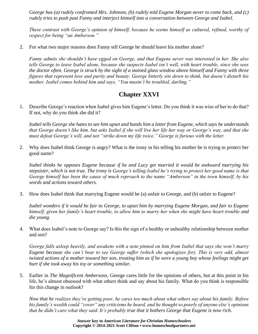*George has (a) rudely confronted Mrs. Johnson, (b) rudely told Eugene Morgan never to come back, and (c) rudely tries to push past Fanny and interject himself into a conversation between George and Isabel.*

*These contrast with George's opinion of himself, because he seems himself as cultured, refined, worthy of respect for being "an Amberson."*

2. For what two major reasons does Fanny tell George he should leave his mother alone?

*Fanny admits she shouldn't have egged on George, and that Eugene never was interested in her. She also tells George to leave Isabel alone, because she suspects Isabel isn't well, with heart trouble, since she sees the doctor often. George is struck by the sight of a stained glass window above himself and Fanny with three figures that represent love and purity and beauty. George bitterly sits down to think, but doesn't disturb his mother. Isabel comes behind him and says, "You mustn't be troubled, darling."*

### **Chapter XXVI**

1. Describe George's reaction when Isabel gives him Eugene's letter. Do you think it was wise of her to do that? If not, why do you think she did it?

*Isabel tells George she hates to see him upset and hands him a letter from Eugene, which says he understands that George doesn't like him, but asks Isabel if she will live her life her way or George's way, and that she must defeat George's will, and not "strike down my life twice." George is furious with the letter.*

2. Why does Isabel think George is angry? What is the irony in his telling his mother he is trying to protect her good name?

*Isabel thinks he opposes Eugene because if he and Lucy get married it would be awkward marrying his stepsister, which is not true. The irony is George's telling Isabel he's trying to protect her good name is that George himself has been the cause of much reproach to the name "Amberson" in the town himself, by his words and actions toward others.*

3. How does Isabel think that marrying Eugene would be (a) unfair to George, and (b) unfair to Eugene?

*Isabel wonders if it would be fair to George, to upset him by marrying Eugene Morgan, and fair to Eugene himself, given her family's heart trouble, to allow him to marry her when she might have heart trouble and die young.*

4. What does Isabel's note to George say? Is this the sign of a healthy or unhealthy relationship between mother and son?

*George falls asleep heavily, and awakens with a note pinned on him from Isabel that says she won't marry Eugene because she can't bear to see George suffer (which she apologizes for). This is very odd, almost twisted actions of a mother toward her son, treating him as if he were a young boy whose feelings might get hurt if she took away his toy or something similar.*

5. Earlier in *The Magnificent Ambersons*, George cares little for the opinions of others, but at this point in his life, he's almost obsessed with what others think and say about his family. What do you think is responsible for this change in outlook?

*Now that he realizes they're getting poor, he cares too much about what others say about his family. Before his family's wealth could "cover" any criticisms he heard, and he thought so poorly of anyone else's opinions that he didn't care what they said. It's probably true that it bothers George that Eugene is now rich.*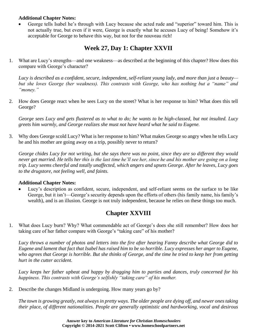#### **Additional Chapter Notes:**

• George tells Isabel he's through with Lucy because she acted rude and "superior" toward him. This is not actually true, but even if it were, George is exactly what he accuses Lucy of being! Somehow it's acceptable for George to behave this way, but not for the nouveau rich!

# **Week 27, Day 1: Chapter XXVII**

1. What are Lucy's strengths—and one weakness—as described at the beginning of this chapter? How does this compare with George's character?

*Lucy is described as a confident, secure, independent, self-reliant young lady, and more than just a beauty but she loves George (her weakness). This contrasts with George, who has nothing but a "name" and "money."*

2. How does George react when he sees Lucy on the street? What is her response to him? What does this tell George?

*George sees Lucy and gets flustered as to what to do; he wants to be high-classed, but not insulted. Lucy greets him warmly, and George realizes she must not have heard what he said to Eugene.*

3. Why does George scold Lucy? What is her response to him? What makes George so angry when he tells Lucy he and his mother are going away on a trip, possibly never to return?

*George chides Lucy for not writing, but she says there was no point, since they are so different they would never get married. He tells her this is the last time he'll see her, since he and his mother are going on a long trip. Lucy seems cheerful and totally unaffected, which angers and upsets George. After he leaves, Lucy goes to the drugstore, not feeling well, and faints.*

#### **Additional Chapter Notes:**

Lucy's description as confident, secure, independent, and self-reliant seems on the surface to be like George, but it isn't—George's security depends upon the efforts of others (his family name, his family's wealth), and is an illusion. George is not truly independent, because he relies on these things too much.

# **Chapter XXVIII**

1. What does Lucy burn? Why? What commendable act of George's does she still remember? How does her taking care of her father compare with George's "taking care" of his mother?

*Lucy throws a number of photos and letters into the fire after hearing Fanny describe what George did to Eugene and lament that fact that Isabel has raised him to be so horrible. Lucy expresses her anger to Eugene, who agrees that George is horrible. But she thinks of George, and the time he tried to keep her from getting hurt in the cutter accident.*

*Lucy keeps her father upbeat and happy by dragging him to parties and dances, truly concerned for his happiness. This contrasts with George's selfishly "taking care" of his mother.*

2. Describe the changes Midland is undergoing. How many years go by?

*The town is growing greatly, not always in pretty ways. The older people are dying off, and newer ones taking their place, of different nationalities. People are generally optimistic and hardworking, vocal and desirous*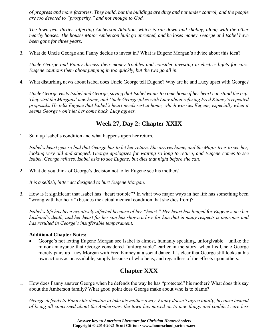*of progress and more factories. They build, but the buildings are dirty and not under control, and the people are too devoted to "prosperity," and not enough to God.*

*The town gets dirtier, affecting Amberson Addition, which is run-down and shabby, along with the other nearby houses. The houses Major Amberson built go unrented, and he loses money. George and Isabel have been gone for three years.*

3. What do Uncle George and Fanny decide to invest in? What is Eugene Morgan's advice about this idea?

*Uncle George and Fanny discuss their money troubles and consider investing in electric lights for cars. Eugene cautions them about jumping in too quickly, but the two go all in.*

4. What disturbing news about Isabel does Uncle George tell Eugene? Why are he and Lucy upset with George?

*Uncle George visits Isabel and George, saying that Isabel wants to come home if her heart can stand the trip. They visit the Morgans' new home, and Uncle George jokes with Lucy about refusing Fred Kinney's repeated proposals. He tells Eugene that Isabel's heart needs rest at home, which worries Eugene, especially when it seems George won't let her come back. Lucy agrees.*

### **Week 27, Day 2: Chapter XXIX**

1. Sum up Isabel's condition and what happens upon her return.

*Isabel's heart gets so bad that George has to let her return. She arrives home, and the Major tries to see her, looking very old and stooped. George apologizes for waiting so long to return, and Eugene comes to see Isabel. George refuses. Isabel asks to see Eugene, but dies that night before she can.*

2. What do you think of George's decision not to let Eugene see his mother?

*It is a selfish, bitter act designed to hurt Eugene Morgan.*

3. How is it significant that Isabel has "heart trouble"? In what two major ways in her life has something been "wrong with her heart" (besides the actual medical condition that she dies from)?

*Isabel's life has been negatively affected because of her "heart." Her heart has longed for Eugene since her husband's death, and her heart for her son has shown a love for him that in many respects is improper and has resulted in George's insufferable temperament.*

#### **Additional Chapter Notes:**

• George's not letting Eugene Morgan see Isabel is almost, humanly speaking, unforgivable—unlike the minor annoyance that George considered "unforgivable" earlier in the story, when his Uncle George merely pairs up Lucy Morgan with Fred Kinney at a social dance. It's clear that George still looks at his own actions as unassailable, simply because of who he is, and regardless of the effects upon others.

## **Chapter XXX**

1. How does Fanny answer George when he defends the way he has "protected" his mother? What does this say about the Amberson family? What good point does George make about who is to blame?

*George defends to Fanny his decision to take his mother away. Fanny doesn't agree totally, because instead of being all concerned about the Ambersons, the town has moved on to new things and couldn't care less*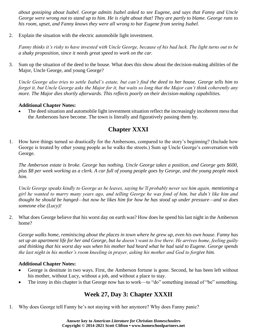*about gossiping about Isabel. George admits Isabel asked to see Eugene, and says that Fanny and Uncle George were wrong not to stand up to him. He is right about that! They are partly to blame. George runs to his room, upset, and Fanny knows they were all wrong to bar Eugene from seeing Isabel.*

2. Explain the situation with the electric automobile light investment.

*Fanny thinks it's risky to have invested with Uncle George, because of his bad luck. The light turns out to be a shaky proposition, since it needs great speed to work on the car.*

3. Sum up the situation of the deed to the house. What does this show about the decision-making abilities of the Major, Uncle George, and young George?

*Uncle George also tries to settle Isabel's estate, but can't find the deed to her house. George tells him to forget it, but Uncle George asks the Major for it, but waits so long that the Major can't think coherently any more. The Major dies shortly afterwards. This reflects poorly on their decision-making capabilities.*

#### **Additional Chapter Notes:**

The deed situation and automobile light investment situation reflect the increasingly incoherent mess that the Ambersons have become. The town is literally and figuratively passing them by.

## **Chapter XXXI**

1. How have things turned so drastically for the Ambersons, compared to the story's beginning? (Include how George is treated by other young people as he walks the streets.) Sum up Uncle George's conversation with George.

*The Amberson estate is broke. George has nothing. Uncle George takes a position, and George gets \$600, plus \$8 per week working as a clerk. A car full of young people goes by George, and the young people mock him.*

*Uncle George speaks kindly to George as he leaves, saying he'll probably never see him again, mentioning a girl he wanted to marry many years ago, and telling George he was fond of him, but didn't like him and thought he should be hanged—but now he likes him for how he has stood up under pressure—and so does someone else (Lucy)!*

2. What does George believe that his worst day on earth was? How does he spend his last night in the Amberson home?

*George walks home, reminiscing about the places in town where he grew up, even his own house. Fanny has set up an apartment life for her and George, but he doesn't want to live there. He arrives home, feeling guilty and thinking that his worst day was when his mother had heard what he had said to Eugene. George spends the last night in his mother's room kneeling in prayer, asking his mother and God to forgive him.*

#### **Additional Chapter Notes:**

- George is destitute in two ways. First, the Amberson fortune is gone. Second, he has been left without his mother, without Lucy, without a job, and without a place to stay.
- The irony in this chapter is that George now has to work—to "do" something instead of "be" something.

## **Week 27, Day 3: Chapter XXXII**

1. Why does George tell Fanny he's not staying with her anymore? Why does Fanny panic?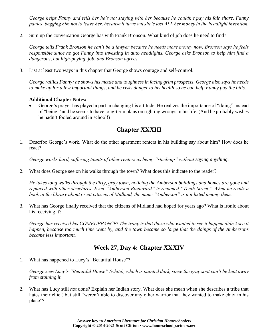*George helps Fanny and tells her he's not staying with her because he couldn't pay his fair share. Fanny panics, begging him not to leave her, because it turns out she's lost ALL her money in the headlight invention.*

2. Sum up the conversation George has with Frank Bronson. What kind of job does he need to find?

*George tells Frank Bronson he can't be a lawyer because he needs more money now. Bronson says he feels responsible since he got Fanny into investing in auto headlights. George asks Bronson to help him find a dangerous, but high-paying, job, and Bronson agrees.*

3. List at least two ways in this chapter that George shows courage and self-control.

*George rallies Fanny; he shows his mettle and toughness in facing grim prospects. George also says he needs to make up for a few important things, and he risks danger to his health so he can help Fanny pay the bills.*

#### **Additional Chapter Notes:**

• George's prayer has played a part in changing his attitude. He realizes the importance of "doing" instead of "being," and he seems to have long-term plans on righting wrongs in his life. (And he probably wishes he hadn't fooled around in school!)

## **Chapter XXXIII**

1. Describe George's work. What do the other apartment renters in his building say about him? How does he react?

*George works hard, suffering taunts of other renters as being "stuck-up" without saying anything.* 

2. What does George see on his walks through the town? What does this indicate to the reader?

*He takes long walks through the dirty, gray town, noticing the Amberson buildings and homes are gone and replaced with other structures. Even "Amberson Boulevard" is renamed "Tenth Street." When he reads a book in the library about great citizens of Midland, the name "Amberson" is not listed among them.*

3. What has George finally received that the citizens of Midland had hoped for years ago? What is ironic about his receiving it?

*George has received his COMEUPPANCE! The irony is that those who wanted to see it happen didn't see it happen, because too much time went by, and the town became so large that the doings of the Ambersons became less important.*

## **Week 27, Day 4: Chapter XXXIV**

1. What has happened to Lucy's "Beautiful House"?

*George sees Lucy's "Beautiful House" (white), which is painted dark, since the gray soot can't be kept away from staining it.*

2. What has Lucy still *not* done? Explain her Indian story. What does she mean when she describes a tribe that hates their chief, but still "weren't able to discover any other warrior that they wanted to make chief in his place"?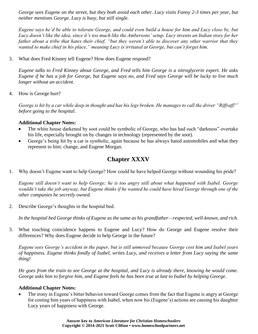*George sees Eugene on the street, but they both avoid each other. Lucy visits Fanny 2-3 times per year, but neither mentions George. Lucy is busy, but still single.*

*Eugene says he'd be able to tolerate George, and could even build a house for him and Lucy close by, but Lucy doesn't like the idea, since it's too much like the Ambersons' setup. Lucy invents an Indian story for her father about a tribe that hates their chief, "but they weren't able to discover any other warrior that they wanted to make chief in his place," meaning Lucy is irritated at George, but can't forget him.*

3. What does Fred Kinney tell Eugene? How does Eugene respond?

*Eugene talks to Fred Kinney about George, and Fred tells him George is a nitroglycerin expert. He asks Eugene if he has a job for George, but Eugene says no, and Fred says George will be lucky to live much longer without an accident.*

4. How is George hurt?

*George is hit by a car while deep in thought and has his legs broken. He manages to call the driver "Riffraff!" before going to the hospital.*

#### **Additional Chapter Notes:**

- The white house darkened by soot could be symbolic of George, who has had such "darkness" overtake his life, especially brought on by changes in technology (represented by the soot).
- George's being hit by a car is symbolic, again because he has always hated automobiles and what they represent to him: change, and Eugene Morgan.

# **Chapter XXXV**

1. Why doesn't Eugene want to help George? How could he have helped George without wounding his pride?

*Eugene still doesn't want to help George; he is too angry still about what happened with Isabel. George wouldn't take the job anyway, but Eugene thinks if he wanted he could have hired George through one of the other companies he secretly owned.*

2. Describe George's thoughts in the hospital bed.

*In the hospital bed George thinks of Eugene as the same as his grandfather—respected, well-known, and rich.*

3. What touching coincidence happens to Eugene and Lucy? How do George and Eugene resolve their differences? Why does Eugene decide to help George in the future?

*Eugene sees George's accident in the paper, but is still unmoved because George cost him and Isabel years of happiness. Eugene thinks fondly of Isabel, writes Lucy, and receives a letter from Lucy saying the same thing!*

*He goes from the train to see George at the hospital, and Lucy is already there, knowing he would come. George asks him to forgive him, and Eugene feels he has been true at last to Isabel by helping George.*

#### **Additional Chapter Notes:**

The irony in Eugene's bitter behavior toward George comes from the fact that Eugene is angry at George for costing him years of happiness with Isabel, when now his (Eugene's) actions are causing his daughter Lucy years of happiness with George.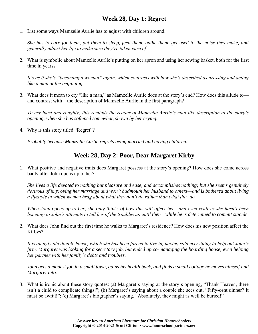## **Week 28, Day 1: Regret**

1. List some ways Mamzelle Aurlie has to adjust with children around.

*She has to care for them, put them to sleep, feed them, bathe them, get used to the noise they make, and generally adjust her life to make sure they're taken care of.*

2. What is symbolic about Mamzelle Aurlie's putting on her apron and using her sewing basket, both for the first time in years?

*It's as if she's "becoming a woman" again, which contrasts with how she's described as dressing and acting like a man at the beginning.*

3. What does it mean to cry "like a man," as Mamzelle Aurlie does at the story's end? How does this allude to and contrast with—the description of Mamzelle Aurlie in the first paragraph?

*To cry hard and roughly; this reminds the reader of Mamzelle Aurlie's man-like description at the story's opening, when she has softened somewhat, shown by her crying.*

4. Why is this story titled "Regret"?

*Probably because Mamzelle Aurlie regrets being married and having children.*

### **Week 28, Day 2: Poor, Dear Margaret Kirby**

1. What positive and negative traits does Margaret possess at the story's opening? How does she come across badly after John opens up to her?

*She lives a life devoted to nothing but pleasure and ease, and accomplishes nothing; but she seems genuinely desirous of improving her marriage and won't badmouth her husband to others—and is bothered about living a lifestyle in which women brag about what they don't do rather than what they do.*

*When John opens up to her, she only thinks of how this will affect her—and even realizes she hasn't been listening to John's attempts to tell her of the troubles up until then—while he is determined to commit suicide.*

2. What does John find out the first time he walks to Margaret's residence? How does his new position affect the Kirbys?

*It is an ugly old double house, which she has been forced to live in, having sold everything to help out John's firm. Margaret was looking for a secretary job, but ended up co-managing the boarding house, even helping her partner with her family's debts and troubles.*

*John gets a modest job in a small town, gains his health back, and finds a small cottage he moves himself and Margaret into.*

3. What is ironic about these story quotes: (a) Margaret's saying at the story's opening, "Thank Heaven, there isn't a child to complicate things!"; (b) Margaret's saying about a couple she sees out, "Fifty-cent dinner? It must be awful!"; (c) Margaret's biographer's saying, "Absolutely, they might as well be buried!"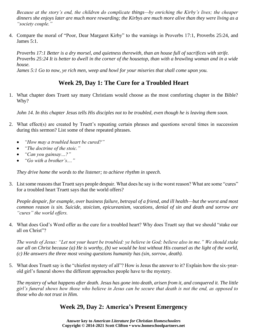*Because at the story's end, the children do complicate things—by enriching the Kirby's lives; the cheaper dinners she enjoys later are much more rewarding; the Kirbys are much more alive than they were living as a "society couple."*

4. Compare the moral of "Poor, Dear Margaret Kirby" to the warnings in Proverbs 17:1, Proverbs 25:24, and James 5:1.

*Proverbs 17:1 Better is a dry morsel, and quietness therewith, than an house full of sacrifices with strife. Proverbs 25:24 It is better to dwell in the corner of the housetop, than with a brawling woman and in a wide house.*

*James 5:1 Go to now, ye rich men, weep and howl for your miseries that shall come upon you.*

# **Week 29, Day 1: The Cure for a Troubled Heart**

1. What chapter does Truett say many Christians would choose as the most comforting chapter in the Bible? Why?

*John 14. In this chapter Jesus tells His disciples not to be troubled, even though he is leaving them soon.*

- 2. What effect(s) are created by Truett's repeating certain phrases and questions several times in succession during this sermon? List some of these repeated phrases.
	- *"How may a troubled heart be cured?"*
	- *"The doctrine of the stoic."*
	- *"Can you gainsay…?"*
	- *"Go with a brother's...."*

*They drive home the words to the listener; to achieve rhythm in speech.*

3. List some reasons that Truett says people despair. What does he say is the worst reason? What are some "cures" for a troubled heart Truett says that the world offers?

*People despair, for example, over business failure, betrayal of a friend, and ill health—but the worst and most common reason is sin. Suicide, stoicism, epicureanism, vacations, denial of sin and death and sorrow are "cures" the world offers.*

4. What does God's Word offer as the cure for a troubled heart? Why does Truett say that we should "stake our all on Christ"?

*The words of Jesus: "Let not your heart be troubled: ye believe in God; believe also in me." We should stake our all on Christ because (a) He is worthy, (b) we would be lost without His counsel as the light of the world, (c) He answers the three most vexing questions humanity has (sin, sorrow, death).*

5. What does Truett say is the "chiefest mystery of all"? How is Jesus the answer to it? Explain how the six-yearold girl's funeral shows the different approaches people have to the mystery.

*The mystery of what happens after death. Jesus has gone into death, arisen from it, and conquered it. The little girl's funeral shows how those who believe in Jesus can be secure that death is not the end, as opposed to those who do not trust in Him.*

## **Week 29, Day 2: America's Present Emergency**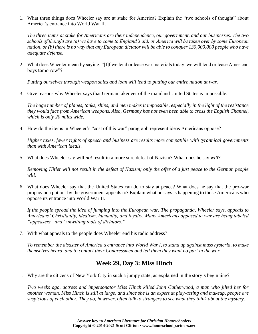1. What three things does Wheeler say are at stake for America? Explain the "two schools of thought" about America's entrance into World War II.

*The three items at stake for Americans are their independence, our government, and our businesses. The two schools of thought are (a) we have to come to England's aid, or America will be taken over by some European nation, or (b) there is no way that any European dictator will be able to conquer 130,000,000 people who have adequate defense.*

2. What does Wheeler mean by saying, "[I]f we lend or lease war materials today, we will lend or lease American boys tomorrow"?

*Putting ourselves through weapon sales and loan will lead to putting our entire nation at war.*

3. Give reasons why Wheeler says that German takeover of the mainland United States is impossible.

*The huge number of planes, tanks, ships, and men makes it impossible, especially in the light of the resistance they would face from American weapons. Also, Germany has not even been able to cross the English Channel, which is only 20 miles wide.*

4. How do the items in Wheeler's "cost of this war" paragraph represent ideas Americans oppose?

*Higher taxes, fewer rights of speech and business are results more compatible with tyrannical governments than with American ideals.*

5. What does Wheeler say will *not* result in a more sure defeat of Nazism? What does he say *will*?

*Removing Hitler will not result in the defeat of Nazism; only the offer of a just peace to the German people will.*

6. What does Wheeler say that the United States can do to stay at peace? What does he say that the pro-war propaganda put out by the government appeals to? Explain what he says is happening to those Americans who oppose its entrance into World War II.

*If the people spread the idea of jumping into the European war. The propaganda, Wheeler says, appeals to Americans' Christianity, idealism, humanity, and loyalty. Many Americans opposed to war are being labeled "appeasers" and "unwitting tools of dictators."*

7. With what appeals to the people does Wheeler end his radio address?

*To remember the disaster of America's entrance into World War I, to stand up against mass hysteria, to make themselves heard, and to contact their Congressmen and tell them they want no part in the war.*

### **Week 29, Day 3: Miss Hinch**

1. Why are the citizens of New York City in such a jumpy state, as explained in the story's beginning?

*Two weeks ago, actress and impersonator Miss Hinch killed John Catherwood, a man who jilted her for another woman. Miss Hinch is still at large, and since she is an expert at play-acting and makeup, people are suspicious of each other. They do, however, often talk to strangers to see what they think about the mystery.*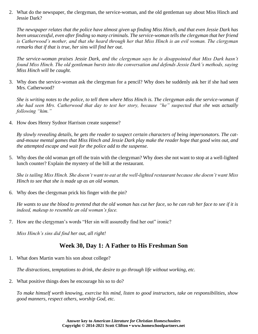2. What do the newspaper, the clergyman, the service-woman, and the old gentleman say about Miss Hinch and Jessie Dark?

*The newspaper relates that the police have almost given up finding Miss Hinch, and that even Jessie Dark has been unsuccessful, even after finding so many criminals. The service-woman tells the clergyman that her friend is Catherwood's mother, and that she heard through her that Miss Hinch is an evil woman. The clergyman remarks that if that is true, her sins will find her out.*

*The service-woman praises Jessie Dark, and the clergyman says he is disappointed that Miss Dark hasn't found Miss Hinch. The old gentleman bursts into the conversation and defends Jessie Dark's methods, saying Miss Hinch will be caught.*

3. Why does the service-woman ask the clergyman for a pencil? Why does he suddenly ask her if she had seen Mrs. Catherwood?

*She is writing notes to the police, to tell them where Miss Hinch is. The clergyman asks the service-woman if she had seen Mrs. Catherwood that day to test her story, because "he" suspected that she was actually following "him."*

4. How does Henry Sydnor Harrison create suspense?

*By slowly revealing details, he gets the reader to suspect certain characters of being impersonators. The catand-mouse mental games that Miss Hinch and Jessie Dark play make the reader hope that good wins out, and the attempted escape and wait for the police add to the suspense.*

5. Why does the old woman get off the train with the clergyman? Why does she not want to stop at a well-lighted lunch counter? Explain the mystery of the bill at the restaurant.

*She is tailing Miss Hinch. She doesn't want to eat at the well-lighted restaurant because she doesn't want Miss Hinch to see that she is made up as an old woman.*

6. Why does the clergyman prick his finger with the pin?

*He wants to use the blood to pretend that the old woman has cut her face, so he can rub her face to see if it is indeed, makeup to resemble an old woman's face.*

7. How are the clergyman's words "Her sin will assuredly find her out" ironic?

*Miss Hinch's sins did find her out, all right!*

## **Week 30, Day 1: A Father to His Freshman Son**

1. What does Martin warn his son about college?

*The distractions, temptations to drink, the desire to go through life without working, etc.*

2. What positive things does he encourage his so to do?

*To make himself worth knowing, exercise his mind, listen to good instructors, take on responsibilities, show good manners, respect others, worship God, etc.*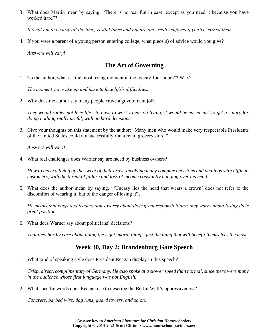3. What does Martin mean by saying, "There is no real fun in ease, except as you need it because you have worked hard"?

*It's not fun to be lazy all the time; restful times and fun are only really enjoyed if you've earned them.*

4. If you were a parent of a young person entering college, what piece(s) of advice would you give?

*Answers will vary!*

### **The Art of Governing**

1. To the author, what is "the most trying moment in the twenty-four hours"? Why?

*The moment you wake up and have to face life's difficulties.*

2. Why does the author say many people crave a government job?

*They would rather not face life—to have to work to earn a living; it would be easier just to get a salary for doing nothing really useful, with no hard decisions.*

3. Give your thoughts on this statement by the author: "Many men who would make very respectable Presidents of the United States could not successfully run a retail grocery store."

*Answers will vary!*

4. What real challenges does Warner say are faced by business owners?

*How to make a living by the sweat of their brow, involving many complex decisions and dealings with difficult customers, with the threat of failure and loss of income constantly hanging over his head.*

5. What does the author mean by saying, "'Uneasy lies the head that wears a crown' does not refer to the discomfort of wearing it, but to the danger of losing it"?

*He means that kings and leaders don't worry about their great responsibilities; they worry about losing their great positions.*

6. What does Warner say about politicians' decisions?

*That they hardly care about doing the right, moral thing—just the thing that will benefit themselves the most.*

### **Week 30, Day 2: Brandenburg Gate Speech**

1. What kind of speaking style does President Reagan display in this speech?

*Crisp, direct, complimentary of Germany. He also spoke at a slower speed than normal, since there were many in the audience whose first language was not English.*

2. What specific words does Reagan use to describe the Berlin Wall's oppressiveness?

*Concrete, barbed wire, dog runs, guard towers, and so on.*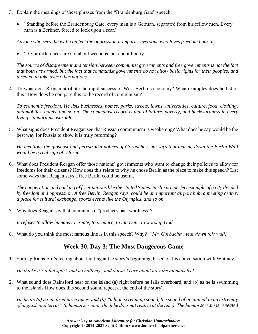- 3. Explain the meanings of these phrases from the "Brandenburg Gate" speech:
	- "Standing before the Brandenburg Gate, every man is a German, separated from his fellow men. Every man is a Berliner, forced to look upon a scar."

*Anyone who sees the wall can feel the oppression it imparts; everyone who loves freedom hates it.*

• "[O]ur differences are not about weapons, but about liberty."

*The source of disagreement and tension between communist governments and free governments is not the fact that both are armed, but the fact that communist governments do not allow basic rights for their peoples, and threaten to take over other nations.*

4. To what does Reagan attribute the rapid success of West Berlin's economy? What examples does he list of this? How does he compare this to the record of communism?

*To economic freedom. He lists businesses, homes, parks, streets, lawns, universities, culture, food, clothing, automobiles, hotels, and so on. The communist record is that of failure, poverty, and backwardness in every living standard measurable.*

5. What signs does President Reagan see that Russian communism is weakening? What does he say would be the best way for Russia to show it is truly reforming?

*He mentions the glasnost and perestroika polices of Gorbachev, but says that tearing down the Berlin Wall would be a real sign of reform.*

6. What does President Reagan offer those nations' governments who want to change their policies to allow for freedoms for their citizens? How does this relate to why he chose Berlin as the place to make this speech? List some ways that Reagan says a free Berlin could be useful.

*The cooperation and backing of freer nations like the United States. Berlin is a perfect example of a city divided by freedom and oppression. A free Berlin, Reagan says, could be an important airport hub, a meeting center, a place for cultural exchange, sports events like the Olympics, and so on.*

7. Why does Reagan say that communism "produces backwardness"?

*It refuses to allow humans to create, to produce, to innovate, to worship God.*

8. What do you think the most famous line is in this speech? Why? *"Mr. Gorbachev, tear down this wall!"*

### **Week 30, Day 3: The Most Dangerous Game**

1. Sum up Rainsford's feeling about hunting at the story's beginning, based on his conversation with Whitney.

*He thinks it's a fun sport, and a challenge, and doesn't care about how the animals feel.*

2. What sound does Rainsford hear on the island (a) right before he falls overboard, and (b) as he is swimming to the island? How does this second sound repeat at the end of the story?

*He hears (a) a gun fired three times, and (b) "a high screaming sound, the sound of an animal in an extremity of anguish and terror" (a human scream, which he does not realize at the time). The human scream is repeated*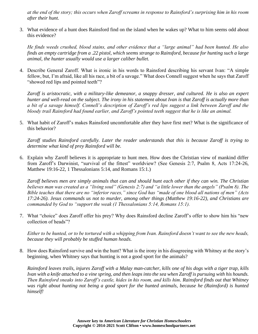*at the end of the story; this occurs when Zaroff screams in response to Rainsford's surprising him in his room after their hunt.*

3. What evidence of a hunt does Rainsford find on the island when he wakes up? What to him seems odd about this evidence?

*He finds weeds crushed, blood stains, and other evidence that a "large animal" had been hunted. He also finds an empty cartridge from a .22 pistol, which seems strange to Rainsford, because for hunting such a large animal, the hunter usually would use a larger caliber bullet.*

4. Describe General Zaroff. What is ironic in his words to Rainsford describing his servant Ivan: "A simple fellow, but, I'm afraid, like all his race, a bit of a savage." What does Connell suggest when he says that Zaroff "showed red lips and pointed teeth"?

*Zaroff is aristocratic, with a military-like demeanor, a snappy dresser, and cultured. He is also an expert hunter and well-read on the subject. The irony in his statement about Ivan is that Zaroff is actually more than a bit of a savage himself. Connell's description of Zaroff's red lips suggest a link between Zaroff and the bloody trail Rainsford had found earlier, and Zaroff's pointed teeth suggest that he is like an animal.*

5. What habit of Zaroff's makes Rainsford uncomfortable after they have first met? What is the significance of this behavior?

*Zaroff studies Rainsford carefully. Later the reader understands that this is because Zaroff is trying to determine what kind of prey Rainsford will be.*

6. Explain why Zaroff believes it is appropriate to hunt men. How does the Christian view of mankind differ from Zaroff's Darwinist, "survival of the fittest" worldview? (See Genesis 2:7, Psalm 8, Acts 17:24-26, Matthew 19:16-22, 1 Thessalonians 5:14, and Romans 15:1.)

*Zaroff believes men are simply animals that can and should hunt each other if they can win. The Christian believes man was created as a "living soul" (Genesis 2:7) and "a little lower than the angels" (Psalm 8). The Bible teaches that there are no "inferior races," since God has "made of one blood all nations of men" (Acts 17:24-26). Jesus commands us not to murder, among other things (Matthew 19:16-22), and Christians are commanded by God to "support the weak (1 Thessalonians 5:14, Romans 15:1).*

7. What "choice" does Zaroff offer his prey? Why does Rainsford decline Zaroff's offer to show him his "new collection of heads"?

*Either to be hunted, or to be tortured with a whipping from Ivan. Rainsford doesn't want to see the new heads, because they will probably be stuffed human heads.*

8. How does Rainsford survive and win the hunt? What is the irony in his disagreeing with Whitney at the story's beginning, when Whitney says that hunting is not a good sport for the animals?

*Rainsford leaves trails, injures Zaroff with a Malay man-catcher, kills one of his dogs with a tiger trap, kills Ivan with a knife attached to a vine spring, and then leaps into the sea when Zaroff is pursuing with his hounds. Then Rainsford sneaks into Zaroff's castle, hides in his room, and kills him. Rainsford finds out that Whitney*  was right about hunting not being a good sport for the hunted animals, because he (Rainsford) is hunted *himself!*